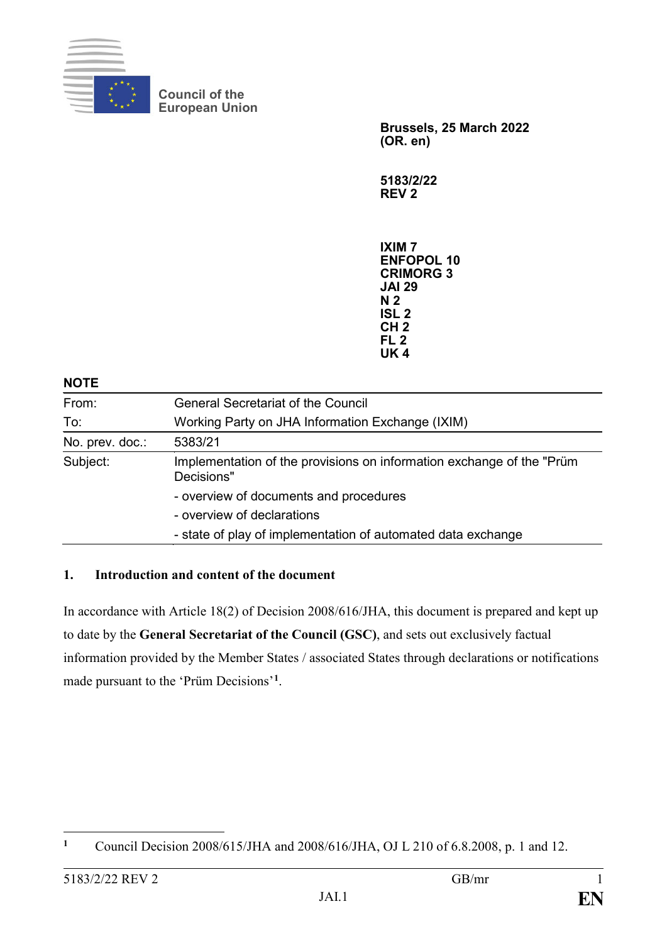

**Council of the European Union**

> **Brussels, 25 March 2022 (OR. en)**

**5183/2/22 REV 2**

**IXIM 7 ENFOPOL 10 CRIMORG 3 JAI 29 N 2 ISL 2 CH 2 FL 2 UK 4**

#### **NOTE**

| From:                                                   | <b>General Secretariat of the Council</b>                                           |  |  |  |  |  |
|---------------------------------------------------------|-------------------------------------------------------------------------------------|--|--|--|--|--|
| To:<br>Working Party on JHA Information Exchange (IXIM) |                                                                                     |  |  |  |  |  |
| No. prev. doc.:                                         | 5383/21                                                                             |  |  |  |  |  |
| Subject:                                                | Implementation of the provisions on information exchange of the "Prüm<br>Decisions" |  |  |  |  |  |
|                                                         | - overview of documents and procedures                                              |  |  |  |  |  |
|                                                         | - overview of declarations                                                          |  |  |  |  |  |
|                                                         | - state of play of implementation of automated data exchange                        |  |  |  |  |  |

#### **1. Introduction and content of the document**

In accordance with Article 18(2) of Decision 2008/616/JHA, this document is prepared and kept up to date by the **General Secretariat of the Council (GSC)**, and sets out exclusively factual information provided by the Member States / associated States through declarations or notifications made pursuant to the 'Prüm Decisions'**<sup>1</sup>**.

 $\mathbf{1}$ **1** Council Decision 2008/615/JHA and 2008/616/JHA, OJ L 210 of 6.8.2008, p. 1 and 12.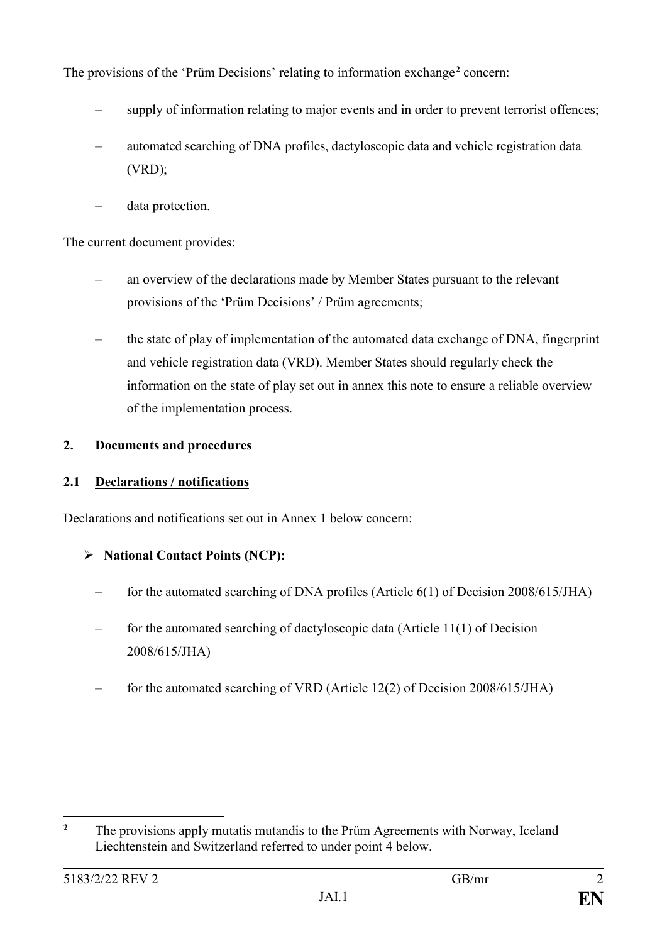The provisions of the 'Prüm Decisions' relating to information exchange**<sup>2</sup>** concern:

- supply of information relating to major events and in order to prevent terrorist offences;
- automated searching of DNA profiles, dactyloscopic data and vehicle registration data (VRD);
- data protection.

The current document provides:

- an overview of the declarations made by Member States pursuant to the relevant provisions of the 'Prüm Decisions' / Prüm agreements;
- the state of play of implementation of the automated data exchange of DNA, fingerprint and vehicle registration data (VRD). Member States should regularly check the information on the state of play set out in annex this note to ensure a reliable overview of the implementation process.

# **2. Documents and procedures**

# **2.1 Declarations / notifications**

Declarations and notifications set out in Annex 1 below concern:

# **National Contact Points (NCP):**

- for the automated searching of DNA profiles (Article 6(1) of Decision 2008/615/JHA)
- for the automated searching of dactyloscopic data (Article 11(1) of Decision 2008/615/JHA)
- for the automated searching of VRD (Article 12(2) of Decision 2008/615/JHA)

 $\overline{2}$ **<sup>2</sup>** The provisions apply mutatis mutandis to the Prüm Agreements with Norway, Iceland Liechtenstein and Switzerland referred to under point 4 below.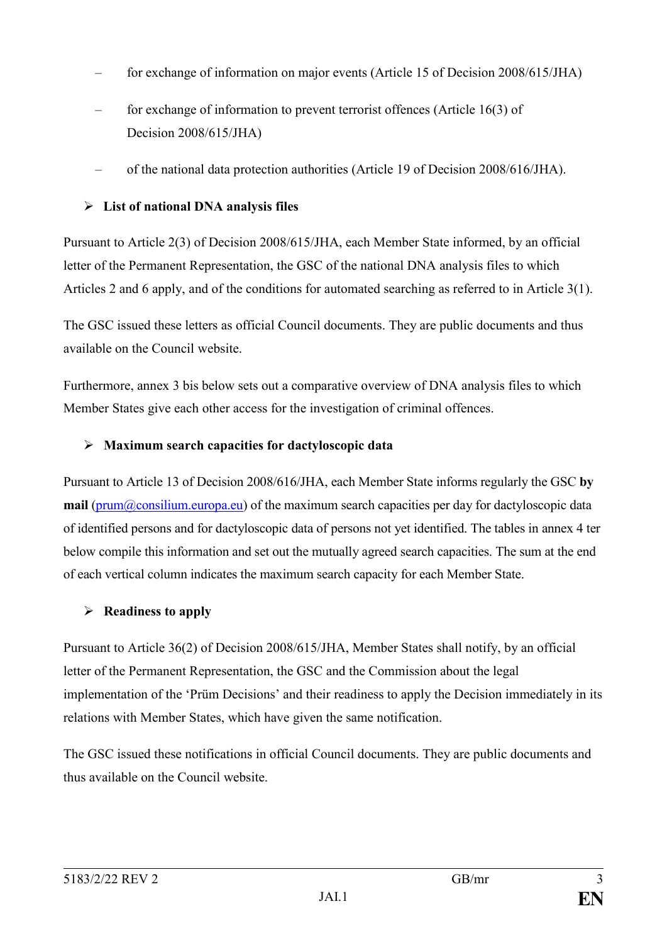- for exchange of information on major events (Article 15 of Decision 2008/615/JHA)
- for exchange of information to prevent terrorist offences (Article 16(3) of Decision 2008/615/JHA)
- of the national data protection authorities (Article 19 of Decision 2008/616/JHA).

# **List of national DNA analysis files**

Pursuant to Article 2(3) of Decision 2008/615/JHA, each Member State informed, by an official letter of the Permanent Representation, the GSC of the national DNA analysis files to which Articles 2 and 6 apply, and of the conditions for automated searching as referred to in Article 3(1).

The GSC issued these letters as official Council documents. They are public documents and thus available on the Council website.

Furthermore, annex 3 bis below sets out a comparative overview of DNA analysis files to which Member States give each other access for the investigation of criminal offences.

# **Maximum search capacities for dactyloscopic data**

Pursuant to Article 13 of Decision 2008/616/JHA, each Member State informs regularly the GSC **by mail** (prum@consilium.europa.eu) of the maximum search capacities per day for dactyloscopic data of identified persons and for dactyloscopic data of persons not yet identified. The tables in annex 4 ter below compile this information and set out the mutually agreed search capacities. The sum at the end of each vertical column indicates the maximum search capacity for each Member State.

# **Readiness to apply**

Pursuant to Article 36(2) of Decision 2008/615/JHA, Member States shall notify, by an official letter of the Permanent Representation, the GSC and the Commission about the legal implementation of the 'Prüm Decisions' and their readiness to apply the Decision immediately in its relations with Member States, which have given the same notification.

The GSC issued these notifications in official Council documents. They are public documents and thus available on the Council website.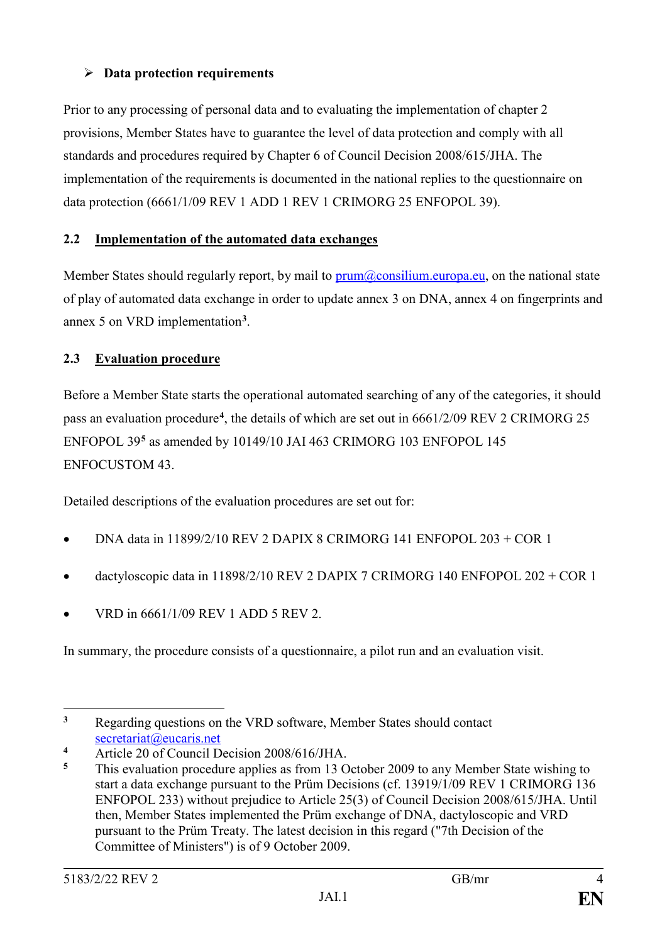# **Data protection requirements**

Prior to any processing of personal data and to evaluating the implementation of chapter 2 provisions, Member States have to guarantee the level of data protection and comply with all standards and procedures required by Chapter 6 of Council Decision 2008/615/JHA. The implementation of the requirements is documented in the national replies to the questionnaire on data protection (6661/1/09 REV 1 ADD 1 REV 1 CRIMORG 25 ENFOPOL 39).

# **2.2 Implementation of the automated data exchanges**

Member States should regularly report, by mail to prum@consilium.europa.eu, on the national state of play of automated data exchange in order to update annex 3 on DNA, annex 4 on fingerprints and annex 5 on VRD implementation**<sup>3</sup>**.

# **2.3 Evaluation procedure**

Before a Member State starts the operational automated searching of any of the categories, it should pass an evaluation procedure**<sup>4</sup>**, the details of which are set out in 6661/2/09 REV 2 CRIMORG 25 ENFOPOL 39**<sup>5</sup>** as amended by 10149/10 JAI 463 CRIMORG 103 ENFOPOL 145 ENFOCUSTOM 43.

Detailed descriptions of the evaluation procedures are set out for:

- DNA data in 11899/2/10 REV 2 DAPIX 8 CRIMORG 141 ENFOPOL 203 + COR 1
- dactyloscopic data in 11898/2/10 REV 2 DAPIX 7 CRIMORG 140 ENFOPOL 202 + COR 1
- VRD in 6661/1/09 REV 1 ADD 5 REV 2.

In summary, the procedure consists of a questionnaire, a pilot run and an evaluation visit.

<sup>-</sup>**<sup>3</sup>** Regarding questions on the VRD software, Member States should contact secretariat@eucaris.net

<sup>4</sup> Article 20 of Council Decision 2008/616/JHA.<br>5 This evolution procedure englise as from 13 G

**<sup>5</sup>** This evaluation procedure applies as from 13 October 2009 to any Member State wishing to start a data exchange pursuant to the Prüm Decisions (cf. 13919/1/09 REV 1 CRIMORG 136 ENFOPOL 233) without prejudice to Article 25(3) of Council Decision 2008/615/JHA. Until then, Member States implemented the Prüm exchange of DNA, dactyloscopic and VRD pursuant to the Prüm Treaty. The latest decision in this regard ("7th Decision of the Committee of Ministers") is of 9 October 2009.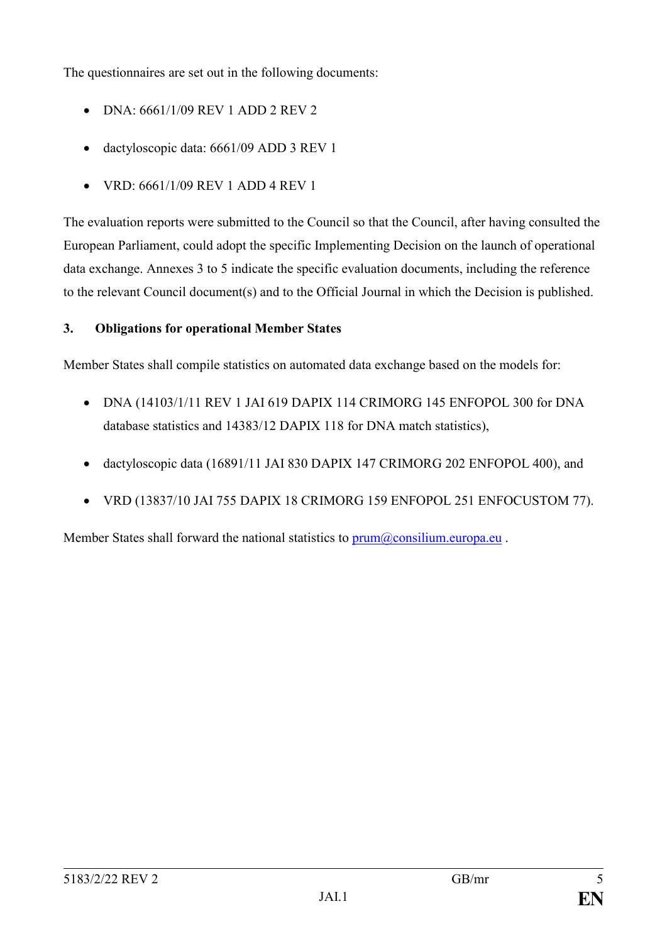The questionnaires are set out in the following documents:

- DNA: 6661/1/09 REV 1 ADD 2 REV 2
- dactyloscopic data: 6661/09 ADD 3 REV 1
- VRD: 6661/1/09 REV 1 ADD 4 REV 1

The evaluation reports were submitted to the Council so that the Council, after having consulted the European Parliament, could adopt the specific Implementing Decision on the launch of operational data exchange. Annexes 3 to 5 indicate the specific evaluation documents, including the reference to the relevant Council document(s) and to the Official Journal in which the Decision is published.

# **3. Obligations for operational Member States**

Member States shall compile statistics on automated data exchange based on the models for:

- DNA (14103/1/11 REV 1 JAI 619 DAPIX 114 CRIMORG 145 ENFOPOL 300 for DNA database statistics and 14383/12 DAPIX 118 for DNA match statistics),
- dactyloscopic data (16891/11 JAI 830 DAPIX 147 CRIMORG 202 ENFOPOL 400), and
- VRD (13837/10 JAI 755 DAPIX 18 CRIMORG 159 ENFOPOL 251 ENFOCUSTOM 77).

Member States shall forward the national statistics to  $\text{prum}(\hat{a})$  consilium.europa.eu.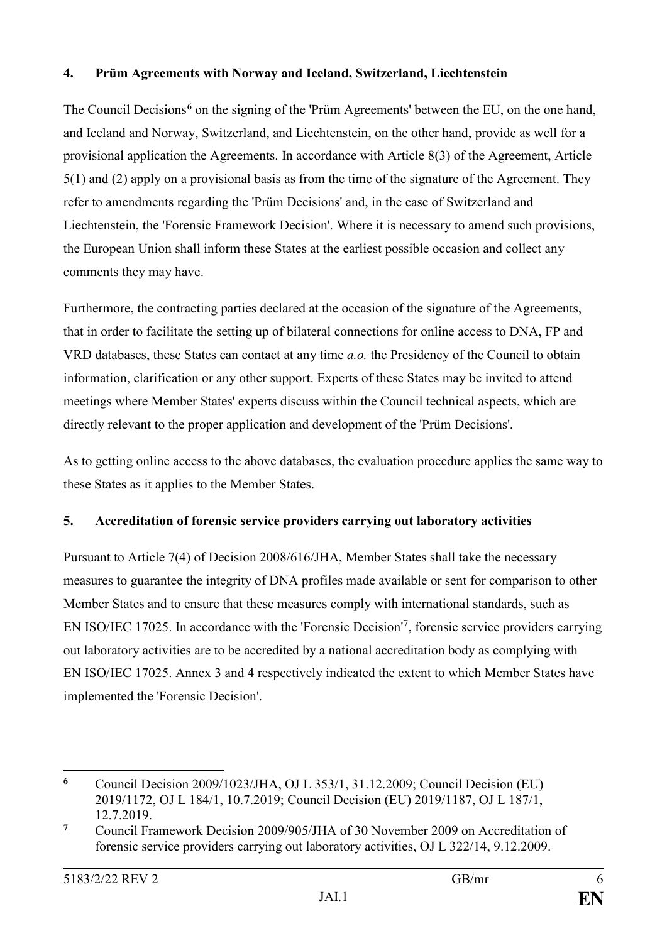## **4. Prüm Agreements with Norway and Iceland, Switzerland, Liechtenstein**

The Council Decisions<sup>6</sup> on the signing of the 'Prüm Agreements' between the EU, on the one hand, and Iceland and Norway, Switzerland, and Liechtenstein, on the other hand, provide as well for a provisional application the Agreements. In accordance with Article 8(3) of the Agreement, Article 5(1) and (2) apply on a provisional basis as from the time of the signature of the Agreement. They refer to amendments regarding the 'Prüm Decisions' and, in the case of Switzerland and Liechtenstein, the 'Forensic Framework Decision'. Where it is necessary to amend such provisions, the European Union shall inform these States at the earliest possible occasion and collect any comments they may have.

Furthermore, the contracting parties declared at the occasion of the signature of the Agreements, that in order to facilitate the setting up of bilateral connections for online access to DNA, FP and VRD databases, these States can contact at any time *a.o.* the Presidency of the Council to obtain information, clarification or any other support. Experts of these States may be invited to attend meetings where Member States' experts discuss within the Council technical aspects, which are directly relevant to the proper application and development of the 'Prüm Decisions'.

As to getting online access to the above databases, the evaluation procedure applies the same way to these States as it applies to the Member States.

# **5. Accreditation of forensic service providers carrying out laboratory activities**

Pursuant to Article 7(4) of Decision 2008/616/JHA, Member States shall take the necessary measures to guarantee the integrity of DNA profiles made available or sent for comparison to other Member States and to ensure that these measures comply with international standards, such as EN ISO/IEC 17025. In accordance with the 'Forensic Decision'<sup>7</sup>, forensic service providers carrying out laboratory activities are to be accredited by a national accreditation body as complying with EN ISO/IEC 17025. Annex 3 and 4 respectively indicated the extent to which Member States have implemented the 'Forensic Decision'.

-

**<sup>6</sup>** Council Decision 2009/1023/JHA, OJ L 353/1, 31.12.2009; Council Decision (EU) 2019/1172, OJ L 184/1, 10.7.2019; Council Decision (EU) 2019/1187, OJ L 187/1, 12.7.2019.

**<sup>7</sup>** Council Framework Decision 2009/905/JHA of 30 November 2009 on Accreditation of forensic service providers carrying out laboratory activities, OJ L 322/14, 9.12.2009.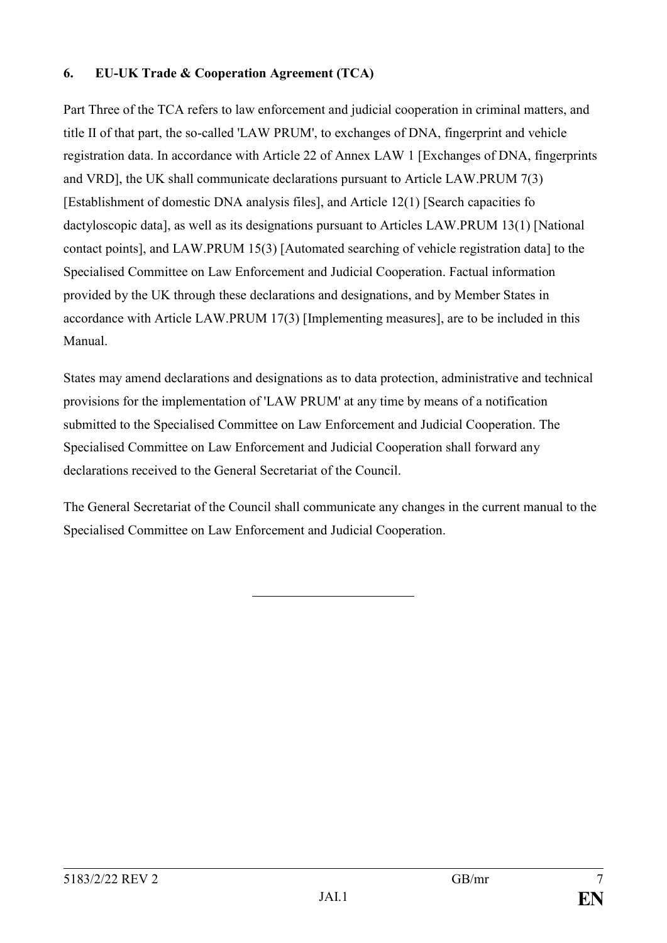## **6. EU-UK Trade & Cooperation Agreement (TCA)**

Part Three of the TCA refers to law enforcement and judicial cooperation in criminal matters, and title II of that part, the so-called 'LAW PRUM', to exchanges of DNA, fingerprint and vehicle registration data. In accordance with Article 22 of Annex LAW 1 [Exchanges of DNA, fingerprints and VRD], the UK shall communicate declarations pursuant to Article LAW.PRUM 7(3) [Establishment of domestic DNA analysis files], and Article 12(1) [Search capacities fo dactyloscopic data], as well as its designations pursuant to Articles LAW.PRUM 13(1) [National contact points], and LAW.PRUM 15(3) [Automated searching of vehicle registration data] to the Specialised Committee on Law Enforcement and Judicial Cooperation. Factual information provided by the UK through these declarations and designations, and by Member States in accordance with Article LAW.PRUM 17(3) [Implementing measures], are to be included in this Manual.

States may amend declarations and designations as to data protection, administrative and technical provisions for the implementation of 'LAW PRUM' at any time by means of a notification submitted to the Specialised Committee on Law Enforcement and Judicial Cooperation. The Specialised Committee on Law Enforcement and Judicial Cooperation shall forward any declarations received to the General Secretariat of the Council.

The General Secretariat of the Council shall communicate any changes in the current manual to the Specialised Committee on Law Enforcement and Judicial Cooperation.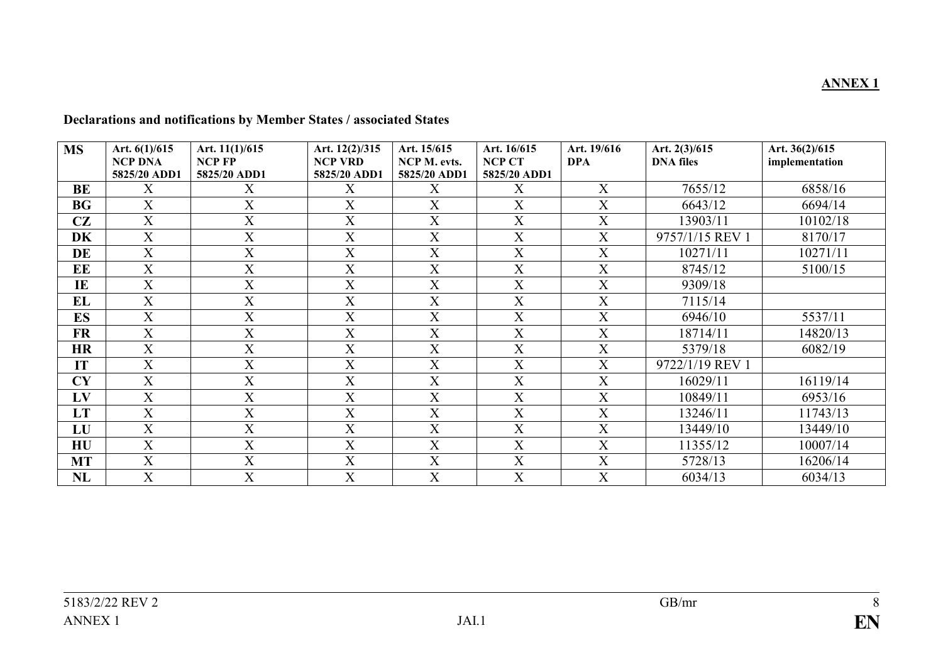| <b>MS</b> | Art. 6(1)/615             | Art. 11(1)/615            | Art. 12(2)/315            | Art. 15/615               | Art. 16/615               | Art. 19/616               | Art. 2(3)/615    | Art. 36(2)/615 |
|-----------|---------------------------|---------------------------|---------------------------|---------------------------|---------------------------|---------------------------|------------------|----------------|
|           | <b>NCP DNA</b>            | <b>NCP FP</b>             | <b>NCP VRD</b>            | NCP M. evts.              | <b>NCP CT</b>             | <b>DPA</b>                | <b>DNA</b> files | implementation |
|           | 5825/20 ADD1              | 5825/20 ADD1              | 5825/20 ADD1              | 5825/20 ADD1              | 5825/20 ADD1              |                           |                  |                |
| BE        | X                         | X                         | X                         | X                         | X                         | X                         | 7655/12          | 6858/16        |
| BG        | X                         | $\boldsymbol{\mathrm{X}}$ | $\mathbf X$               | $\mathbf X$               | X                         | $\boldsymbol{\mathrm{X}}$ | 6643/12          | 6694/14        |
| CZ        | X                         | X                         | $\boldsymbol{X}$          | X                         | $\boldsymbol{X}$          | X                         | 13903/11         | 10102/18       |
| <b>DK</b> | $\boldsymbol{\mathrm{X}}$ | $\boldsymbol{\mathrm{X}}$ | $\overline{X}$            | $\mathbf X$               | $\mathbf X$               | $\overline{X}$            | 9757/1/15 REV 1  | 8170/17        |
| DE        | $\boldsymbol{X}$          | X                         | X                         | X                         | X                         | X                         | 10271/11         | 10271/11       |
| EE        | $\boldsymbol{\mathrm{X}}$ | $\boldsymbol{\mathrm{X}}$ | $\boldsymbol{\mathrm{X}}$ | $\mathbf X$               | $\boldsymbol{\mathrm{X}}$ | $\boldsymbol{\mathrm{X}}$ | 8745/12          | 5100/15        |
| IE        | $\boldsymbol{X}$          | $\boldsymbol{\mathrm{X}}$ | X                         | X                         | X                         | X                         | 9309/18          |                |
| EL        | $\boldsymbol{\mathrm{X}}$ | $\boldsymbol{\mathrm{X}}$ | $\mathbf X$               | $\mathbf X$               | $\boldsymbol{\mathrm{X}}$ | $\mathbf X$               | 7115/14          |                |
| ES        | X                         | $\boldsymbol{\mathrm{X}}$ | $\boldsymbol{X}$          | X                         | $\boldsymbol{X}$          | X                         | 6946/10          | 5537/11        |
| FR        | X                         | $\mathbf X$               | $\mathbf X$               | $\mathbf X$               | $\mathbf X$               | $\boldsymbol{\mathrm{X}}$ | 18714/11         | 14820/13       |
| <b>HR</b> | X                         | $\boldsymbol{\mathrm{X}}$ | X                         | X                         | $\mathbf X$               | X                         | 5379/18          | 6082/19        |
| IT        | $\boldsymbol{\mathrm{X}}$ | $\boldsymbol{\mathrm{X}}$ | $\boldsymbol{\mathrm{X}}$ | $\mathbf X$               | X                         | $\boldsymbol{\mathrm{X}}$ | 9722/1/19 REV 1  |                |
| CY        | X                         | X                         | X                         | X                         | X                         | X                         | 16029/11         | 16119/14       |
| LV        | $\mathbf X$               | $\boldsymbol{\mathrm{X}}$ | $\mathbf X$               | $\boldsymbol{\mathrm{X}}$ | $\boldsymbol{X}$          | X                         | 10849/11         | 6953/16        |
| <b>LT</b> | X                         | $\boldsymbol{\mathrm{X}}$ | $\boldsymbol{X}$          | X                         | X                         | X                         | 13246/11         | 11743/13       |
| LU        | $\mathbf X$               | $\boldsymbol{\mathrm{X}}$ | $\mathbf X$               | $\mathbf X$               | $\mathbf X$               | X                         | 13449/10         | 13449/10       |
| HU        | $\mathbf X$               | $\boldsymbol{\mathrm{X}}$ | X                         | X                         | X                         | X                         | 11355/12         | 10007/14       |
| <b>MT</b> | X                         | $\boldsymbol{\mathrm{X}}$ | $\mathbf X$               | X                         | X                         | X                         | 5728/13          | 16206/14       |
| NL        | X                         | $\boldsymbol{\mathrm{X}}$ | $\mathbf X$               | X                         | X                         | X                         | 6034/13          | 6034/13        |

## **Declarations and notifications by Member States / associated States**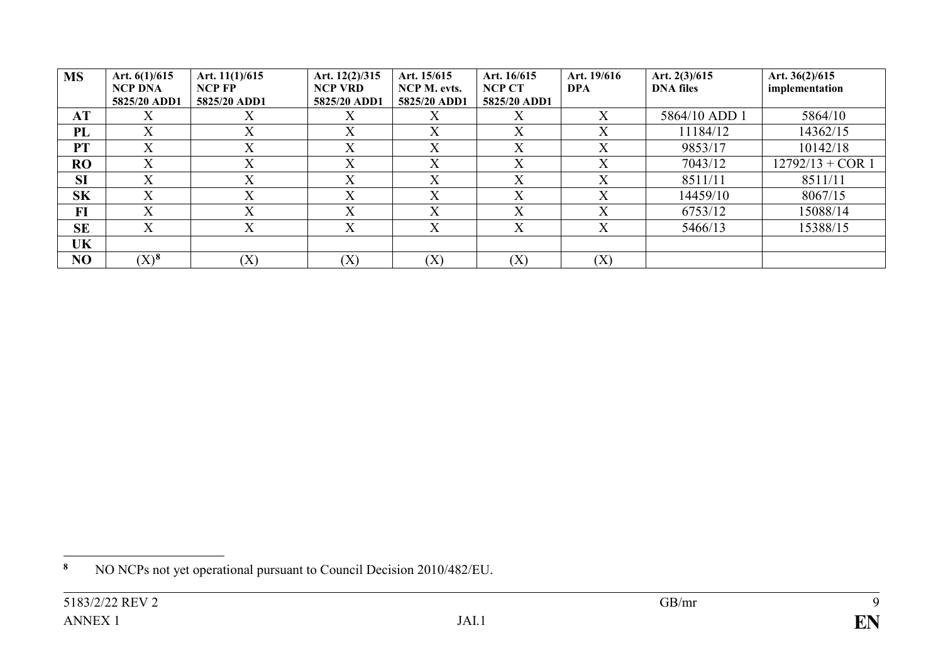| <b>MS</b> | Art. $6(1)/615$<br>NCP DNA<br>5825/20 ADD1 | Art. $11(1)/615$<br><b>NCP FP</b><br>5825/20 ADD1 | Art. 12(2)/315<br><b>NCP VRD</b><br>5825/20 ADD1 | Art. 15/615<br>NCP M. evts.<br>5825/20 ADD1 | Art. 16/615<br><b>NCP CT</b><br>5825/20 ADD1 | Art. 19/616<br><b>DPA</b> | Art. $2(3)/615$<br><b>DNA</b> files | Art. $36(2)/615$<br>implementation |
|-----------|--------------------------------------------|---------------------------------------------------|--------------------------------------------------|---------------------------------------------|----------------------------------------------|---------------------------|-------------------------------------|------------------------------------|
| AT        | X                                          | $\Lambda$                                         | X                                                | X                                           | Х                                            | X                         | 5864/10 ADD 1                       | 5864/10                            |
| PL        | $\overline{X}$                             | $\mathbf{v}$<br>$\Lambda$                         | X                                                | $\rm\overline{X}$                           | $\mathbf{v}$<br>$\Lambda$                    | X                         | 11184/12                            | 14362/15                           |
| PT        | $\overline{\mathrm{X}}$                    | $\mathbf{v}$<br>$\Lambda$                         | X                                                | $\rm\overline{X}$                           | $\overline{X}$                               | X                         | 9853/17                             | 10142/18                           |
| <b>RO</b> | X                                          | $\mathbf v$<br>$\Lambda$                          | X                                                | X                                           | X                                            | X                         | 7043/12                             | $12792/13 + COR$ 1                 |
| <b>SI</b> | $\mathbf X$                                | $\mathbf v$<br>$\lambda$                          | X                                                | X                                           | X                                            | X                         | 8511/11                             | 8511/11                            |
| <b>SK</b> | X                                          | $\mathbf v$<br>$\Lambda$                          | X                                                | X                                           | $\rm X$                                      | X                         | 14459/10                            | 8067/15                            |
| $FI$      | $\rm X$                                    | $\rm\overline{X}$                                 | X                                                | $\rm\overline{X}$                           | X                                            | X                         | 6753/12                             | 15088/14                           |
| <b>SE</b> | X                                          | $\rm\overline{X}$                                 | X                                                | X                                           | X                                            | X                         | 5466/13                             | 15388/15                           |
| UK        |                                            |                                                   |                                                  |                                             |                                              |                           |                                     |                                    |
| NO        | $(X)^8$                                    | (X)                                               | (X)                                              | (X)                                         | (X)                                          | (X)                       |                                     |                                    |

 $\pmb{8}$ **<sup>8</sup>** NO NCPs not yet operational pursuant to Council Decision 2010/482/EU.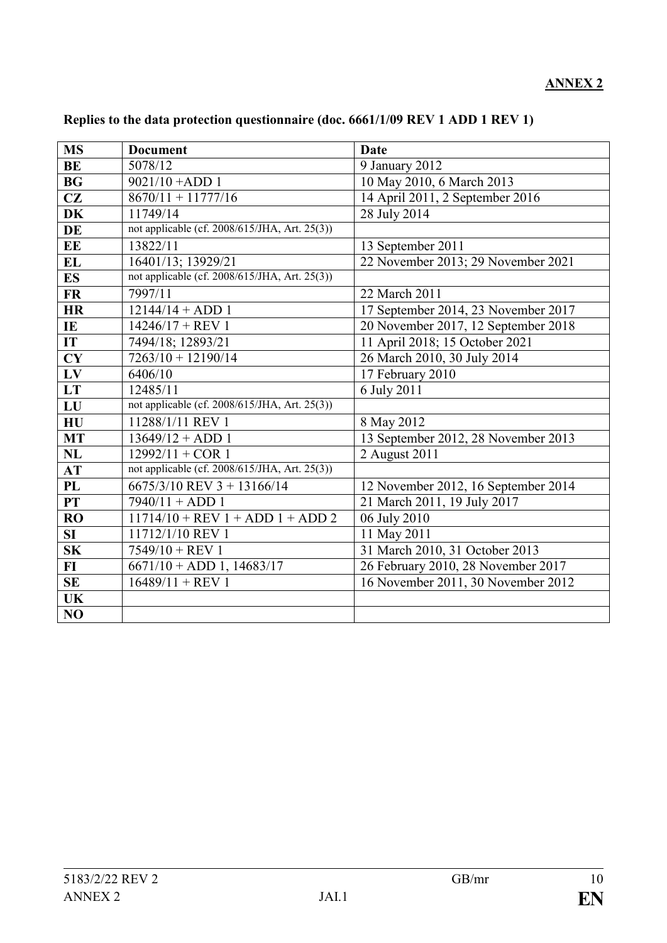# **ANNEX 2**

| <b>MS</b> | <b>Document</b>                               | <b>Date</b>                         |
|-----------|-----------------------------------------------|-------------------------------------|
| <b>BE</b> | 5078/12                                       | 9 January 2012                      |
| <b>BG</b> | $9021/10 + ADD 1$                             | 10 May 2010, 6 March 2013           |
| CZ        | $8670/11 + 11777/16$                          | 14 April 2011, 2 September 2016     |
| <b>DK</b> | 11749/14                                      | 28 July 2014                        |
| DE        | not applicable (cf. 2008/615/JHA, Art. 25(3)) |                                     |
| EE        | 13822/11                                      | 13 September 2011                   |
| <b>EL</b> | 16401/13; 13929/21                            | 22 November 2013; 29 November 2021  |
| <b>ES</b> | not applicable (cf. 2008/615/JHA, Art. 25(3)) |                                     |
| <b>FR</b> | 7997/11                                       | 22 March 2011                       |
| <b>HR</b> | $12144/14 + ADD 1$                            | 17 September 2014, 23 November 2017 |
| IE        | $14246/17 + REV1$                             | 20 November 2017, 12 September 2018 |
| IT        | 7494/18; 12893/21                             | 11 April 2018; 15 October 2021      |
| CY        | $7263/10 + 12190/14$                          | 26 March 2010, 30 July 2014         |
| LV        | 6406/10                                       | 17 February 2010                    |
| LT        | 12485/11                                      | 6 July 2011                         |
| LU        | not applicable (cf. 2008/615/JHA, Art. 25(3)) |                                     |
| H U       | 11288/1/11 REV 1                              | 8 May 2012                          |
| <b>MT</b> | $13649/12 + ADD 1$                            | 13 September 2012, 28 November 2013 |
| NL        | $12992/11 + COR$ 1                            | 2 August 2011                       |
| AT        | not applicable (cf. 2008/615/JHA, Art. 25(3)) |                                     |
| PL        | 6675/3/10 REV 3 + 13166/14                    | 12 November 2012, 16 September 2014 |
| PT        | $7940/11 + ADD 1$                             | 21 March 2011, 19 July 2017         |
| <b>RO</b> | $11714/10$ + REV 1 + ADD 1 + ADD 2            | 06 July 2010                        |
| SI        | 11712/1/10 REV 1                              | 11 May 2011                         |
| SK        | $7549/10 + REV1$                              | 31 March 2010, 31 October 2013      |
| $FI$      | $6671/10 + ADD 1, 14683/17$                   | 26 February 2010, 28 November 2017  |
| <b>SE</b> | $16489/11 + REV$ 1                            | 16 November 2011, 30 November 2012  |
| <b>UK</b> |                                               |                                     |
| NO        |                                               |                                     |

# **Replies to the data protection questionnaire (doc. 6661/1/09 REV 1 ADD 1 REV 1)**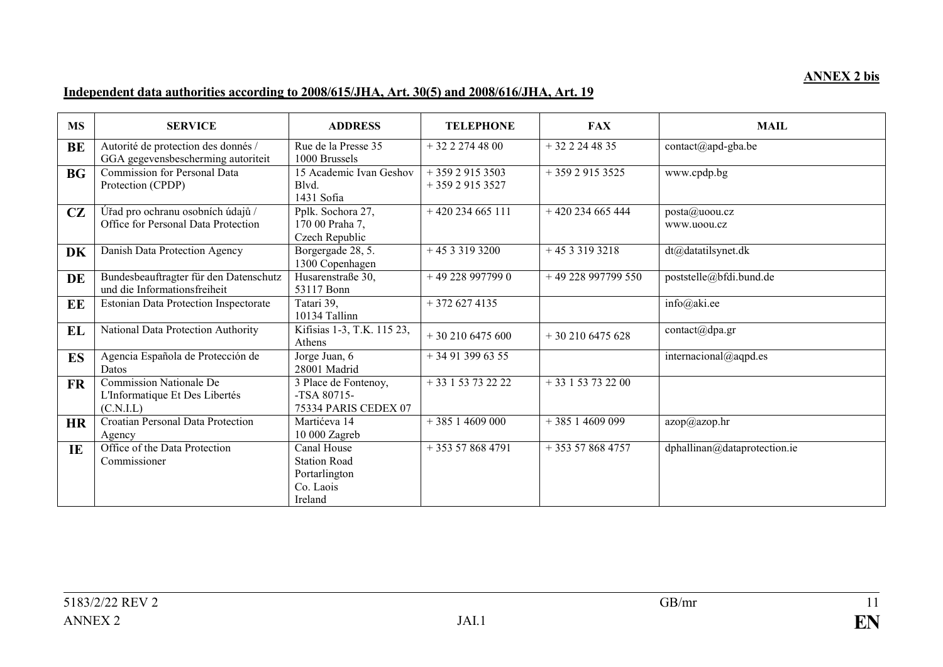### **ANNEX 2 bis**

#### **Independent data authorities according to 2008/615/JHA, Art. 30(5) and 2008/616/JHA, Art. 19**

| <b>MS</b> | <b>SERVICE</b>                                                                | <b>ADDRESS</b>                                                              | <b>TELEPHONE</b>                 | <b>FAX</b>          | <b>MAIL</b>                  |
|-----------|-------------------------------------------------------------------------------|-----------------------------------------------------------------------------|----------------------------------|---------------------|------------------------------|
| BE        | Autorité de protection des donnés /<br>GGA gegevensbescherming autoriteit     | Rue de la Presse 35<br>1000 Brussels                                        | $+3222744800$                    | $+322244835$        | contact@apd-gba.be           |
| <b>BG</b> | <b>Commission for Personal Data</b><br>Protection (CPDP)                      | 15 Academic Ivan Geshov<br>Blvd.<br>1431 Sofia                              | $+35929153503$<br>$+35929153527$ | $+35929153525$      | www.cpdp.bg                  |
| CZ        | Úřad pro ochranu osobních údajů /<br>Office for Personal Data Protection      | Pplk. Sochora 27,<br>170 00 Praha 7,<br>Czech Republic                      | $+420234665111$                  | $+420234665444$     | posta@uoou.cz<br>www.uoou.cz |
| DK        | Danish Data Protection Agency                                                 | Borgergade 28, 5.<br>1300 Copenhagen                                        | $+4533193200$                    | $+4533193218$       | dt@datatilsynet.dk           |
| DE        | Bundesbeauftragter für den Datenschutz<br>und die Informationsfreiheit        | Husarenstraße 30,<br>53117 Bonn                                             | $+492289977990$                  | $+49228997799550$   | poststelle@bfdi.bund.de      |
| EE        | <b>Estonian Data Protection Inspectorate</b>                                  | Tatari 39,<br>10134 Tallinn                                                 | $+3726274135$                    |                     | info@aki.ee                  |
| EL        | National Data Protection Authority                                            | Kifisias 1-3, T.K. 115 23,<br>Athens                                        | $+302106475600$                  | $+302106475628$     | contact@dpa.gr               |
| ES        | Agencia Española de Protección de<br>Datos                                    | Jorge Juan, 6<br>28001 Madrid                                               | $+34913996355$                   |                     | internacional@aqpd.es        |
| <b>FR</b> | <b>Commission Nationale De</b><br>L'Informatique Et Des Libertés<br>(C.N.I.L) | 3 Place de Fontenoy,<br>$-TSA$ 80715-<br>75334 PARIS CEDEX 07               | $+33153732222$                   | $+33$ 1 53 73 22 00 |                              |
| <b>HR</b> | Croatian Personal Data Protection<br>Agency                                   | Martićeva 14<br>10 000 Zagreb                                               | $+38514609000$                   | $+38514609099$      | azop@azop.hr                 |
| IE        | Office of the Data Protection<br>Commissioner                                 | Canal House<br><b>Station Road</b><br>Portarlington<br>Co. Laois<br>Ireland | $+353578684791$                  | $+353578684757$     | dphallinan@dataprotection.ie |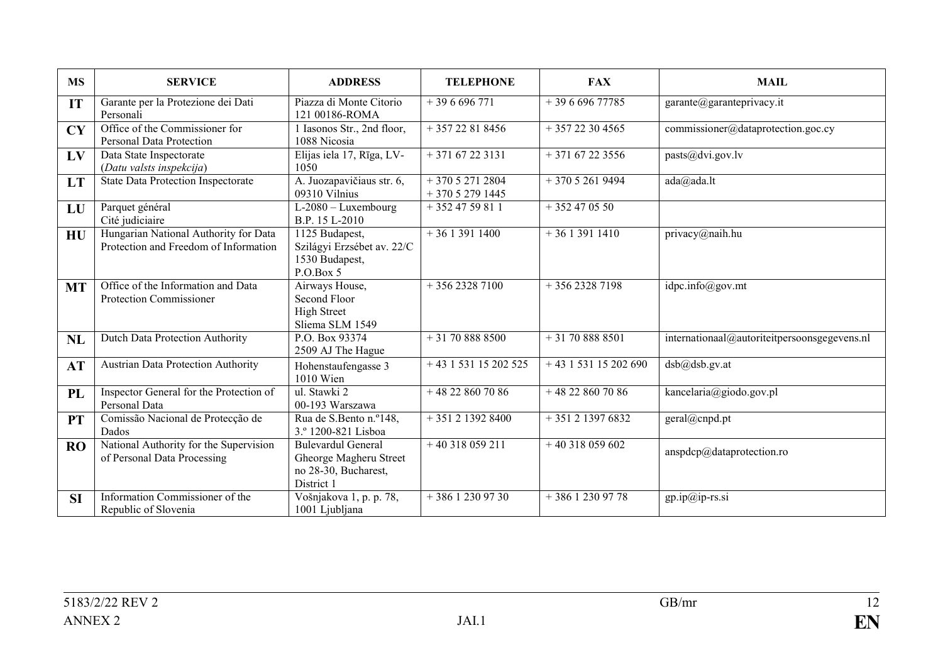| <b>MS</b> | <b>SERVICE</b>                                                                 | <b>ADDRESS</b>                                                                            | <b>TELEPHONE</b>                 | <b>FAX</b>             | <b>MAIL</b>                                  |
|-----------|--------------------------------------------------------------------------------|-------------------------------------------------------------------------------------------|----------------------------------|------------------------|----------------------------------------------|
| IT        | Garante per la Protezione dei Dati<br>Personali                                | Piazza di Monte Citorio<br>121 00186-ROMA                                                 | $+396696771$                     | $+39669677785$         | garante@garanteprivacy.it                    |
| <b>CY</b> | Office of the Commissioner for<br>Personal Data Protection                     | 1 Iasonos Str., 2nd floor,<br>1088 Nicosia                                                | $+35722818456$                   | $+35722304565$         | commissioner@dataprotection.goc.cy           |
| LV        | Data State Inspectorate<br>(Datu valsts inspekcija)                            | Elijas iela 17, Rīga, LV-<br>1050                                                         | $+37167223131$                   | $+37167223556$         | pasts@dvi.gov.lv                             |
| LT        | <b>State Data Protection Inspectorate</b>                                      | A. Juozapavičiaus str. 6,<br>09310 Vilnius                                                | $+37052712804$<br>$+37052791445$ | $+37052619494$         | ada@ada.lt                                   |
| LU        | Parquet général<br>Cité judiciaire                                             | $L-2080$ – Luxembourg<br>B.P. 15 L-2010                                                   | $+3524759811$                    | $+352470550$           |                                              |
| HU        | Hungarian National Authority for Data<br>Protection and Freedom of Information | 1125 Budapest,<br>Szilágyi Erzsébet av. 22/C<br>1530 Budapest,<br>P.O.Box 5               | $+3613911400$                    | $+3613911410$          | privacy@naih.hu                              |
| <b>MT</b> | Office of the Information and Data<br><b>Protection Commissioner</b>           | Airways House,<br>Second Floor<br><b>High Street</b><br>Sliema SLM 1549                   | $+35623287100$                   | $+35623287198$         | idpc.info(Qgov.mt)                           |
| NL        | Dutch Data Protection Authority                                                | P.O. Box 93374<br>2509 AJ The Hague                                                       | $+31708888500$                   | $+31708888501$         | internationaal@autoriteitpersoonsgegevens.nl |
| AT        | <b>Austrian Data Protection Authority</b>                                      | Hohenstaufengasse 3<br>1010 Wien                                                          | $+43$ 1 531 15 202 525           | $+43$ 1 531 15 202 690 | dsb@dsb.gv.at                                |
| <b>PL</b> | Inspector General for the Protection of<br>Personal Data                       | ul. Stawki 2<br>00-193 Warszawa                                                           | $+48228607086$                   | $+48228607086$         | kancelaria@giodo.gov.pl                      |
| <b>PT</b> | Comissão Nacional de Protecção de<br>Dados                                     | Rua de S.Bento n.º148,<br>3.º 1200-821 Lisboa                                             | $+351213928400$                  | $+351213976832$        | geral@cnpd.pt                                |
| <b>RO</b> | National Authority for the Supervision<br>of Personal Data Processing          | <b>Bulevardul General</b><br>Gheorge Magheru Street<br>no 28-30, Bucharest,<br>District 1 | $+40318059211$                   | $+40318059602$         | anspdcp@dataprotection.ro                    |
| <b>SI</b> | Information Commissioner of the<br>Republic of Slovenia                        | Vošnjakova 1, p. p. 78,<br>1001 Ljubljana                                                 | $+38612309730$                   | $+38612309778$         | gp.ip@ip-rs.si                               |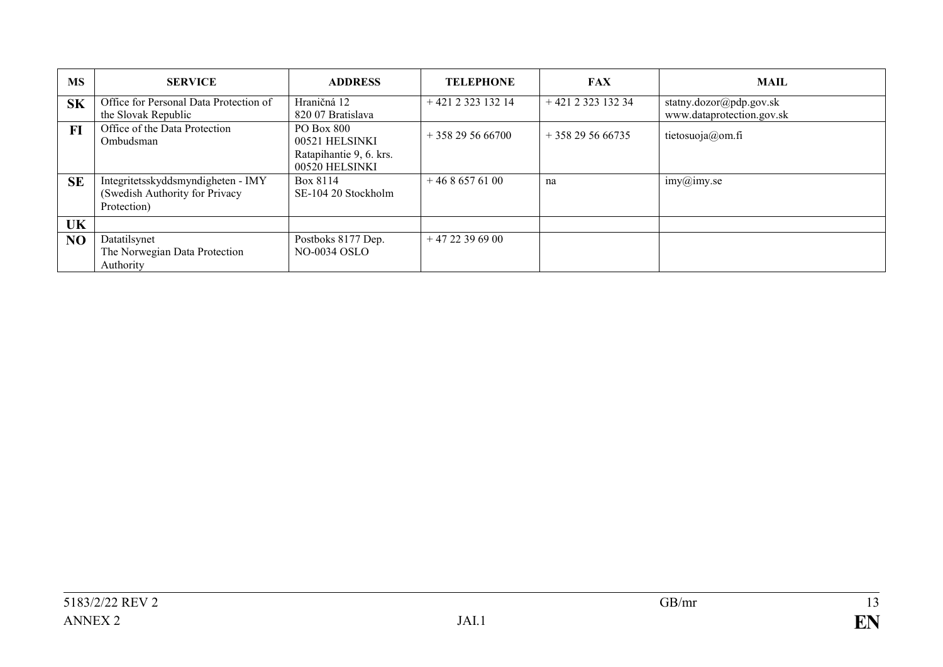| <b>MS</b> | <b>SERVICE</b>                                                                      | <b>ADDRESS</b>                                                 | <b>TELEPHONE</b> | <b>FAX</b>      | <b>MAIL</b>               |
|-----------|-------------------------------------------------------------------------------------|----------------------------------------------------------------|------------------|-----------------|---------------------------|
| <b>SK</b> | Office for Personal Data Protection of                                              | Hraničná 12                                                    | $+421232313214$  | $+421232313234$ | statny.dozor@pdp.gov.sk   |
|           | the Slovak Republic                                                                 | 820 07 Bratislava                                              |                  |                 | www.dataprotection.gov.sk |
| F1        | Office of the Data Protection<br>Ombudsman                                          | <b>PO Box 800</b><br>00521 HELSINKI<br>Ratapihantie 9, 6. krs. | $+358295666700$  | $+358295666735$ | tietosuoja@om.fi          |
|           |                                                                                     | 00520 HELSINKI                                                 |                  |                 |                           |
| <b>SE</b> | Integritetsskyddsmyndigheten - IMY<br>(Swedish Authority for Privacy<br>Protection) | Box 8114<br>SE-104 20 Stockholm                                | $+4686576100$    | na              | imy@imy.se                |
| UK        |                                                                                     |                                                                |                  |                 |                           |
| NO        | Datatilsynet<br>The Norwegian Data Protection<br>Authority                          | Postboks 8177 Dep.<br><b>NO-0034 OSLO</b>                      | $+4722396900$    |                 |                           |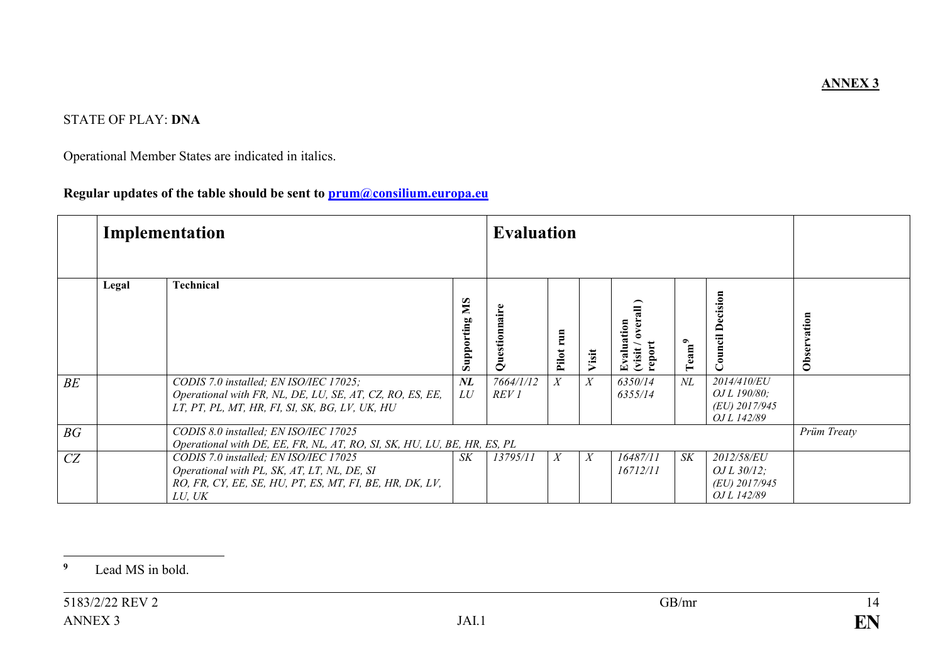# STATE OF PLAY: **DNA**

Operational Member States are indicated in italics.

## **Regular updates of the table should be sent to prum@consilium.europa.eu**

|    | Implementation                                                                                                   |                                                                                                                                                           |                  | <b>Evaluation</b>             |              |                  |                                               |                         |                                                                     |             |
|----|------------------------------------------------------------------------------------------------------------------|-----------------------------------------------------------------------------------------------------------------------------------------------------------|------------------|-------------------------------|--------------|------------------|-----------------------------------------------|-------------------------|---------------------------------------------------------------------|-------------|
|    | Legal                                                                                                            | <b>Technical</b>                                                                                                                                          | SM<br>Supporting | aire<br>○                     | run<br>Pilot | Visit            | over:<br>Evaluation<br>report<br><b>Visit</b> | $\Gamma \mathrm{eam}^9$ | <b>Council Decision</b>                                             | Observation |
| BE |                                                                                                                  | CODIS 7.0 installed; EN ISO/IEC 17025;<br>Operational with FR, NL, DE, LU, SE, AT, CZ, RO, ES, EE,<br>LT, PT, PL, MT, HR, FI, SI, SK, BG, LV, UK, HU      | $N\!L$<br>LU     | 7664/1/12<br>REV <sub>1</sub> | X            | $\boldsymbol{X}$ | 6350/14<br>6355/14                            | NL                      | 2014/410/EU<br><i>OJ L 190/80:</i><br>(EU) 2017/945<br>OJ L 142/89  |             |
| BG | CODIS 8.0 installed; EN ISO/IEC 17025<br>Operational with DE, EE, FR, NL, AT, RO, SI, SK, HU, LU, BE, HR, ES, PL |                                                                                                                                                           |                  |                               |              |                  |                                               |                         |                                                                     | Prüm Treaty |
| CZ |                                                                                                                  | CODIS 7.0 installed; EN ISO/IEC 17025<br>Operational with PL, SK, AT, LT, NL, DE, SI<br>RO, FR, CY, EE, SE, HU, PT, ES, MT, FI, BE, HR, DK, LV,<br>LU, UK | S K              | 13795/11                      | X            | X                | 16487/11<br>16712/11                          | <b>SK</b>               | <i>2012/58/EU</i><br>OJ L $30/12$ ;<br>(EU) 2017/945<br>OJ L 142/89 |             |

#### $\overline{9}$ **9** Lead MS in bold.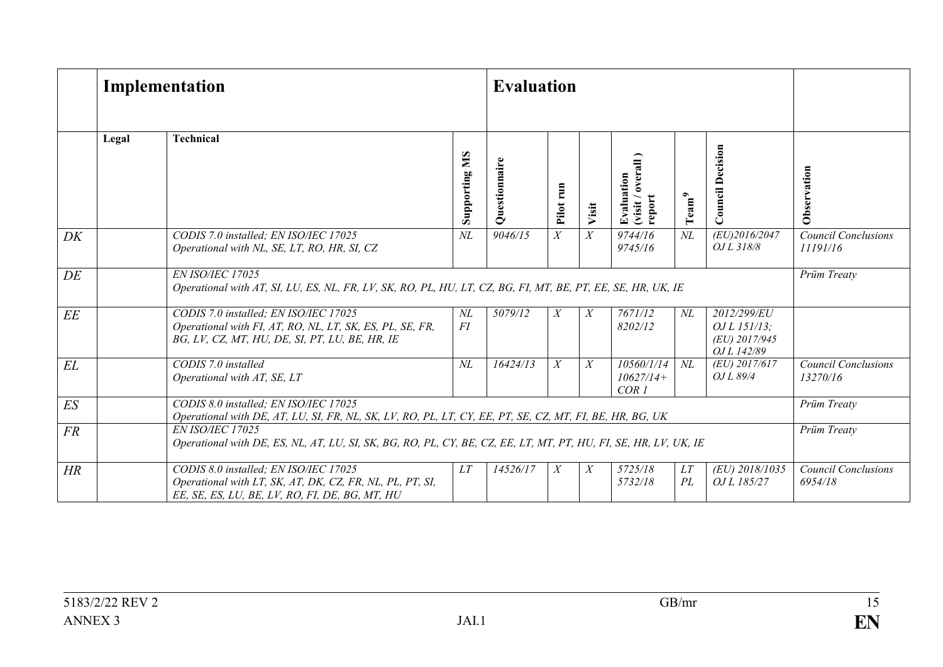|    |       | Implementation                                                                                                                                      |                  |                                 | <b>Evaluation</b> |                  |                                                             |                   |                                                             |                                        |
|----|-------|-----------------------------------------------------------------------------------------------------------------------------------------------------|------------------|---------------------------------|-------------------|------------------|-------------------------------------------------------------|-------------------|-------------------------------------------------------------|----------------------------------------|
|    | Legal | <b>Technical</b>                                                                                                                                    | SM<br>Supporting | aire<br>٦Ē<br>$\mathbf{\infty}$ | Pilot run         | Visit            | $\overline{a}$<br>over:<br>Evaluation<br>report<br>(visit / | Tean <sup>9</sup> | <b>Council Decision</b>                                     | Observation                            |
| DK |       | CODIS 7.0 installed; EN ISO/IEC 17025<br>Operational with NL, SE, LT, RO, HR, SI, CZ                                                                | $N\!L$           | 9046/15                         | X                 | $\boldsymbol{X}$ | $9744/\overline{16}$<br>9745/16                             | $N\!L$            | (EU)2016/2047<br>$0.1L$ $318/8$                             | <b>Council Conclusions</b><br>11191/16 |
| DE |       | EN ISO/IEC 17025<br>Operational with AT, SI, LU, ES, NL, FR, LV, SK, RO, PL, HU, LT, CZ, BG, FI, MT, BE, PT, EE, SE, HR, UK, IE                     |                  |                                 |                   |                  |                                                             |                   |                                                             | Prüm Treaty                            |
| EE |       | CODIS 7.0 installed; EN ISO/IEC 17025<br>Operational with FI, AT, RO, NL, LT, SK, ES, PL, SE, FR,<br>BG, LV, CZ, MT, HU, DE, SI, PT, LU, BE, HR, IE | $N\!L$<br>FI     | 5079/12                         | $\boldsymbol{X}$  | X                | $\frac{1}{7671/12}$<br>8202/12                              | $N\!L$            | 2012/299/EU<br>OJ L 151/13;<br>(EU) 2017/945<br>OJ L 142/89 |                                        |
| EL |       | CODIS 7.0 installed<br>Operational with AT, SE, LT                                                                                                  | $N\!L$           | 16424/13                        | $\boldsymbol{X}$  | $\boldsymbol{X}$ | 10560/1/14<br>$10627/14+$<br>COR <sub>1</sub>               | $N\!L$            | (EU) 2017/617<br>OJ L 89/4                                  | <b>Council Conclusions</b><br>13270/16 |
| ES |       | CODIS 8.0 installed; EN ISO/IEC 17025<br>Operational with DE, AT, LU, SI, FR, NL, SK, LV, RO, PL, LT, CY, EE, PT, SE, CZ, MT, FI, BE, HR, BG, UK    |                  |                                 |                   |                  |                                                             |                   |                                                             | Prüm Treaty                            |
| FR |       | EN ISO/IEC 17025<br>Operational with DE, ES, NL, AT, LU, SI, SK, BG, RO, PL, CY, BE, CZ, EE, LT, MT, PT, HU, FI, SE, HR, LV, UK, IE                 |                  |                                 |                   |                  |                                                             |                   | Prüm Treaty                                                 |                                        |
| HR |       | CODIS 8.0 installed; EN ISO/IEC 17025<br>Operational with LT, SK, AT, DK, CZ, FR, NL, PL, PT, SI,<br>EE, SE, ES, LU, BE, LV, RO, FI, DE, BG, MT, HU | LT               | 14526/17                        | X                 | $\boldsymbol{X}$ | 5725/18<br>5732/18                                          | LT<br>PL          | (EU) 2018/1035<br>OJ L 185/27                               | <b>Council Conclusions</b><br>6954/18  |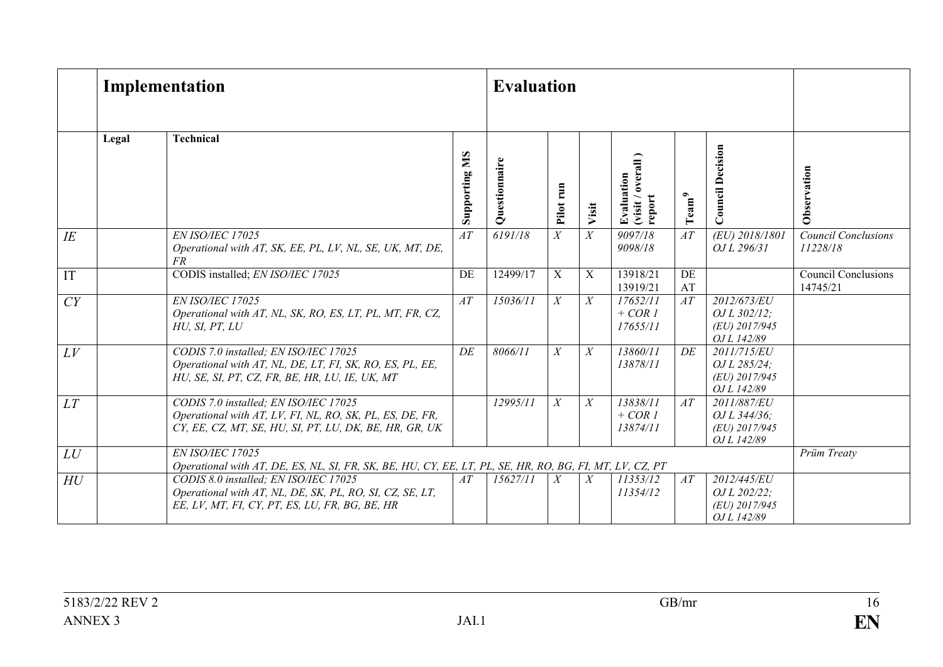|    | Implementation                                                                                                              |                                                                                                                                                             |                  | <b>Evaluation</b> |                |                  |                                          |                   |                                                              |                                        |
|----|-----------------------------------------------------------------------------------------------------------------------------|-------------------------------------------------------------------------------------------------------------------------------------------------------------|------------------|-------------------|----------------|------------------|------------------------------------------|-------------------|--------------------------------------------------------------|----------------------------------------|
|    | Legal                                                                                                                       | <b>Technical</b>                                                                                                                                            | SM<br>Supporting | uestionnaire<br>Ō | Pilot run      | Visit            | (visit / overall<br>Evaluation<br>report | $\mathrm{Team}^9$ | <b>Council Decision</b>                                      | Observation                            |
| IE |                                                                                                                             | EN ISO/IEC 17025<br>Operational with AT, SK, EE, PL, LV, NL, SE, UK, MT, DE,<br><i>FR</i>                                                                   | AT               | 6191/18           | $\overline{X}$ | $\overline{X}$   | 9097/18<br>9098/18                       | AT                | (EU) 2018/1801<br>OJ L 296/31                                | <b>Council Conclusions</b><br>11228/18 |
| IT |                                                                                                                             | CODIS installed; EN ISO/IEC 17025                                                                                                                           | DE               | 12499/17          | X              | $\mathbf X$      | 13918/21<br>13919/21                     | DE<br>AT          |                                                              | <b>Council Conclusions</b><br>14745/21 |
| CY |                                                                                                                             | EN ISO/IEC 17025<br>Operational with AT, NL, SK, RO, ES, LT, PL, MT, FR, CZ,<br>HU, SI, PT, LU                                                              | AT               | 15036/11          | X              | X                | 17652/11<br>$+ COR1$<br>17655/11         | AT                | 2012/673/EU<br>$QJL$ 302/12;<br>(EU) 2017/945<br>OJ L 142/89 |                                        |
| LV |                                                                                                                             | CODIS 7.0 installed; EN ISO/IEC 17025<br>Operational with AT, NL, DE, LT, FI, SK, RO, ES, PL, EE,<br>HU, SE, SI, PT, CZ, FR, BE, HR, LU, IE, UK, MT         | DE               | 8066/11           | X              | X                | 13860/11<br>13878/11                     | DE                | 2011/715/EU<br>OJ L 285/24;<br>(EU) 2017/945<br>OJ L 142/89  |                                        |
| LT |                                                                                                                             | CODIS 7.0 installed; EN ISO/IEC 17025<br>Operational with AT, LV, FI, NL, RO, SK, PL, ES, DE, FR,<br>CY, EE, CZ, MT, SE, HU, SI, PT, LU, DK, BE, HR, GR, UK |                  | 12995/11          | X              | $\boldsymbol{X}$ | 13838/11<br>$+ COR1$<br>13874/11         | AT                | 2011/887/EU<br>OJ L 344/36;<br>(EU) 2017/945<br>OJ L 142/89  |                                        |
| LU | EN ISO/IEC 17025<br>Operational with AT, DE, ES, NL, SI, FR, SK, BE, HU, CY, EE, LT, PL, SE, HR, RO, BG, FI, MT, LV, CZ, PT |                                                                                                                                                             |                  |                   |                |                  |                                          |                   | Prüm Treaty                                                  |                                        |
| HU |                                                                                                                             | CODIS 8.0 installed; EN ISO/IEC 17025<br>Operational with AT, NL, DE, SK, PL, RO, SI, CZ, SE, LT,<br>EE, LV, MT, FI, CY, PT, ES, LU, FR, BG, BE, HR         | AT               | 15627/11          | $\overline{X}$ | X                | 11353/12<br>11354/12                     | AT                | 2012/445/EU<br>OJ L 202/22;<br>(EU) 2017/945<br>OJ L 142/89  |                                        |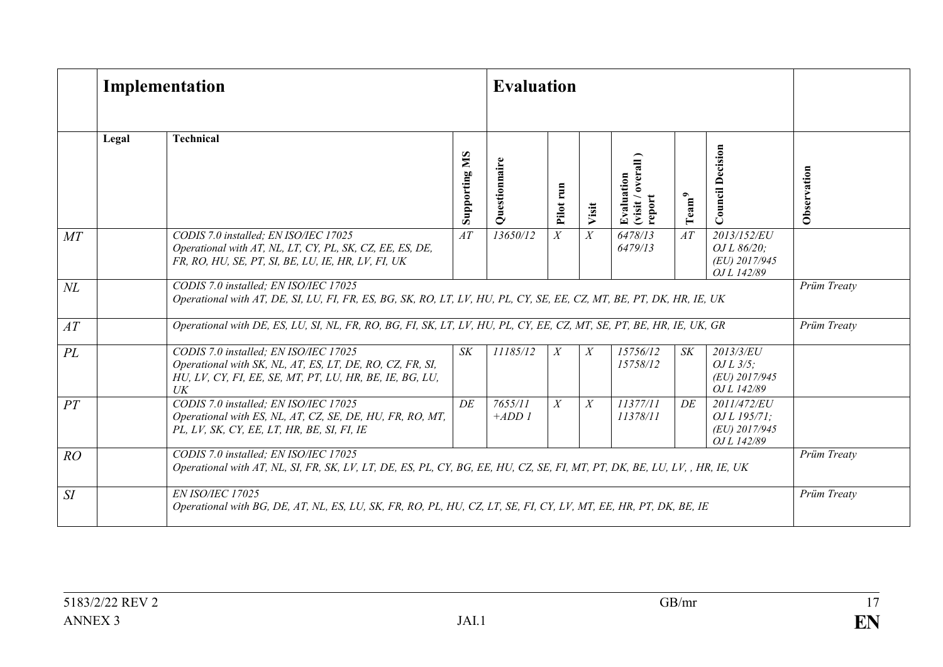|        | Implementation |                                                                                                                                                                        |                          | <b>Evaluation</b>  |                  |                  |                                          |                   |                                                                   |             |
|--------|----------------|------------------------------------------------------------------------------------------------------------------------------------------------------------------------|--------------------------|--------------------|------------------|------------------|------------------------------------------|-------------------|-------------------------------------------------------------------|-------------|
|        | Legal          | <b>Technical</b>                                                                                                                                                       | <b>NIS</b><br>Supporting | uestionnair<br>Ō   | Pilot run        | Visit            | (visit / overall<br>Evaluation<br>report | $\mathrm{Team}^9$ | <b>Council Decision</b>                                           | Observation |
| MT     |                | CODIS 7.0 installed; EN ISO/IEC 17025<br>Operational with AT, NL, LT, CY, PL, SK, CZ, EE, ES, DE,<br>FR, RO, HU, SE, PT, SI, BE, LU, IE, HR, LV, FI, UK                | AT                       | 13650/12           | $\overline{X}$   | $\overline{X}$   | 6478/13<br>6479/13                       | AT                | 2013/152/EU<br>OJ L 86/20;<br>(EU) 2017/945<br>OJ L 142/89        |             |
| $N\!L$ |                | CODIS 7.0 installed; EN ISO/IEC 17025<br>Operational with AT, DE, SI, LU, FI, FR, ES, BG, SK, RO, LT, LV, HU, PL, CY, SE, EE, CZ, MT, BE, PT, DK, HR, IE, UK           |                          |                    |                  |                  |                                          |                   |                                                                   | Prüm Treaty |
| AT     |                | Operational with DE, ES, LU, SI, NL, FR, RO, BG, FI, SK, LT, LV, HU, PL, CY, EE, CZ, MT, SE, PT, BE, HR, IE, UK, GR                                                    |                          |                    |                  |                  |                                          |                   |                                                                   | Prüm Treaty |
| PL     |                | CODIS 7.0 installed; EN ISO/IEC 17025<br>Operational with SK, NL, AT, ES, LT, DE, RO, CZ, FR, SI,<br>HU, LV, CY, FI, EE, SE, MT, PT, LU, HR, BE, IE, BG, LU,<br>$U\!K$ | <b>SK</b>                | 11185/12           | $\boldsymbol{X}$ | $\boldsymbol{X}$ | $\frac{1}{5756/12}$<br>15758/12          | <b>SK</b>         | 2013/3/EU<br>OJ L $3/5$ ;<br>(EU) 2017/945<br>OJ L 142/89         |             |
| PT     |                | CODIS 7.0 installed; EN ISO/IEC 17025<br>Operational with ES, NL, AT, CZ, SE, DE, HU, FR, RO, MT,<br>PL, LV, SK, CY, EE, LT, HR, BE, SI, FI, IE                        | DE                       | 7655/11<br>$+ADD1$ | X                | X                | 11377/11<br>11378/11                     | DE                | 2011/472/EU<br><i>OJL</i> 195/71:<br>(EU) 2017/945<br>OJ L 142/89 |             |
| RO     |                | CODIS 7.0 installed; EN ISO/IEC 17025<br>Operational with AT, NL, SI, FR, SK, LV, LT, DE, ES, PL, CY, BG, EE, HU, CZ, SE, FI, MT, PT, DK, BE, LU, LV, , HR, IE, UK     |                          |                    |                  |                  |                                          |                   |                                                                   | Prüm Treaty |
| SI     |                | EN ISO/IEC 17025<br>Operational with BG, DE, AT, NL, ES, LU, SK, FR, RO, PL, HU, CZ, LT, SE, FI, CY, LV, MT, EE, HR, PT, DK, BE, IE                                    |                          |                    |                  |                  |                                          |                   |                                                                   | Prüm Treaty |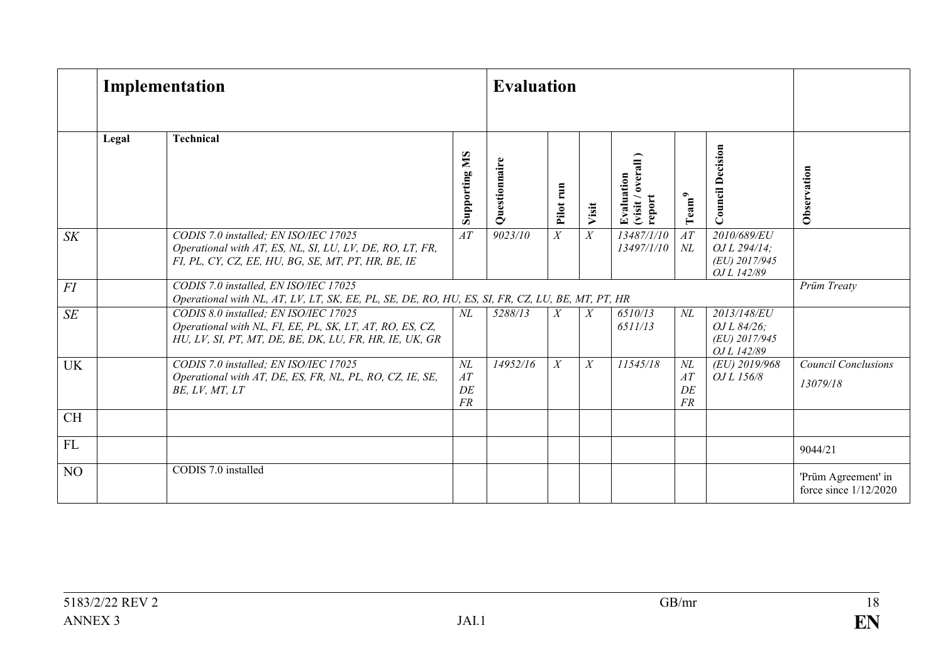|                | Implementation |                                                                                                                                                             |                          | <b>Evaluation</b> |                  |       |                                          |                          |                                                             |                                                |
|----------------|----------------|-------------------------------------------------------------------------------------------------------------------------------------------------------------|--------------------------|-------------------|------------------|-------|------------------------------------------|--------------------------|-------------------------------------------------------------|------------------------------------------------|
|                | Legal          | <b>Technical</b>                                                                                                                                            | <b>NIS</b><br>Supporting | Questionnaire     | Pilot run        | Visit | (visit / overall<br>Evaluation<br>report | $\mathrm{Team}^9$        | <b>Council Decision</b>                                     | Observation                                    |
| S K            |                | CODIS 7.0 installed; EN ISO/IEC 17025<br>Operational with AT, ES, NL, SI, LU, LV, DE, RO, LT, FR,<br>FI, PL, CY, CZ, EE, HU, BG, SE, MT, PT, HR, BE, IE     | $\overline{AT}$          | 9023/10           | $\boldsymbol{X}$ | X     | 13487/1/10<br>13497/1/10                 | AT<br>$N\!L$             | 2010/689/EU<br>OJ L 294/14;<br>(EU) 2017/945<br>OJ L 142/89 |                                                |
| FI             |                | CODIS 7.0 installed, EN ISO/IEC 17025<br>Operational with NL, AT, LV, LT, SK, EE, PL, SE, DE, RO, HU, ES, SI, FR, CZ, LU, BE, MT, PT, HR                    |                          |                   |                  |       |                                          |                          |                                                             | Prüm Treaty                                    |
| SE             |                | CODIS 8.0 installed; EN ISO/IEC 17025<br>Operational with NL, FI, EE, PL, SK, LT, AT, RO, ES, CZ,<br>HU, LV, SI, PT, MT, DE, BE, DK, LU, FR, HR, IE, UK, GR | $N\!L$                   | 5288/13           | $\boldsymbol{X}$ | X     | 6510/13<br>6511/13                       | $N\!L$                   | 2013/148/EU<br>OJ L 84/26;<br>(EU) 2017/945<br>OJ L 142/89  |                                                |
| <b>UK</b>      |                | CODIS 7.0 installed; EN ISO/IEC 17025<br>Operational with AT, DE, ES, FR, NL, PL, RO, CZ, IE, SE,<br>BE, LV, MT, LT                                         | $N\!L$<br>AT<br>DE<br>FR | 14952/16          | $\boldsymbol{X}$ | X     | 11545/18                                 | $N\!L$<br>AT<br>DE<br>FR | (EU) 2019/968<br>OJ L 156/8                                 | <b>Council Conclusions</b><br>13079/18         |
| <b>CH</b>      |                |                                                                                                                                                             |                          |                   |                  |       |                                          |                          |                                                             |                                                |
| FL             |                |                                                                                                                                                             |                          |                   |                  |       |                                          |                          |                                                             | 9044/21                                        |
| N <sub>O</sub> |                | CODIS 7.0 installed                                                                                                                                         |                          |                   |                  |       |                                          |                          |                                                             | 'Prüm Agreement' in<br>force since $1/12/2020$ |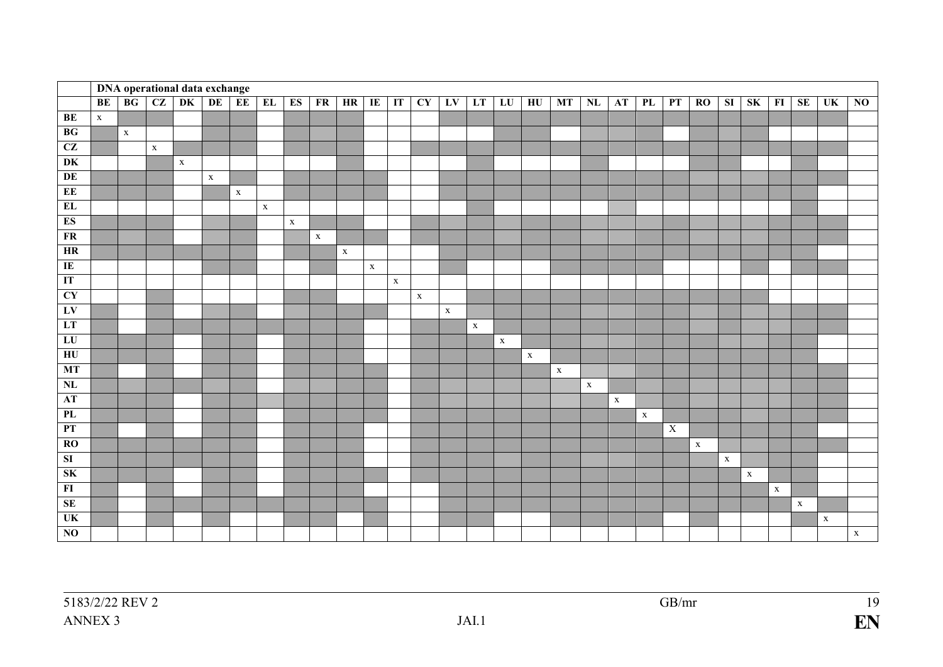|                                            |             |             |             | <b>DNA</b> operational data exchange |             |             |             |             |             |             |             |              |                        |              |             |             |                 |             |             |             |             |                |             |              |                        |             |             |                 |                 |
|--------------------------------------------|-------------|-------------|-------------|--------------------------------------|-------------|-------------|-------------|-------------|-------------|-------------|-------------|--------------|------------------------|--------------|-------------|-------------|-----------------|-------------|-------------|-------------|-------------|----------------|-------------|--------------|------------------------|-------------|-------------|-----------------|-----------------|
|                                            | <b>BE</b>   | BG          | CZ          | DK                                   | DE          | EE          | EL          | ES          | FR          | HR          | IE          | IT           | $\overline{\text{CY}}$ | LV           | LT          | LU          | $\overline{HU}$ | MT          | NL          | <b>AT</b>   | PL          | PT             | RO          | SI           | $\overline{\text{SK}}$ | F1          | SE          | $\overline{UK}$ | $\overline{NQ}$ |
| BE                                         | $\mathbf X$ |             |             |                                      |             |             |             |             |             |             |             |              |                        |              |             |             |                 |             |             |             |             |                |             |              |                        |             |             |                 |                 |
| BG                                         |             | $\mathbf X$ |             |                                      |             |             |             |             |             |             |             |              |                        |              |             |             |                 |             |             |             |             |                |             |              |                        |             |             |                 |                 |
| CZ                                         |             |             | $\mathbf X$ |                                      |             |             |             |             |             |             |             |              |                        |              |             |             |                 |             |             |             |             |                |             |              |                        |             |             |                 |                 |
| $\overline{\text{DK}}$                     |             |             |             | $\mathbf X$                          |             |             |             |             |             |             |             |              |                        |              |             |             |                 |             |             |             |             |                |             |              |                        |             |             |                 |                 |
| DE                                         |             |             |             |                                      | $\mathbf X$ |             |             |             |             |             |             |              |                        |              |             |             |                 |             |             |             |             |                |             |              |                        |             |             |                 |                 |
| EE                                         |             |             |             |                                      |             | $\mathbf X$ |             |             |             |             |             |              |                        |              |             |             |                 |             |             |             |             |                |             |              |                        |             |             |                 |                 |
| EL                                         |             |             |             |                                      |             |             | $\mathbf X$ |             |             |             |             |              |                        |              |             |             |                 |             |             |             |             |                |             |              |                        |             |             |                 |                 |
| ES                                         |             |             |             |                                      |             |             |             | $\mathbf X$ |             |             |             |              |                        |              |             |             |                 |             |             |             |             |                |             |              |                        |             |             |                 |                 |
| FR                                         |             |             |             |                                      |             |             |             |             | $\mathbf X$ |             |             |              |                        |              |             |             |                 |             |             |             |             |                |             |              |                        |             |             |                 |                 |
| $\ensuremath{\mathop{\mathrm{HR}}}\xspace$ |             |             |             |                                      |             |             |             |             |             | $\mathbf X$ |             |              |                        |              |             |             |                 |             |             |             |             |                |             |              |                        |             |             |                 |                 |
| $\overline{\rm I\hspace{-0.2em}E}$         |             |             |             |                                      |             |             |             |             |             |             | $\mathbf X$ |              |                        |              |             |             |                 |             |             |             |             |                |             |              |                        |             |             |                 |                 |
| IT                                         |             |             |             |                                      |             |             |             |             |             |             |             | $\mathbf{X}$ |                        |              |             |             |                 |             |             |             |             |                |             |              |                        |             |             |                 |                 |
| CY                                         |             |             |             |                                      |             |             |             |             |             |             |             |              | $\mathbf X$            |              |             |             |                 |             |             |             |             |                |             |              |                        |             |             |                 |                 |
| LV                                         |             |             |             |                                      |             |             |             |             |             |             |             |              |                        | $\mathbf{x}$ |             |             |                 |             |             |             |             |                |             |              |                        |             |             |                 |                 |
| LT                                         |             |             |             |                                      |             |             |             |             |             |             |             |              |                        |              | $\mathbf X$ |             |                 |             |             |             |             |                |             |              |                        |             |             |                 |                 |
| ${\rm LU}$                                 |             |             |             |                                      |             |             |             |             |             |             |             |              |                        |              |             | $\mathbf X$ |                 |             |             |             |             |                |             |              |                        |             |             |                 |                 |
| ${\rm H}{\rm U}$                           |             |             |             |                                      |             |             |             |             |             |             |             |              |                        |              |             |             | $\mathbf{X}$    |             |             |             |             |                |             |              |                        |             |             |                 |                 |
| MT                                         |             |             |             |                                      |             |             |             |             |             |             |             |              |                        |              |             |             |                 | $\mathbf X$ |             |             |             |                |             |              |                        |             |             |                 |                 |
| NL                                         |             |             |             |                                      |             |             |             |             |             |             |             |              |                        |              |             |             |                 |             | $\mathbf X$ |             |             |                |             |              |                        |             |             |                 |                 |
| AT                                         |             |             |             |                                      |             |             |             |             |             |             |             |              |                        |              |             |             |                 |             |             | $\mathbf X$ |             |                |             |              |                        |             |             |                 |                 |
| PL                                         |             |             |             |                                      |             |             |             |             |             |             |             |              |                        |              |             |             |                 |             |             |             | $\mathbf X$ |                |             |              |                        |             |             |                 |                 |
| PT                                         |             |             |             |                                      |             |             |             |             |             |             |             |              |                        |              |             |             |                 |             |             |             |             | $\overline{X}$ |             |              |                        |             |             |                 |                 |
| RO                                         |             |             |             |                                      |             |             |             |             |             |             |             |              |                        |              |             |             |                 |             |             |             |             |                | $\mathbf X$ |              |                        |             |             |                 |                 |
| SI                                         |             |             |             |                                      |             |             |             |             |             |             |             |              |                        |              |             |             |                 |             |             |             |             |                |             | $\mathbf{x}$ |                        |             |             |                 |                 |
| SK                                         |             |             |             |                                      |             |             |             |             |             |             |             |              |                        |              |             |             |                 |             |             |             |             |                |             |              | $\mathbf X$            |             |             |                 |                 |
| $\overline{\bf H}$                         |             |             |             |                                      |             |             |             |             |             |             |             |              |                        |              |             |             |                 |             |             |             |             |                |             |              |                        | $\mathbf X$ |             |                 |                 |
| SE                                         |             |             |             |                                      |             |             |             |             |             |             |             |              |                        |              |             |             |                 |             |             |             |             |                |             |              |                        |             | $\mathbf X$ |                 |                 |
| $\overline{\text{UK}}$                     |             |             |             |                                      |             |             |             |             |             |             |             |              |                        |              |             |             |                 |             |             |             |             |                |             |              |                        |             |             | $\mathbf X$     |                 |
| $\bf NO$                                   |             |             |             |                                      |             |             |             |             |             |             |             |              |                        |              |             |             |                 |             |             |             |             |                |             |              |                        |             |             |                 | $\mathbf X$     |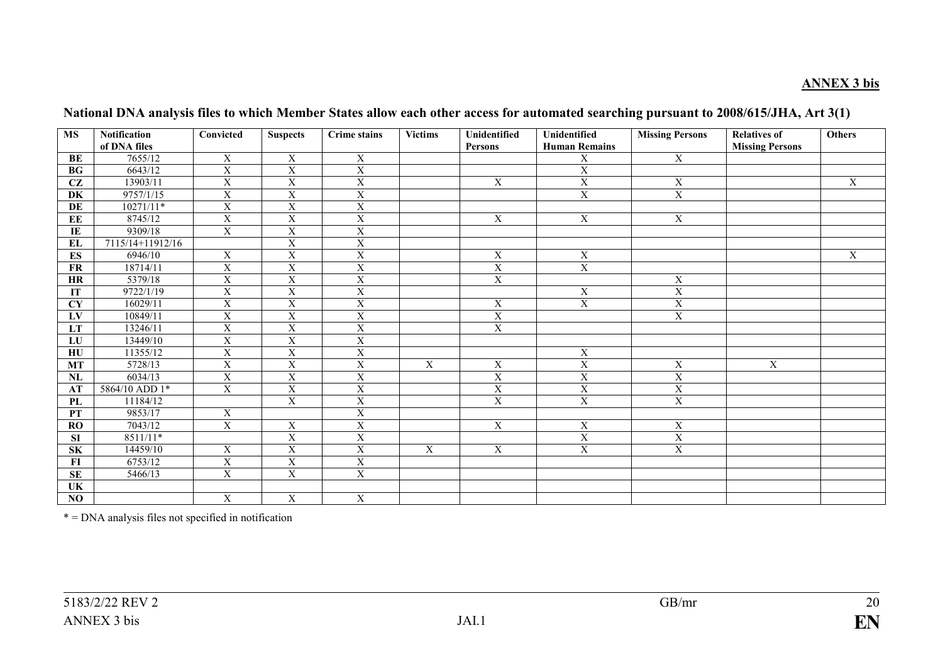### **ANNEX 3 bis**

| <b>MS</b>              | <b>Notification</b><br>of DNA files | Convicted               | <b>Suspects</b>         | <b>Crime</b> stains     | <b>Victims</b> | Unidentified            | Unidentified            | <b>Missing Persons</b>  | <b>Relatives of</b>    | <b>Others</b> |
|------------------------|-------------------------------------|-------------------------|-------------------------|-------------------------|----------------|-------------------------|-------------------------|-------------------------|------------------------|---------------|
|                        | 7655/12                             |                         |                         |                         |                | <b>Persons</b>          | <b>Human Remains</b>    |                         | <b>Missing Persons</b> |               |
| BE                     |                                     | $\mathbf X$             | $\mathbf X$             | $\mathbf X$             |                |                         | $\mathbf X$             | $\overline{X}$          |                        |               |
| <b>BG</b>              | 6643/12                             | $\mathbf X$             | $\mathbf X$             | $\mathbf X$             |                |                         | $\mathbf X$             |                         |                        |               |
| $\overline{\text{CZ}}$ | 13903/11                            | $\overline{X}$          | $\overline{\mathbf{X}}$ | $\overline{X}$          |                | $\mathbf X$             | $\overline{X}$          | $\overline{\textbf{X}}$ |                        | $\mathbf X$   |
| DK                     | 9757/1/15                           | $\overline{X}$          | $\overline{X}$          | $\overline{X}$          |                |                         | $\overline{\mathbf{X}}$ | $\overline{\textbf{X}}$ |                        |               |
| DE                     | $10271/11*$                         | $\overline{X}$          | $\overline{X}$          | $\overline{X}$          |                |                         |                         |                         |                        |               |
| $\mathbf{EE}$          | 8745/12                             | $\mathbf X$             | $\mathbf X$             | $\mathbf X$             |                | X                       | $\mathbf X$             | $\mathbf X$             |                        |               |
| $\bf I\bf E$           | 9309/18                             | $\mathbf X$             | $\mathbf X$             | $\mathbf X$             |                |                         |                         |                         |                        |               |
| $\mathbf{EL}$          | 7115/14+11912/16                    |                         | $\overline{X}$          | $\overline{X}$          |                |                         |                         |                         |                        |               |
| ES                     | 6946/10                             | $\mathbf X$             | $\mathbf X$             | $\mathbf X$             |                | $\mathbf X$             | $\mathbf X$             |                         |                        | $\mathbf X$   |
| <b>FR</b>              | 18714/11                            | $\overline{X}$          | $\overline{X}$          | $\overline{X}$          |                | $\overline{\mathbf{X}}$ | $\overline{X}$          |                         |                        |               |
| HR                     | 5379/18                             | $\overline{X}$          | $\overline{X}$          | $\overline{X}$          |                | $\overline{X}$          |                         | $\overline{X}$          |                        |               |
| IT                     | 9722/1/19                           | $\overline{X}$          | $\overline{X}$          | $\overline{X}$          |                |                         | $\mathbf X$             | $\overline{X}$          |                        |               |
| <b>CY</b>              | 16029/11                            | $\mathbf X$             | $\overline{X}$          | $\overline{X}$          |                | $\overline{X}$          | $\overline{X}$          | $\overline{X}$          |                        |               |
| LV                     | 10849/11                            | $\overline{\text{X}}$   | $\overline{X}$          | $\overline{\text{X}}$   |                | $\overline{X}$          |                         | $\overline{\text{X}}$   |                        |               |
| LT                     | 13246/11                            | $\overline{X}$          | $\overline{X}$          | $\overline{X}$          |                | $\overline{X}$          |                         |                         |                        |               |
| LU                     | 13449/10                            | $\mathbf X$             | $\mathbf X$             | $\mathbf X$             |                |                         |                         |                         |                        |               |
| ${\bf H}{\bf U}$       | 11355/12                            | $\overline{X}$          | $\overline{X}$          | $\overline{X}$          |                |                         | $\mathbf X$             |                         |                        |               |
| <b>MT</b>              | 5728/13                             | $\mathbf X$             | $\overline{\mathbf{X}}$ | $\mathbf X$             | $\mathbf X$    | X                       | $\mathbf X$             | $\mathbf X$             | $\mathbf X$            |               |
| NL                     | 6034/13                             | $\mathbf X$             | $\mathbf X$             | $\mathbf X$             |                | $\mathbf X$             | $\overline{X}$          | $\overline{\textbf{X}}$ |                        |               |
| AT                     | 5864/10 ADD 1*                      | $\mathbf X$             | $\overline{\mathbf{X}}$ | $\mathbf X$             |                | $\mathbf X$             | $\mathbf X$             | $\mathbf X$             |                        |               |
| $\mathbf{PL}$          | 11184/12                            |                         | $\overline{X}$          | $\overline{X}$          |                | $\overline{\mathrm{X}}$ | $\overline{X}$          | $\overline{\textbf{X}}$ |                        |               |
| PT                     | 9853/17                             | X                       |                         | $\mathbf X$             |                |                         |                         |                         |                        |               |
| RO                     | 7043/12                             | $\overline{X}$          | $\mathbf X$             | $\overline{X}$          |                | $\overline{\mathbf{X}}$ | $\mathbf X$             | $\overline{\mathbf{X}}$ |                        |               |
| <b>SI</b>              | 8511/11*                            |                         | $\mathbf X$             | $\mathbf X$             |                |                         | $\mathbf X$             | $\overline{X}$          |                        |               |
| ${\bf S}{\bf K}$       | 14459/10                            | X                       | $\overline{X}$          | $\overline{X}$          | X              | X                       | $\overline{X}$          | $\overline{X}$          |                        |               |
| F1                     | 6753/12                             | $\overline{\textbf{X}}$ | $\overline{X}$          | $\overline{\textbf{X}}$ |                |                         |                         |                         |                        |               |
| $\mathbf{SE}$          | 5466/13                             | $\mathbf X$             | $\mathbf X$             | $\mathbf X$             |                |                         |                         |                         |                        |               |
| UK                     |                                     |                         |                         |                         |                |                         |                         |                         |                        |               |
| NO                     |                                     | X                       | X                       | $\mathbf X$             |                |                         |                         |                         |                        |               |

**National DNA analysis files to which Member States allow each other access for automated searching pursuant to 2008/615/JHA, Art 3(1)** 

\* = DNA analysis files not specified in notification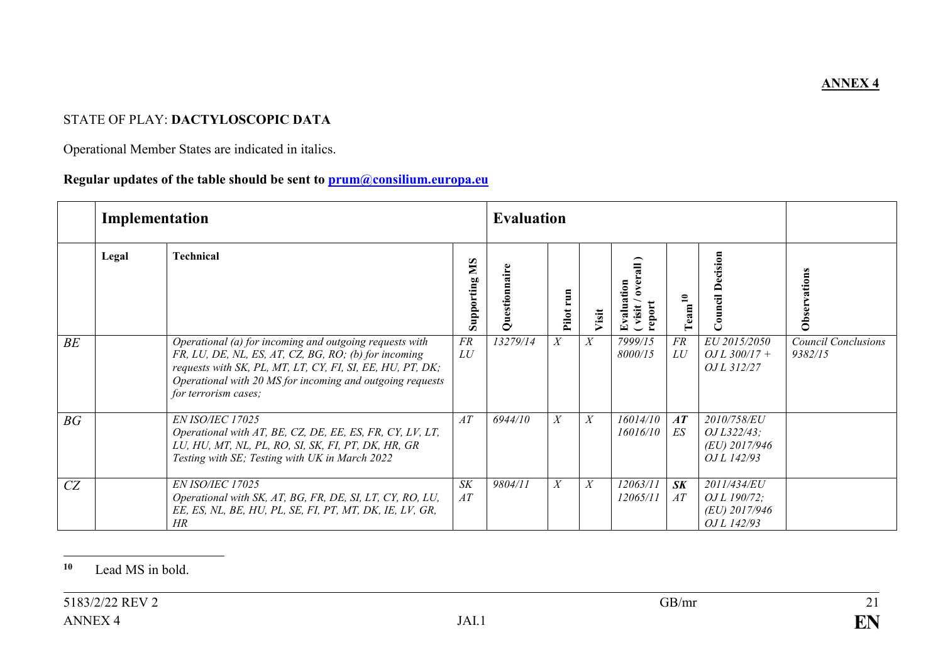## STATE OF PLAY: **DACTYLOSCOPIC DATA**

Operational Member States are indicated in italics.

### **Regular updates of the table should be sent to prum@consilium.europa.eu**

|    | Implementation |                                                                                                                                                                                                                                                                   |                   | <b>Evaluation</b> |       |                  |                                     |                              |                                                                      |                                       |
|----|----------------|-------------------------------------------------------------------------------------------------------------------------------------------------------------------------------------------------------------------------------------------------------------------|-------------------|-------------------|-------|------------------|-------------------------------------|------------------------------|----------------------------------------------------------------------|---------------------------------------|
|    | Legal          | <b>Technical</b>                                                                                                                                                                                                                                                  | SIN<br>Supporting | Questionnair      | Pilot | Visit            | Evaluation<br>ye<br>report<br>visit | $\mathbf{a}$<br>$\Gamma$ eam | ecision<br>≏<br>ق<br>د                                               | Observations                          |
| BE |                | Operational (a) for incoming and outgoing requests with<br>FR, LU, DE, NL, ES, AT, CZ, BG, RO; (b) for incoming<br>requests with SK, PL, MT, LT, CY, FI, SI, EE, HU, PT, DK;<br>Operational with 20 MS for incoming and outgoing requests<br>for terrorism cases; | FR<br>LU          | 13279/14          | X     | $\boldsymbol{X}$ | 7999/15<br>8000/15                  | FR<br>LU                     | EU 2015/2050<br>$QJL$ 300/17 +<br><i>OJ L 312/27</i>                 | <b>Council Conclusions</b><br>9382/15 |
| BG |                | <b>EN ISO/IEC 17025</b><br>Operational with AT, BE, CZ, DE, EE, ES, FR, CY, LV, LT,<br>LU, HU, MT, NL, PL, RO, SI, SK, FI, PT, DK, HR, GR<br>Testing with SE; Testing with UK in March 2022                                                                       | AT                | 6944/10           | X     | X                | 16014/10<br>16016/10                | AT<br>ES                     | 2010/758/EU<br>OJ L322/43;<br>(EU) 2017/946<br><i>OJ L 142/93</i>    |                                       |
| CZ |                | <b>EN ISO/IEC 17025</b><br>Operational with SK, AT, BG, FR, DE, SI, LT, CY, RO, LU,<br>EE, ES, NL, BE, HU, PL, SE, FI, PT, MT, DK, IE, LV, GR,<br>HR                                                                                                              | <b>SK</b><br>AT   | 9804/11           | X     | X                | 12063/11<br>12065/11                | S K<br>AT                    | 2011/434/EU<br><i>OJ L 190/72;</i><br>$(EU)$ 2017/946<br>OJ L 142/93 |                                       |

#### $10$ Lead MS in bold.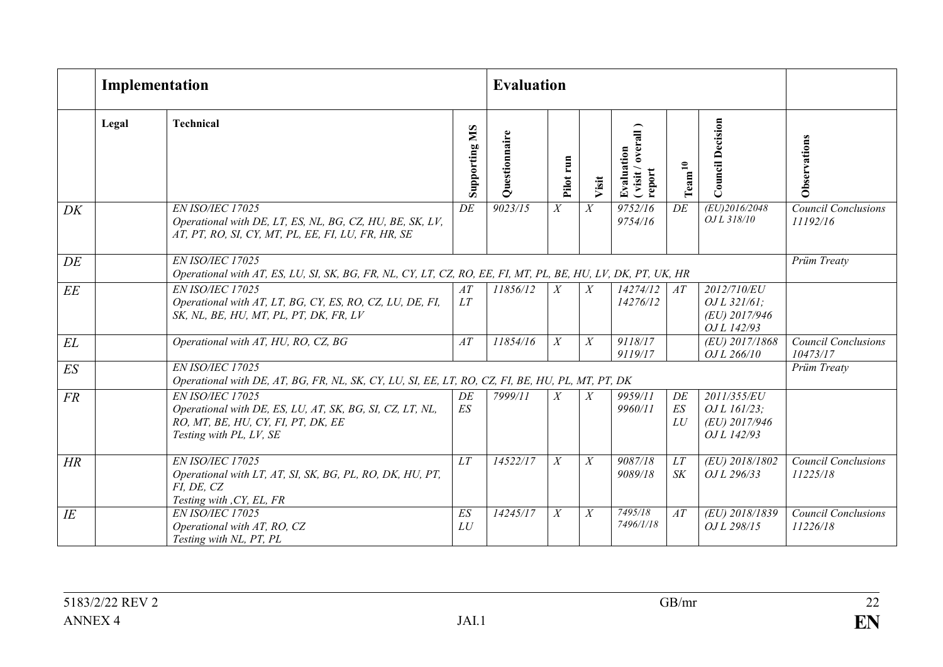|        |       | Implementation                                                                                                                                |                  | <b>Evaluation</b> |                |       |                                           |                               |                                                              |                                        |
|--------|-------|-----------------------------------------------------------------------------------------------------------------------------------------------|------------------|-------------------|----------------|-------|-------------------------------------------|-------------------------------|--------------------------------------------------------------|----------------------------------------|
|        | Legal | <b>Technical</b>                                                                                                                              | SM<br>Supporting | Questionnaire     | run<br>Pilot   | Visit | (visit / overall)<br>Evaluation<br>report | $\mathrm{Team}^{\mathbf{10}}$ | <b>Council Decision</b>                                      | Observations                           |
| DK     |       | EN ISO/IEC 17025<br>Operational with DE, LT, ES, NL, BG, CZ, HU, BE, SK, LV,<br>AT, PT, RO, SI, CY, MT, PL, EE, FI, LU, FR, HR, SE            | DE               | 9023/15           | X              | X     | 9752/16<br>9754/16                        | DE                            | (EU)2016/2048<br>OJ L 318/10                                 | <b>Council Conclusions</b><br>11192/16 |
| DE     |       | EN ISO/IEC 17025<br>Operational with AT, ES, LU, SI, SK, BG, FR, NL, CY, LT, CZ, RO, EE, FI, MT, PL, BE, HU, LV, DK, PT, UK, HR               |                  |                   |                |       |                                           |                               |                                                              | Prüm Treaty                            |
| EE     |       | EN ISO/IEC 17025<br>Operational with AT, LT, BG, CY, ES, RO, CZ, LU, DE, FI,<br>SK, NL, BE, HU, MT, PL, PT, DK, FR, LV                        | AT<br>LT         | 11856/12          | X              | X     | 14274/12<br>14276/12                      | AT                            | 2012/710/EU<br>$QJL$ 321/61;<br>(EU) 2017/946<br>OJ L 142/93 |                                        |
| EL     |       | Operational with AT, HU, RO, CZ, BG                                                                                                           | AT               | 11854/16          | X              | X     | 9118/17<br>9119/17                        |                               | (EU) 2017/1868<br>OJ L 266/10                                | <b>Council Conclusions</b><br>10473/17 |
| ES     |       | <b>EN ISO/IEC 17025</b><br>Operational with DE, AT, BG, FR, NL, SK, CY, LU, SI, EE, LT, RO, CZ, FI, BE, HU, PL, MT, PT, DK                    |                  |                   |                |       |                                           |                               |                                                              | Prüm Treaty                            |
| FR     |       | EN ISO/IEC 17025<br>Operational with DE, ES, LU, AT, SK, BG, SI, CZ, LT, NL,<br>RO, MT, BE, HU, CY, FI, PT, DK, EE<br>Testing with PL, LV, SE | DE<br>ES         | 7999/11           | X              | X     | 9959/11<br>9960/11                        | DE<br>ES<br>LU                | 2011/355/EU<br>OJ L 161/23;<br>(EU) 2017/946<br>OJ L 142/93  |                                        |
| HR     |       | EN ISO/IEC 17025<br>Operational with LT, AT, SI, SK, BG, PL, RO, DK, HU, PT,<br>FI, DE, CZ<br>Testing with , CY, EL, FR                       | LT               | 14522/17          | $\overline{X}$ | X     | 9087/18<br>9089/18                        | LT<br>S K                     | (EU) 2018/1802<br>OJ L 296/33                                | <b>Council Conclusions</b><br>11225/18 |
| $I\!E$ |       | EN ISO/IEC 17025<br>Operational with AT, RO, CZ<br>Testing with NL, PT, PL                                                                    | ES<br>LU         | 14245/17          | X              | X     | 7495/18<br>7496/1/18                      | AT                            | (EU) 2018/1839<br>OJ L 298/15                                | <b>Council Conclusions</b><br>11226/18 |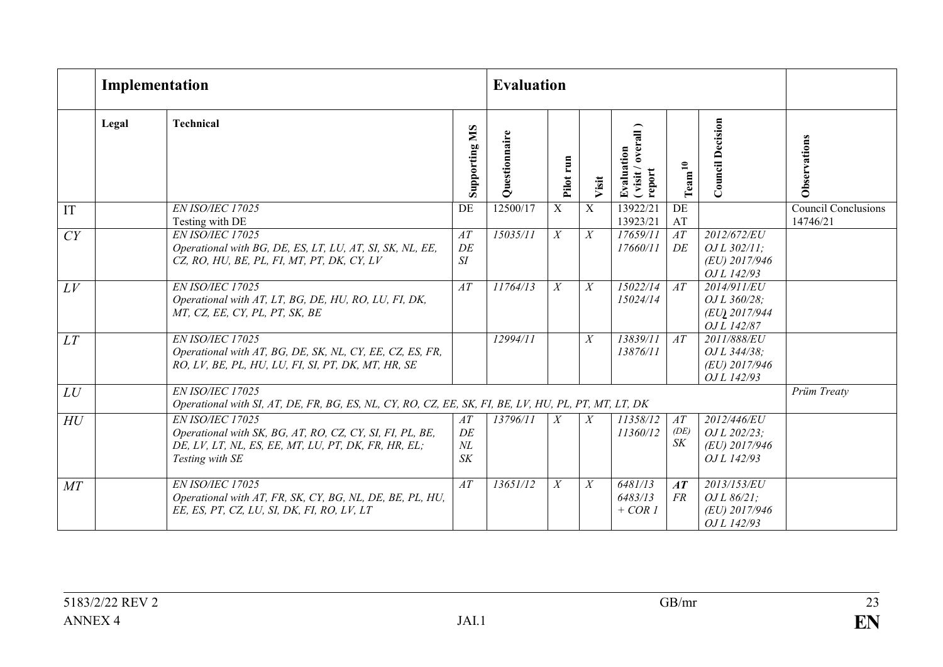|     |       | Implementation                                                                                                                                         |                           | <b>Evaluation</b> |                  |                  |                                             |                       |                                                              |                                        |
|-----|-------|--------------------------------------------------------------------------------------------------------------------------------------------------------|---------------------------|-------------------|------------------|------------------|---------------------------------------------|-----------------------|--------------------------------------------------------------|----------------------------------------|
|     | Legal | <b>Technical</b>                                                                                                                                       | SM<br>Supporting          | Questionnaire     | run<br>Pilot     | Visit            | Evaluation<br>( visit / overall )<br>report | $\mathrm{Team^{10}}$  | <b>Council Decision</b>                                      | Observations                           |
| IT  |       | EN ISO/IEC 17025<br>Testing with DE                                                                                                                    | DE                        | 12500/17          | $\overline{X}$   | $\overline{X}$   | 13922/21<br>13923/21                        | DE<br>AT              |                                                              | <b>Council Conclusions</b><br>14746/21 |
| CY  |       | EN ISO/IEC 17025<br>Operational with BG, DE, ES, LT, LU, AT, SI, SK, NL, EE,<br>CZ, RO, HU, BE, PL, FI, MT, PT, DK, CY, LV                             | AT<br>DE<br>SI            | 15035/11          | $\overline{X}$   | X                | 17659/11<br>17660/11                        | $\overline{AT}$<br>DE | 2012/672/EU<br>$QJL$ 302/11;<br>(EU) 2017/946<br>OJ L 142/93 |                                        |
| LV  |       | EN ISO/IEC 17025<br>Operational with AT, LT, BG, DE, HU, RO, LU, FI, DK,<br>MT, CZ, EE, CY, PL, PT, SK, BE                                             | AT                        | 11764/13          | X                | $\boldsymbol{X}$ | 15022/14<br>15024/14                        | AT                    | 2014/911/EU<br>OJ L 360/28;<br>(EU) 2017/944<br>OJ L 142/87  |                                        |
| LT  |       | EN ISO/IEC 17025<br>Operational with AT, BG, DE, SK, NL, CY, EE, CZ, ES, FR,<br>RO, LV, BE, PL, HU, LU, FI, SI, PT, DK, MT, HR, SE                     |                           | 12994/11          |                  | X                | 13839/11<br>13876/11                        | AT                    | 2011/888/EU<br>OJ L 344/38;<br>(EU) 2017/946<br>OJ L 142/93  |                                        |
| LU  |       | EN ISO/IEC 17025<br>Operational with SI, AT, DE, FR, BG, ES, NL, CY, RO, CZ, EE, SK, FI, BE, LV, HU, PL, PT, MT, LT, DK                                |                           |                   |                  |                  |                                             |                       |                                                              | Prüm Treaty                            |
| H U |       | EN ISO/IEC 17025<br>Operational with SK, BG, AT, RO, CZ, CY, SI, FI, PL, BE,<br>DE, LV, LT, NL, ES, EE, MT, LU, PT, DK, FR, HR, EL;<br>Testing with SE | AT<br>DE<br>$N\!L$<br>S K | 13796/11          | X                | X                | 11358/12<br>11360/12                        | AT<br>(DE)<br>SK      | 2012/446/EU<br>OJ L 202/23;<br>(EU) 2017/946<br>OJ L 142/93  |                                        |
| MT  |       | EN ISO/IEC 17025<br>Operational with AT, FR, SK, CY, BG, NL, DE, BE, PL, HU,<br>EE, ES, PT, CZ, LU, SI, DK, FI, RO, LV, LT                             | AT                        | 13651/12          | $\boldsymbol{X}$ | X                | 6481/13<br>6483/13<br>$+ COR1$              | AT<br><b>FR</b>       | 2013/153/EU<br>$OJL$ 86/21;<br>(EU) 2017/946<br>OJ L 142/93  |                                        |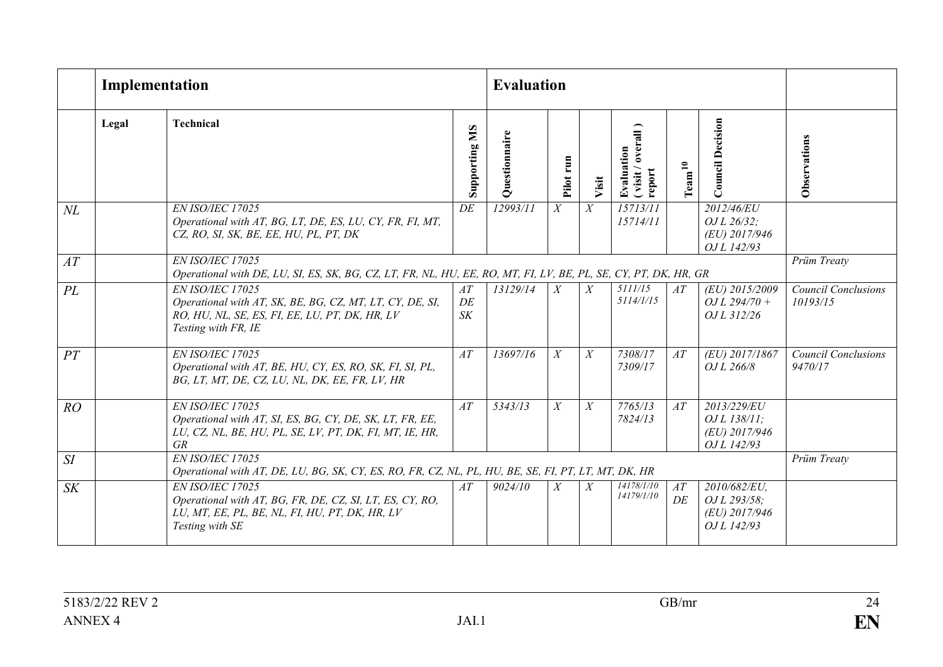|        |       | Implementation                                                                                                                                        |                  | <b>Evaluation</b> |                  |                |                                         |                               |                                                                          |                                        |
|--------|-------|-------------------------------------------------------------------------------------------------------------------------------------------------------|------------------|-------------------|------------------|----------------|-----------------------------------------|-------------------------------|--------------------------------------------------------------------------|----------------------------------------|
|        | Legal | <b>Technical</b>                                                                                                                                      | SM<br>Supporting | Questionnaire     | run<br>Pilot     | Visit          | (visit/overall)<br>Evaluation<br>report | $\mathrm{Tean}^{\mathbf{10}}$ | <b>Council Decision</b>                                                  | Observations                           |
| $N\!L$ |       | EN ISO/IEC 17025<br>Operational with AT, BG, LT, DE, ES, LU, CY, FR, FI, MT,<br>CZ, RO, SI, SK, BE, EE, HU, PL, PT, DK                                | DE               | 12993/11          | $\boldsymbol{X}$ | X              | 15713/11<br>15714/11                    |                               | 2012/46/EU<br>OJ L 26/32;<br>(EU) 2017/946<br>OJ L 142/93                |                                        |
| AT     |       | EN ISO/IEC 17025<br>Operational with DE, LU, SI, ES, SK, BG, CZ, LT, FR, NL, HU, EE, RO, MT, FI, LV, BE, PL, SE, CY, PT, DK, HR, GR                   |                  |                   |                  |                |                                         |                               |                                                                          | Prüm Treaty                            |
| PL     |       | EN ISO/IEC 17025<br>Operational with AT, SK, BE, BG, CZ, MT, LT, CY, DE, SI,<br>RO, HU, NL, SE, ES, FI, EE, LU, PT, DK, HR, LV<br>Testing with FR, IE | AT<br>DE<br>S K  | 13129/14          | $\boldsymbol{X}$ | X              | 5111/15<br>5114/1/15                    | AT                            | (EU) 2015/2009<br>$OL$ 294/70 +<br>OJ L 312/26                           | <b>Council Conclusions</b><br>10193/15 |
| PT     |       | EN ISO/IEC 17025<br>Operational with AT, BE, HU, CY, ES, RO, SK, FI, SI, PL,<br>BG, LT, MT, DE, CZ, LU, NL, DK, EE, FR, LV, HR                        | AT               | 13697/16          | $\boldsymbol{X}$ | $\overline{X}$ | 7308/17<br>7309/17                      | AT                            | (EU) 2017/1867<br>OJ L 266/8                                             | <b>Council Conclusions</b><br>9470/17  |
| RO     |       | EN ISO/IEC 17025<br>Operational with AT, SI, ES, BG, CY, DE, SK, LT, FR, EE,<br>LU, CZ, NL, BE, HU, PL, SE, LV, PT, DK, FI, MT, IE, HR,<br>GR         | AT               | 5343/13           | X                | X              | 7765/13<br>7824/13                      | AT                            | 2013/229/EU<br>OJ L 138/11;<br>$(EU)$ 2017/946<br>OJ L 142/93            |                                        |
| SI     |       | EN ISO/IEC 17025<br>Operational with AT, DE, LU, BG, SK, CY, ES, RO, FR, CZ, NL, PL, HU, BE, SE, FI, PT, LT, MT, DK, HR                               |                  |                   |                  |                |                                         |                               |                                                                          | Prüm Treaty                            |
| S K    |       | EN ISO/IEC 17025<br>Operational with AT, BG, FR, DE, CZ, SI, LT, ES, CY, RO,<br>LU, MT, EE, PL, BE, NL, FI, HU, PT, DK, HR, LV<br>Testing with SE     | AT               | 9024/10           | X                | X              | 14178/1/10<br>14179/1/10                | AT<br>DE                      | $2010/682/\overline{EU}$<br>OJ L 293/58:<br>(EU) 2017/946<br>OJ L 142/93 |                                        |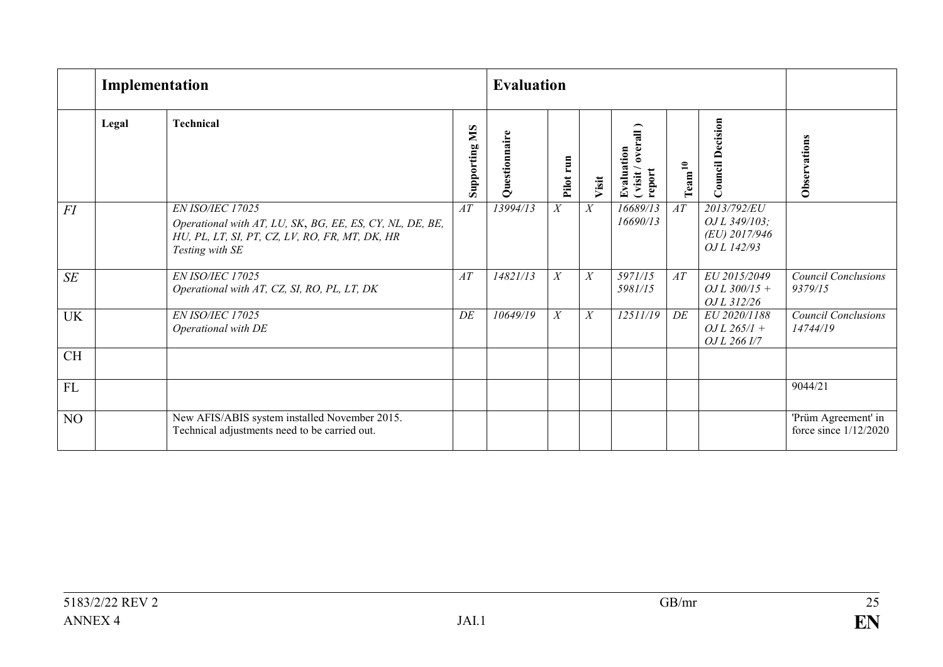|           | Implementation |                                                                                                                                                   |                  | <b>Evaluation</b> |              |       |                                         |                    |                                                              |                                                |
|-----------|----------------|---------------------------------------------------------------------------------------------------------------------------------------------------|------------------|-------------------|--------------|-------|-----------------------------------------|--------------------|--------------------------------------------------------------|------------------------------------------------|
|           | Legal          | <b>Technical</b>                                                                                                                                  | SM<br>Supporting | Questionnaire     | run<br>Pilot | Visit | Evaluation<br>(visit/overall)<br>report | Tean <sup>10</sup> | <b>Council Decision</b>                                      | Observations                                   |
| FI        |                | EN ISO/IEC 17025<br>Operational with AT, LU, SK, BG, EE, ES, CY, NL, DE, BE,<br>HU, PL, LT, SI, PT, CZ, LV, RO, FR, MT, DK, HR<br>Testing with SE | AT               | 13994/13          | X            | X     | 16689/13<br>16690/13                    | AT                 | 2013/792/EU<br>OJ L 349/103;<br>(EU) 2017/946<br>OJ L 142/93 |                                                |
| SE        |                | EN ISO/IEC 17025<br>Operational with AT, CZ, SI, RO, PL, LT, DK                                                                                   | AT               | 14821/13          | X            | X     | 5971/15<br>5981/15                      | AT                 | EU 2015/2049<br>$OJL$ 300/15 +<br>OJ L 312/26                | <b>Council Conclusions</b><br>9379/15          |
| <b>UK</b> |                | EN ISO/IEC 17025<br>Operational with DE                                                                                                           | DE               | 10649/19          | X            | X     | 12511/19                                | DE                 | EU 2020/1188<br>$OJL$ 265/1 +<br>OJ L 266 I/7                | <b>Council Conclusions</b><br>14744/19         |
| <b>CH</b> |                |                                                                                                                                                   |                  |                   |              |       |                                         |                    |                                                              |                                                |
| <b>FL</b> |                |                                                                                                                                                   |                  |                   |              |       |                                         |                    |                                                              | 9044/21                                        |
| NO        |                | New AFIS/ABIS system installed November 2015.<br>Technical adjustments need to be carried out.                                                    |                  |                   |              |       |                                         |                    |                                                              | 'Prüm Agreement' in<br>force since $1/12/2020$ |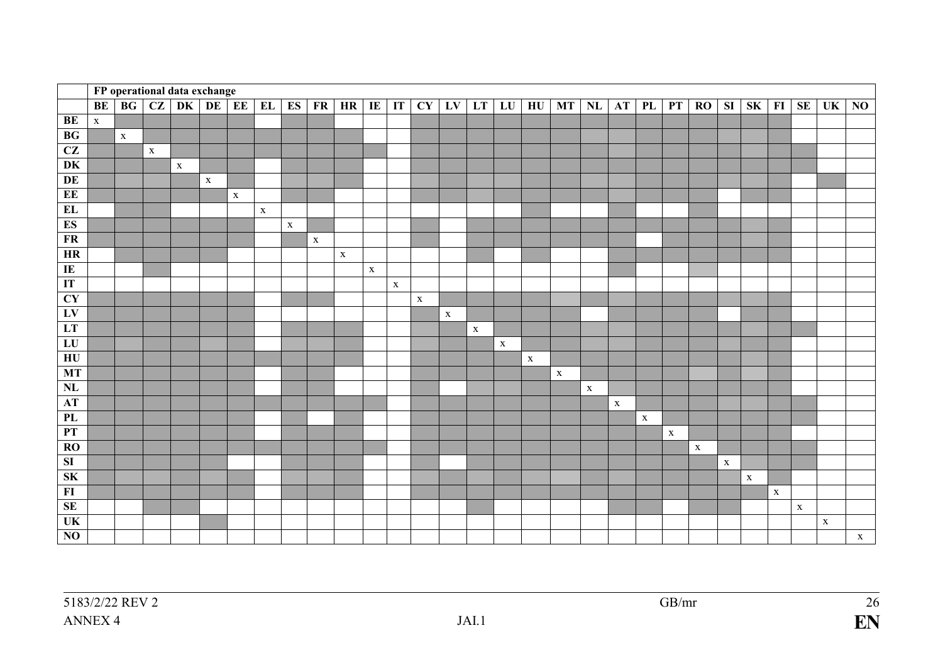|                         |             |             |             | FP operational data exchange |             |             |             |             |             |             |             |                            |             |             |             |             |             |              |               |             |             |             |             |             |                |             |             |             |                |
|-------------------------|-------------|-------------|-------------|------------------------------|-------------|-------------|-------------|-------------|-------------|-------------|-------------|----------------------------|-------------|-------------|-------------|-------------|-------------|--------------|---------------|-------------|-------------|-------------|-------------|-------------|----------------|-------------|-------------|-------------|----------------|
|                         | BE          | BG          | CZ          | <b>DK</b>                    | DE          | EE          | EL          | ES          | FR          | HR          | IE          | $\boldsymbol{\mathrm{IT}}$ | CY          | LV          | LT          | LU          | HU          | <b>MT</b>    | $\mathbf{NL}$ | AT          | PL          | PT          | <b>RO</b>   | ${\bf SI}$  | S <sub>K</sub> | FI          | <b>SE</b>   | UK          | N <sub>0</sub> |
| BE                      | $\mathbf X$ |             |             |                              |             |             |             |             |             |             |             |                            |             |             |             |             |             |              |               |             |             |             |             |             |                |             |             |             |                |
| BG                      |             | $\mathbf X$ |             |                              |             |             |             |             |             |             |             |                            |             |             |             |             |             |              |               |             |             |             |             |             |                |             |             |             |                |
| CZ                      |             |             | $\mathbf X$ |                              |             |             |             |             |             |             |             |                            |             |             |             |             |             |              |               |             |             |             |             |             |                |             |             |             |                |
| DK                      |             |             |             | $\mathbf X$                  |             |             |             |             |             |             |             |                            |             |             |             |             |             |              |               |             |             |             |             |             |                |             |             |             |                |
| DE                      |             |             |             |                              | $\mathbf X$ |             |             |             |             |             |             |                            |             |             |             |             |             |              |               |             |             |             |             |             |                |             |             |             |                |
| EE                      |             |             |             |                              |             | $\mathbf X$ |             |             |             |             |             |                            |             |             |             |             |             |              |               |             |             |             |             |             |                |             |             |             |                |
| EL                      |             |             |             |                              |             |             | $\mathbf X$ |             |             |             |             |                            |             |             |             |             |             |              |               |             |             |             |             |             |                |             |             |             |                |
| ES                      |             |             |             |                              |             |             |             | $\mathbf X$ |             |             |             |                            |             |             |             |             |             |              |               |             |             |             |             |             |                |             |             |             |                |
| <b>FR</b>               |             |             |             |                              |             |             |             |             | $\mathbf X$ |             |             |                            |             |             |             |             |             |              |               |             |             |             |             |             |                |             |             |             |                |
| <b>HR</b>               |             |             |             |                              |             |             |             |             |             | $\mathbf X$ |             |                            |             |             |             |             |             |              |               |             |             |             |             |             |                |             |             |             |                |
| IE                      |             |             |             |                              |             |             |             |             |             |             | $\mathbf X$ |                            |             |             |             |             |             |              |               |             |             |             |             |             |                |             |             |             |                |
| IT                      |             |             |             |                              |             |             |             |             |             |             |             | $\mathbf X$                |             |             |             |             |             |              |               |             |             |             |             |             |                |             |             |             |                |
| CY                      |             |             |             |                              |             |             |             |             |             |             |             |                            | $\mathbf X$ |             |             |             |             |              |               |             |             |             |             |             |                |             |             |             |                |
| LV                      |             |             |             |                              |             |             |             |             |             |             |             |                            |             | $\mathbf X$ |             |             |             |              |               |             |             |             |             |             |                |             |             |             |                |
| LT                      |             |             |             |                              |             |             |             |             |             |             |             |                            |             |             | $\mathbf X$ |             |             |              |               |             |             |             |             |             |                |             |             |             |                |
| ${\bf L}{\bf U}$        |             |             |             |                              |             |             |             |             |             |             |             |                            |             |             |             | $\mathbf X$ |             |              |               |             |             |             |             |             |                |             |             |             |                |
| $H$ U                   |             |             |             |                              |             |             |             |             |             |             |             |                            |             |             |             |             | $\mathbf X$ |              |               |             |             |             |             |             |                |             |             |             |                |
| <b>MT</b>               |             |             |             |                              |             |             |             |             |             |             |             |                            |             |             |             |             |             | $\mathbf{X}$ |               |             |             |             |             |             |                |             |             |             |                |
| NL                      |             |             |             |                              |             |             |             |             |             |             |             |                            |             |             |             |             |             |              | $\mathbf X$   |             |             |             |             |             |                |             |             |             |                |
| AT                      |             |             |             |                              |             |             |             |             |             |             |             |                            |             |             |             |             |             |              |               | $\mathbf X$ |             |             |             |             |                |             |             |             |                |
| PL                      |             |             |             |                              |             |             |             |             |             |             |             |                            |             |             |             |             |             |              |               |             | $\mathbf X$ |             |             |             |                |             |             |             |                |
| PT                      |             |             |             |                              |             |             |             |             |             |             |             |                            |             |             |             |             |             |              |               |             |             | $\mathbf X$ |             |             |                |             |             |             |                |
| <b>RO</b>               |             |             |             |                              |             |             |             |             |             |             |             |                            |             |             |             |             |             |              |               |             |             |             | $\mathbf X$ |             |                |             |             |             |                |
| $\overline{\mathbf{S}}$ |             |             |             |                              |             |             |             |             |             |             |             |                            |             |             |             |             |             |              |               |             |             |             |             | $\mathbf X$ |                |             |             |             |                |
| <b>SK</b>               |             |             |             |                              |             |             |             |             |             |             |             |                            |             |             |             |             |             |              |               |             |             |             |             |             | $\mathbf X$    |             |             |             |                |
| F1                      |             |             |             |                              |             |             |             |             |             |             |             |                            |             |             |             |             |             |              |               |             |             |             |             |             |                | $\mathbf X$ |             |             |                |
| SE                      |             |             |             |                              |             |             |             |             |             |             |             |                            |             |             |             |             |             |              |               |             |             |             |             |             |                |             | $\mathbf X$ |             |                |
| UK                      |             |             |             |                              |             |             |             |             |             |             |             |                            |             |             |             |             |             |              |               |             |             |             |             |             |                |             |             | $\mathbf X$ |                |
| $\overline{NO}$         |             |             |             |                              |             |             |             |             |             |             |             |                            |             |             |             |             |             |              |               |             |             |             |             |             |                |             |             |             | $\mathbf X$    |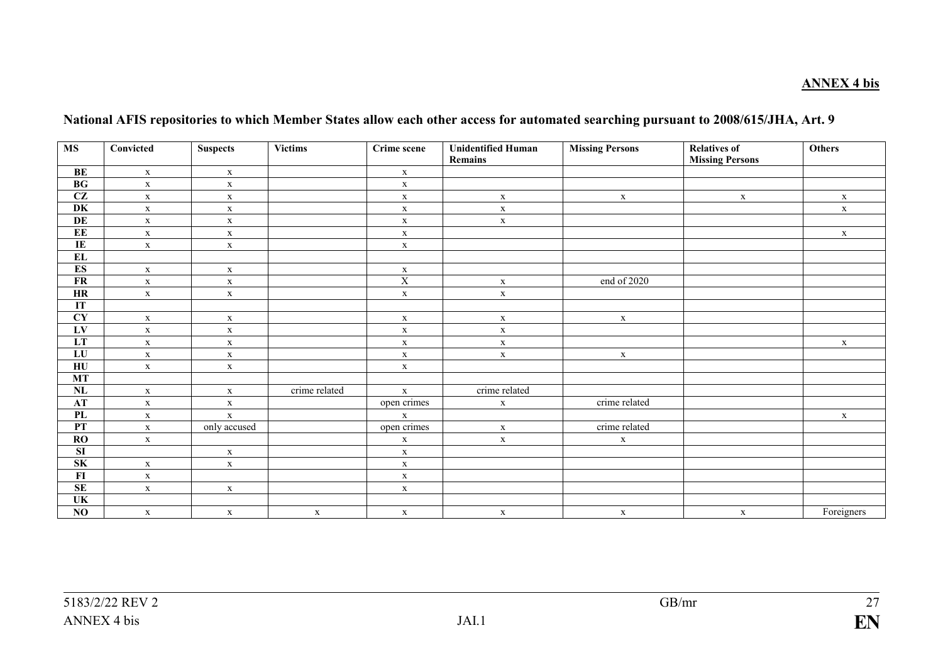### **ANNEX 4 bis**

| <b>MS</b>                         | Convicted    | <b>Suspects</b> | Victims       | Crime scene    | <b>Unidentified Human</b> | <b>Missing Persons</b> | <b>Relatives of</b>    | <b>Others</b> |
|-----------------------------------|--------------|-----------------|---------------|----------------|---------------------------|------------------------|------------------------|---------------|
|                                   |              |                 |               |                | Remains                   |                        | <b>Missing Persons</b> |               |
| $\mathbf{BE}$                     | $\mathbf X$  | $\mathbf X$     |               | $\mathbf X$    |                           |                        |                        |               |
| BG                                | $\mathbf X$  | $\mathbf X$     |               | $\mathbf X$    |                           |                        |                        |               |
| $\overline{\text{CZ}}$            | $\mathbf X$  | $\mathbf X$     |               | $\mathbf X$    | $\mathbf X$               | $\mathbf X$            | $\mathbf{X}$           | $\mathbf X$   |
| DK                                | $\mathbf X$  | $\mathbf X$     |               | $\mathbf X$    | $\mathbf X$               |                        |                        | $\mathbf{X}$  |
| DE                                | $\mathbf X$  | $\mathbf X$     |               | $\mathbf X$    | $\mathbf X$               |                        |                        |               |
| EE                                | $\mathbf X$  | $\mathbf X$     |               | $\mathbf X$    |                           |                        |                        | $\mathbf X$   |
| $\overline{\rm IE}$               | $\mathbf X$  | $\mathbf X$     |               | $\mathbf X$    |                           |                        |                        |               |
| <b>EL</b>                         |              |                 |               |                |                           |                        |                        |               |
| ES                                | $\mathbf X$  | $\mathbf X$     |               | $\mathbf{x}$   |                           |                        |                        |               |
| $\overline{\text{FR}}$            | $\mathbf X$  | $\mathbf X$     |               | $\overline{X}$ | $\mathbf X$               | end of 2020            |                        |               |
| HR                                | $\mathbf X$  | $\mathbf X$     |               | $\mathbf X$    | $\mathbf X$               |                        |                        |               |
| IT                                |              |                 |               |                |                           |                        |                        |               |
| $\overline{\mathbf{C}\mathbf{Y}}$ | $\mathbf X$  | $\mathbf X$     |               | $\mathbf X$    | $\mathbf X$               | $\mathbf X$            |                        |               |
| LV                                | $\mathbf X$  | $\mathbf X$     |               | $\mathbf X$    | $\mathbf X$               |                        |                        |               |
| LT                                | $\mathbf{X}$ | $\mathbf X$     |               | $\mathbf X$    | $\mathbf X$               |                        |                        | $\mathbf{X}$  |
| ${\bf L}{\bf U}$                  | $\mathbf X$  | $\mathbf X$     |               | $\mathbf X$    | $\mathbf X$               | $\mathbf X$            |                        |               |
| $\overline{HU}$                   | $\mathbf X$  | $\mathbf X$     |               | $\mathbf X$    |                           |                        |                        |               |
| MT                                |              |                 |               |                |                           |                        |                        |               |
| NL                                | $\mathbf X$  | $\mathbf X$     | crime related | $\mathbf X$    | crime related             |                        |                        |               |
| <b>AT</b>                         | $\mathbf X$  | $\mathbf X$     |               | open crimes    | $\mathbf X$               | crime related          |                        |               |
| PL                                | $\mathbf X$  | $\mathbf X$     |               | $\mathbf X$    |                           |                        |                        | $\mathbf X$   |
| PT                                | $\mathbf X$  | only accused    |               | open crimes    | $\mathbf X$               | crime related          |                        |               |
| RO                                | $\mathbf X$  |                 |               | $\mathbf X$    | $\mathbf X$               | $\mathbf X$            |                        |               |
| $\overline{\mathbf{S}}$           |              | $\mathbf X$     |               | $\mathbf X$    |                           |                        |                        |               |
| SK                                | $\mathbf X$  | $\mathbf X$     |               | $\mathbf X$    |                           |                        |                        |               |
| FI                                | $\mathbf X$  |                 |               | $\mathbf X$    |                           |                        |                        |               |
| SE                                | $\mathbf X$  | $\mathbf X$     |               | $\mathbf X$    |                           |                        |                        |               |
| UK                                |              |                 |               |                |                           |                        |                        |               |
| NO                                | $\mathbf X$  | $\mathbf X$     | $\mathbf X$   | $\mathbf X$    | $\mathbf X$               | $\mathbf X$            | $\mathbf X$            | Foreigners    |

### **National AFIS repositories to which Member States allow each other access for automated searching pursuant to 2008/615/JHA, Art. 9**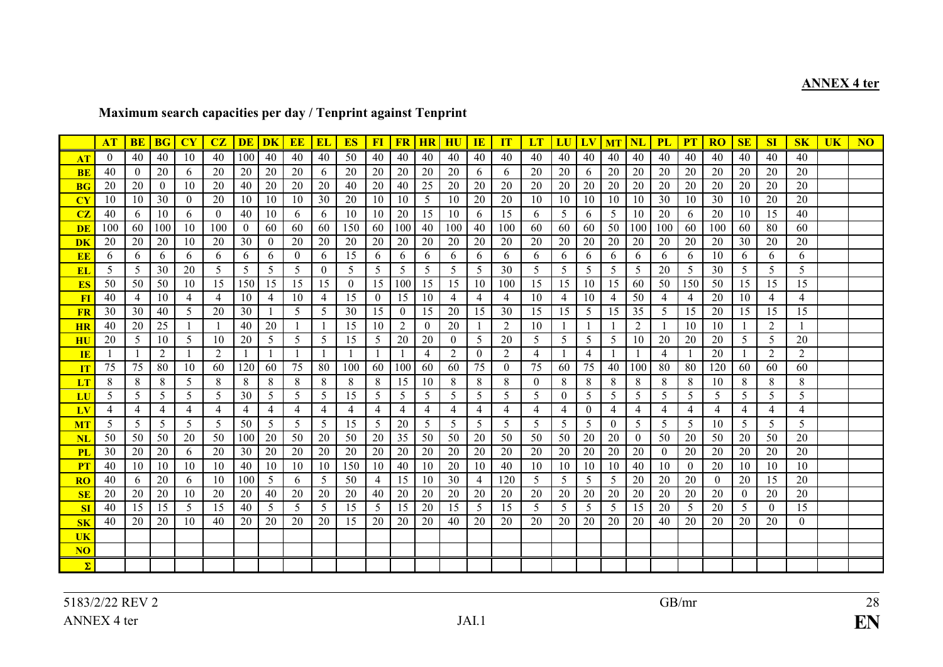# **ANNEX 4 ter**

## **Maximum search capacities per day / Tenprint against Tenprint**

|                                   | AT             | <b>BE</b>      | <b>BG</b>      | CY             | CZ             | <b>DE</b>      | <b>DK</b>      | <b>EE</b>      | <b>EL</b>      | <b>ES</b>      | $FI$            | <b>FR</b>      | <b>HR</b>      | HU             | $\mathbf{I}$ <b>E</b> | IT             | LT             |                | LU LV          | <b>MT</b>    | $\overline{\text{NL}}$ | <b>PL</b>      | PT             | <b>RO</b>      | SE             | SI             | S <sub>K</sub> | <b>UK</b> | <b>NO</b> |
|-----------------------------------|----------------|----------------|----------------|----------------|----------------|----------------|----------------|----------------|----------------|----------------|-----------------|----------------|----------------|----------------|-----------------------|----------------|----------------|----------------|----------------|--------------|------------------------|----------------|----------------|----------------|----------------|----------------|----------------|-----------|-----------|
| AT                                | $\left($       | 40             | 40             | 10             | 40             | 100            | 40             | 40             | 40             | 50             | 40              | 40             | 40             | 40             | 40                    | 40             | 40             | 40             | 40             | 40           | 40                     | 40             | 40             | 40             | 40             | 40             | 40             |           |           |
| <b>BE</b>                         | 40             | $\theta$       | 20             | 6              | 20             | 20             | 20             | 20             | 6              | 20             | 20              | 20             | 20             | 20             | 6                     | 6              | 20             | 20             | 6              | 20           | 20                     | 20             | 20             | 20             | 20             | 20             | 20             |           |           |
| <b>BG</b>                         | 20             | 20             | $\bf{0}$       | 10             | 20             | 40             | 20             | 20             | 20             | 40             | 20              | 40             | 25             | 20             | 20                    | 20             | 20             | 20             | 20             | 20           | 20                     | 20             | 20             | 20             | 20             | 20             | 20             |           |           |
| $\overline{\mathbf{C}\mathbf{Y}}$ | 10             | 10             | 30             | $\bf{0}$       | 20             | 10             | 10             | 10             | 30             | 20             | 10              | 10             | 5              | 10             | 20                    | 20             | 10             | 10             | 10             | 10           | 10                     | 30             | 10             | 30             | 10             | 20             | 20             |           |           |
| CZ                                | 40             | 6              | 10             | 6              | $\Omega$       | 40             | 10             | 6              | 6              | 10             | 10              | 20             | 15             | -10            | 6                     | 15             | 6              | 5              | 6              | 5            | 10                     | 20             | 6              | 20             | 10             | 15             | 40             |           |           |
| <b>DE</b>                         | 100            | 60             | 100            | 10             | 100            | $\overline{0}$ | 60             | 60             | 60             | 150            | 60 l            | 100            | 40             | 100            | 40                    | 100            | 60             | -60            | 60             | 50           | 100                    | 100            | 60             | 100            | 60             | 80             | 60             |           |           |
| <b>DK</b>                         | 20             | 20             | 20             | 10             | 20             | 30             | $\overline{0}$ | 20             | 20             | 20             | 20              | 20             | 20             | 20             | 20                    | 20             | 20             | 20             | 20             | 20           | 20                     | 20             | 20             | 20             | 30             | 20             | 20             |           |           |
| EE                                | 6              | 6              | 6              | 6              | 6              | 6              | 6              | $\theta$       | 6              | 15             | 6               | 6              | 6              | 6              | 6                     | 6              | 6              | 6              | 6              | 6            | 6                      | 6              | 6              | 10             | 6              | 6              | 6              |           |           |
| EL                                | 5              | 5              | 30             | 20             | 5              | 5 <sup>5</sup> | 5              | 5              | $\overline{0}$ | 5              | 5 <sup>5</sup>  | 5              | 5              | 5              | 5                     | 30             | 5              | 5              | 5 <sup>5</sup> | 5            | 5                      | 20             | 5              | 30             | 5              | 5              | 5              |           |           |
| ES                                | 50             | 50             | 50             | 10             | 15             | 150            | 15             | 15             | 15             | $\overline{0}$ | 15 <sup>1</sup> | 100            | 15             | 15             | 10                    | 100            | 15             | 15             | 10             | 15           | 60                     | 50             | 150            | 50             | 15             | 15             | 15             |           |           |
| FI                                | 40             | 4              | 10             | 4              | $\overline{4}$ | 10             | 4              | 10             | 4              | 15             | $\overline{0}$  | 15             | 10             | 4              | 4                     | 4              | 10             | 4              | 10             | 4            | 50                     | 4              | 4              | 20             | 10             | 4              | 4              |           |           |
| <b>FR</b>                         | 30             | 30             | 40             | 5              | 20             | 30             |                | 5              | 5              | 30             | 15              | $\overline{0}$ | 15             | 20             | 15                    | 30             | 15             | 15             | 5 <sup>5</sup> | 15           | 35                     | 5              | 15             | 20             | 15             | 15             | 15             |           |           |
| <b>HR</b>                         | 40             | 20             | 25             |                | $\overline{1}$ | 40             | 20             |                | $\mathbf{1}$   | 15             | 10              | 2              | $\theta$       | 20             | $\mathbf{1}$          | 2              | 10             |                | -1             | $\mathbf{1}$ | 2                      |                | 10             | 10             | $\mathbf{1}$   | 2              | $\mathbf{1}$   |           |           |
| $\overline{\mathbf{H}}\mathbf{U}$ | 20             | 5              | 10             | 5              | 10             | 20             | 5              | 5              | 5              | 15             | 5 <sup>5</sup>  | 20             | 20             | $\overline{0}$ | 5                     | 20             | 5              | 5              | 5              | 5            | 10                     | 20             | 20             | 20             | 5              | 5              | 20             |           |           |
| IE                                |                |                | 2              |                | 2              |                | $\mathbf{1}$   |                |                |                |                 |                | 4              | 2              | $\overline{0}$        | 2              | 4              |                | $\overline{4}$ |              | -1                     | $\overline{4}$ | $\mathbf{1}$   | 20             |                | 2              | 2              |           |           |
| IT                                | 75             | 75             | 80             | 10             | 60             | 120            | 60             | 75             | 80             | 100            | 60              | 100            | 60             | 60             | 75                    | $\overline{0}$ | 75             | 60             | 75             | 40           | 100                    | 80             | 80             | 120            | 60             | 60             | 60             |           |           |
| LT                                | 8              | 8              | 8              | 5              | 8              | 8              | 8              | 8              | 8              | 8              | 8               | 15             | 10             | 8              | 8                     | 8              | $\theta$       | 8              | 8              | 8            | 8                      | 8              | 8              | 10             | 8              | 8              | 8              |           |           |
| LU                                | 5              | 5              | 5              | 5              | 5              | 30             | 5              | 5              | 5              | 15             | 5 <sup>5</sup>  | 5              | 5              | 5              | 5                     | 5              | 5              | $\theta$       | 5              | 5            | 5                      | 5              | 5              | 5              | 5              | 5              | 5              |           |           |
| LV                                | $\overline{4}$ | $\overline{4}$ | $\overline{4}$ | $\overline{4}$ | $\overline{4}$ | $\overline{4}$ | $\overline{4}$ | $\overline{4}$ | $\overline{4}$ | $\overline{4}$ | $\overline{4}$  | $\overline{4}$ | $\overline{4}$ | $\overline{4}$ | $\overline{4}$        | $\overline{4}$ | $\overline{4}$ | $\overline{4}$ | $\overline{0}$ | 4            | $\overline{4}$         | $\overline{4}$ | $\overline{4}$ | 4              | $\overline{4}$ | $\overline{4}$ | 4              |           |           |
| <b>MT</b>                         | 5              | 5              | 5              | 5              | 5              | 50             | 5              | 5              | 5              | 15             | 5 <sup>1</sup>  | 20             | 5              | 5              | 5                     | 5              | 5              | 5              | 5              | $\theta$     | 5                      | 5              | 5              | 10             | 5              | 5              | 5              |           |           |
| <b>NL</b>                         | 50             | 50             | 50             | 20             | 50             | 100            | 20             | 50             | 20             | 50             | 20              | 35             | 50             | 50             | 20                    | 50             | 50             | 50             | 20             | 20           | $\overline{0}$         | 50             | 20             | 50             | 20             | 50             | 20             |           |           |
| <b>PL</b>                         | 30             | 20             | 20             | 6              | 20             | 30             | 20             | 20             | 20             | 20             | 20              | 20             | 20             | 20             | 20                    | 20             | 20             | 20             | 20             | 20           | 20                     | $\Omega$       | 20             | 20             | 20             | 20             | 20             |           |           |
| PT                                | 40             | 10             | 10             | 10             | 10             | 40             | 10             | 10             | 10             | 150            | 10              | 40             | 10             | 20             | 10                    | 40             | 10             | 10             | -10            | 10           | 40                     | 10             | $\theta$       | 20             | 10             | 10             | 10             |           |           |
| RO                                | 40             | 6              | 20             | 6              | 10             | 100            | 5              | 6              | 5              | 50             | $\overline{4}$  | 15             | 10             | 30             | 4                     | 120            | 5              | 5              | 5              | 5            | 20                     | 20             | 20             | $\overline{0}$ | 20             | 15             | 20             |           |           |
| SE                                | 20             | 20             | 20             | 10             | 20             | 20             | 40             | 20             | 20             | 20             | 40              | 20             | 20             | 20             | 20                    | 20             | 20             | 20             | 20             | 20           | 20                     | 20             | 20             | 20             | $\theta$       | 20             | 20             |           |           |
| <b>SI</b>                         | 40             | 15             | 15             | 5              | 15             | 40             | 5              | 5              | 5              | 15             | 5 <sup>1</sup>  | 15             | 20             | 15             | 5                     | 15             | 5              | 5              | 5              | 5            | 15                     | 20             | 5              | 20             | 5              | $\theta$       | 15             |           |           |
| SK                                | 40             | 20             | 20             | 10             | 40             | 20             | 20             | 20             | 20             | 15             | 20              | 20             | 20             | 40             | 20                    | 20             | 20             | 20             | 20             | 20           | 20                     | 40             | 20             | 20             | 20             | 20             | $\overline{0}$ |           |           |
| <b>UK</b>                         |                |                |                |                |                |                |                |                |                |                |                 |                |                |                |                       |                |                |                |                |              |                        |                |                |                |                |                |                |           |           |
| N <sub>O</sub>                    |                |                |                |                |                |                |                |                |                |                |                 |                |                |                |                       |                |                |                |                |              |                        |                |                |                |                |                |                |           |           |
| $\Sigma$                          |                |                |                |                |                |                |                |                |                |                |                 |                |                |                |                       |                |                |                |                |              |                        |                |                |                |                |                |                |           |           |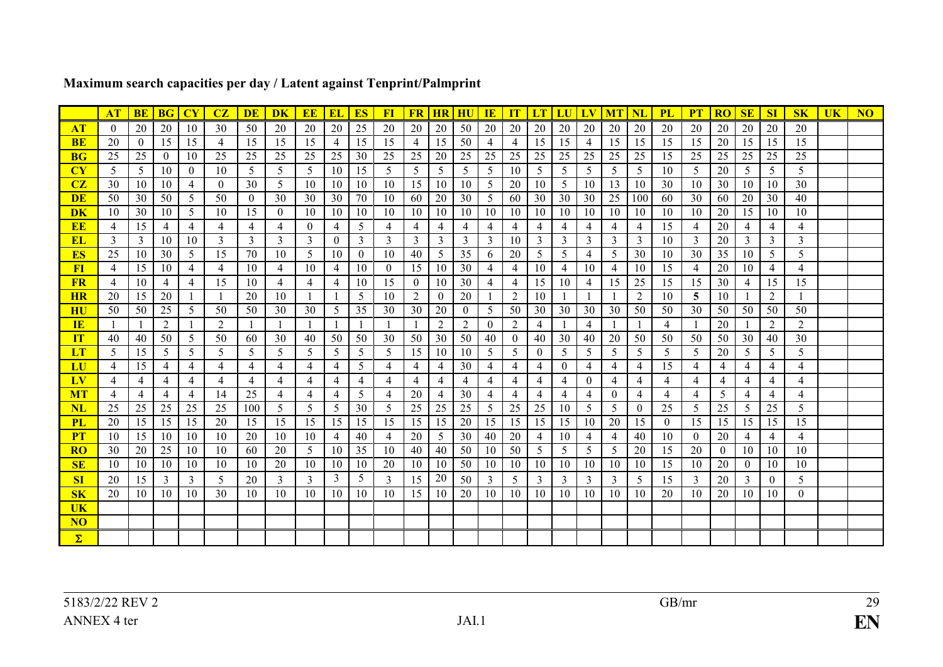|                  | <b>AT</b>          | <b>BE</b>      | <b>BG</b>           | CY             | CZ                  | <b>DE</b>    | DK             | <b>EE</b>           | EL                  | <b>ES</b>      | F1             | <b>FR</b>           | <b>HR HU</b>                     |                 | IE                  | IT             | <b>LT</b>           | LU                  | LV             | <b>MT</b>           | $\overline{\text{NL}}$           | <b>PL</b>      | <b>PT</b>      | <b>RO</b>      | SE                  | SI                  | S <sub>K</sub>      | UK | NO |
|------------------|--------------------|----------------|---------------------|----------------|---------------------|--------------|----------------|---------------------|---------------------|----------------|----------------|---------------------|----------------------------------|-----------------|---------------------|----------------|---------------------|---------------------|----------------|---------------------|----------------------------------|----------------|----------------|----------------|---------------------|---------------------|---------------------|----|----|
| AT               | $\left( 0 \right)$ | 20             | 20                  | 10             | 30                  | 50           | 20             | 20                  | 20                  | 25             | 20             | 20                  | 20                               | 50              | 20                  | 20             | 20                  | 20                  | 20             | 20                  | 20                               | 20             | 20             | 20             | 20                  | <b>20</b>           | 20                  |    |    |
| <b>BE</b>        | 20                 | $\theta$       | 15                  | 15             | 4                   | 15           | 15             | 15                  | $\overline{4}$      | 15             | 15             | $\overline{4}$      | 15                               | 50              | 4                   | 4              | 15                  | 15                  | 4              | 15                  | 15                               | 15             | 15             | 20             | 15                  | 15                  | 15                  |    |    |
| <b>BG</b>        | 25                 | 25             | $\theta$            | 10             | 25                  | 25           | 25             | 25                  | 25                  | 30             | 25             | 25                  | 20                               | 25              | 25                  | 25             | 25                  | 25                  | 25             | 25                  | 25                               | 15             | 25             | 25             | 25                  | 25                  | 25                  |    |    |
| CY               | 5                  | 5              | -10                 | $\theta$       | 10                  | 5            | 5              | 5                   | 10                  | 15             | 5              | 5                   | 5                                | 5               | 5                   | 10             | 5                   | 5                   | 5              | 5                   | 5                                | 10             | 5              | 20             | 5                   | -5                  | 5                   |    |    |
| CZ               | 30                 | 10             | -10                 | $\overline{4}$ | $\theta$            | 30           | 5              | 10                  | 10                  | 10             | 10             | 15                  | -10                              | 10              | 5                   | 20             | 10                  | 5                   | 10             | 13                  | 10                               | 30             | 10             | 30             | 10                  | -10                 | 30                  |    |    |
| <b>DE</b>        | 50                 | 30             | 50                  | 5              | 50                  | $\Omega$     | 30             | 30                  | 30                  | 70             | 10             | 60                  | 20                               | 30 <sup>1</sup> | 5 <sup>5</sup>      | 60             | 30                  | 30                  | 30             | 25                  | 100                              | 60             | 30             | 60             | 20                  | 30                  | 40                  |    |    |
| <b>DK</b>        | 10                 | 30             | -10                 | 5              | 10                  | 15           | $\theta$       | 10                  | 10                  | 10             | 10             | 10                  | -10                              | -10             | 10                  | 10             | -10                 | 10                  | 10             | 10                  | -10                              | 10             | 10             | 20             | 15                  | -10                 | 10                  |    |    |
| <b>EE</b>        | $\overline{4}$     | 15             | $\overline{4}$      | $\overline{4}$ | $\overline{4}$      | 4            | $\overline{4}$ | $\theta$            | $\overline{4}$      | 5              | $\overline{4}$ | $\overline{4}$      | $\overline{4}$                   | $\overline{4}$  | $\overline{4}$      | $\overline{4}$ | $\overline{4}$      | $\overline{4}$      | $\overline{4}$ | $\overline{4}$      | $\overline{4}$                   | 15             | 4              | 20             | $\overline{4}$      | $\overline{4}$      | $\overline{4}$      |    |    |
| EL               | 3                  | 3              | -10                 | 10             | 3                   | 3            | 3              | 3                   | $\overline{0}$      | 3              | 3              | 3                   | 3                                | 3               | 3                   | 10             | 3                   | 3                   | 3 <sup>7</sup> | 3                   | 3                                | 10             | 3              | 20             | 3                   | 3                   | 3                   |    |    |
| <b>ES</b>        | 25                 | 10             | 30                  | 5              | 15                  | 70           | 10             | 5                   | 10                  | $\overline{0}$ | 10             | 40                  | -5                               | 35              | 6                   | 20             | 5                   | 5                   | 4              | 5                   | 30                               | 10             | 30             | 35             | 10                  | 5                   | 5                   |    |    |
| F                | $\overline{4}$     | 15             | 10                  | 4              | $\overline{4}$      | 10           | 4              | 10                  | 4                   | 10             | $\theta$       | 15                  | -10                              | 30              | 4                   | 4              | 10                  | 4                   | 10             | $\overline{4}$      | 10                               | 15             | 4              | 20             | 10                  | 4                   | 4                   |    |    |
| <b>FR</b>        | 4                  | 10             | $\overline{4}$      | 4              | 15                  | 10           | 4              | 4                   | $\overline{4}$      | 10             | 15             | $\overline{0}$      | 10                               | 30              | 4                   | 4              | 15                  | 10                  | 4              | 15                  | 25                               | 15             | 15             | 30             | 4                   | 15                  | 15                  |    |    |
| <b>HR</b>        | 20                 | 15             | 20                  |                | -1                  | 20           | 10             |                     |                     | 5              | 10             | 2                   | $\overline{0}$                   | 20              |                     | 2              | 10                  |                     |                | $\mathbf{1}$        | 2                                | 10             | 5              | 10             | -1                  | 2                   | $\mathbf{1}$        |    |    |
| <b>HU</b>        | 50                 | 50             | 25                  | 5              | 50                  | 50           | 30             | 30                  | 5                   | 35             | 30             | 30                  | 20                               | $\bf{0}$        | 5                   | 50             | 30                  | 30                  | 30             | 30                  | 50                               | 50             | 30             | 50             | 50                  | 50                  | 50                  |    |    |
| IE               |                    | $\overline{1}$ | 2                   |                | 2                   | $\mathbf{1}$ |                |                     |                     | -1             |                |                     | 2                                | 2               | $\left( 0 \right)$  | 2              | $\overline{4}$      |                     | 4              |                     |                                  | 4              |                | 20             |                     | 2                   | 2                   |    |    |
| IT               | 40                 | 40             | 50                  | 5              | 50                  | 60           | 30             | 40                  | 50                  | 50             | 30             | 50                  | 30                               | 50              | 40                  | $\overline{0}$ | 40                  | 30                  | 40             | 20                  | 50                               | 50             | 50             | 50             | 30                  | 40                  | 30                  |    |    |
| <b>LT</b><br>LU  | 5                  | 15<br>15       | -5                  | 5              | 5                   | 5            | 5              | 5                   | 5                   | 5<br>5         | 5              | 15                  | -10                              | 10<br>30        | 5                   | 5              | $\overline{0}$      | 5                   | 5              | 5                   | 5                                | 5<br>15        | 5              | 20             | 5                   | 5                   | 5                   |    |    |
| LV               | 4<br>4             | $\overline{4}$ | 4<br>$\overline{4}$ | 4<br>4         | 4<br>$\overline{4}$ | 4<br>4       | 4<br>4         | 4<br>$\overline{4}$ | 4<br>$\overline{4}$ | $\overline{4}$ | 4<br>4         | 4<br>$\overline{4}$ | $\overline{4}$<br>$\overline{4}$ | $\overline{4}$  | 4<br>$\overline{4}$ | 4<br>4         | 4<br>$\overline{4}$ | $\overline{0}$<br>4 | 4<br>$\theta$  | 4<br>$\overline{4}$ | $\overline{4}$<br>$\overline{4}$ | $\overline{4}$ | 4<br>4         | 4<br>4         | 4<br>$\overline{4}$ | 4<br>$\overline{4}$ | 4<br>$\overline{4}$ |    |    |
| <b>MT</b>        | 4                  | $\overline{4}$ | $\overline{4}$      | 4              | 14                  | 25           | $\overline{4}$ | $\overline{4}$      | $\overline{4}$      | 5              | 4              | 20                  | $\overline{4}$                   | 30              | 4                   | $\overline{4}$ | $\overline{4}$      | $\overline{4}$      | 4              | $\overline{0}$      | 4                                | $\overline{4}$ | $\overline{4}$ | 5              | $\overline{4}$      | 4                   | $\overline{4}$      |    |    |
| NL               | 25                 | 25             | 25                  | 25             | 25                  | 100          | 5              | 5                   | 5                   | 30             | 5              | 25                  | 25                               | 25              | 5 <sup>5</sup>      | 25             | 25                  | 10                  | 5 <sup>5</sup> | 5                   | $\theta$                         | 25             | 5              | 25             | 5                   | 25                  | 5                   |    |    |
| <b>PL</b>        | 20                 | 15             | 15                  | 15             | 20                  | 15           | 15             | 15                  | 15                  | 15             | 15             | 15                  | 15                               | 20              | 15                  | 15             | 15                  | 15                  | 10             | 20                  | 15                               | $\theta$       | 15             | 15             | 15                  | 15                  | 15                  |    |    |
| <b>PT</b>        | 10                 | 15             | -10                 | 10             | 10                  | 20           | 10             | 10                  | $\overline{4}$      | 40             | 4              | 20                  | 5                                | 30              | 40                  | 20             | 4                   | 10                  | 4              | 4                   | 40                               | 10             | $\theta$       | 20             | $\overline{4}$      | $\overline{4}$      | 4                   |    |    |
| <b>RO</b>        | 30                 | 20             | 25                  | 10             | 10                  | 60           | 20             | 5                   | 10                  | 35             | 10             | 40                  | 40                               | 50 l            | 10                  | 50             | 5                   | 5                   | 5 <sup>5</sup> | 5                   | 20                               | 15             | 20             | $\overline{0}$ | 10                  | -10                 | 10                  |    |    |
| SE               | -10                | 10             | -10                 | 10             | 10                  | 10           | 20             | 10                  | 10                  | 10             | 20             | 10                  | -10                              | 50 l            | 10                  | 10             | 10                  | 10                  | 10             | 10                  | -10                              | 15             | 10             | 20             | $\bf{0}$            | -10                 | 10                  |    |    |
| SI               | 20                 | 15             | 3                   | 3              | 5                   | 20           | 3              | 3                   | 3                   | 5              | 3              | 15                  | 20                               | 50              | 3                   | 5              | 3                   | 3                   | 3 <sup>1</sup> | 3                   | -5                               | 15             | 3              | 20             | 3                   | $\theta$            | 5                   |    |    |
| $S_{\mathbf{K}}$ | 20                 | 10             | -10                 | 10             | 30                  | 10           | 10             | 10                  | 10                  | 10             | 10             | 15                  | -10                              | 20              | 10                  | 10             | 10                  | 10                  | 10             | 10                  | 10                               | 20             | 10             | 20             | 10                  | -10                 | $\theta$            |    |    |
| <b>UK</b>        |                    |                |                     |                |                     |              |                |                     |                     |                |                |                     |                                  |                 |                     |                |                     |                     |                |                     |                                  |                |                |                |                     |                     |                     |    |    |
| NO <sub>1</sub>  |                    |                |                     |                |                     |              |                |                     |                     |                |                |                     |                                  |                 |                     |                |                     |                     |                |                     |                                  |                |                |                |                     |                     |                     |    |    |
| $\Sigma$         |                    |                |                     |                |                     |              |                |                     |                     |                |                |                     |                                  |                 |                     |                |                     |                     |                |                     |                                  |                |                |                |                     |                     |                     |    |    |

# **Maximum search capacities per day / Latent against Tenprint/Palmprint**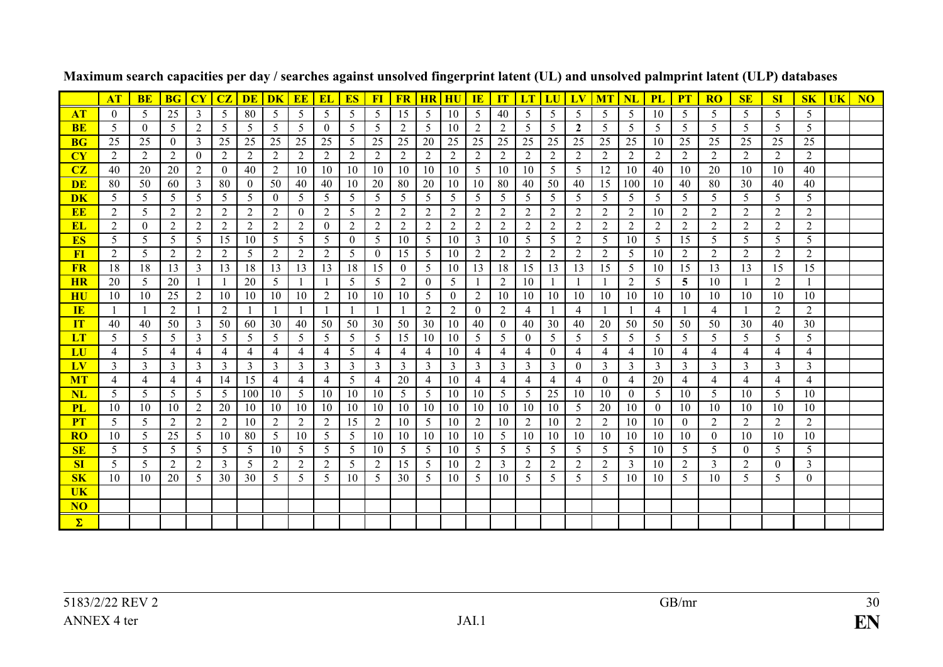|                 | AT             | <b>BE</b>      | <b>BG</b>      | $\mathbf{C}\mathbf{Y}$ | CZ             | DE           | DK             | EE             | <b>EL</b>      | <b>ES</b>      | <b>FI</b>      | <b>FR</b>      | <b>HR</b>      |                | IE             | IT             | $\mathbf{LT}$  | LU             |                | <b>MT</b>      | <b>NL</b>      | <b>PL</b>      | <b>PT</b>      | <b>RO</b>      | <b>SE</b>          | <b>SI</b>      | S <sub>K</sub> | $\overline{\mathbf{U}}$ K | N <sub>O</sub> |
|-----------------|----------------|----------------|----------------|------------------------|----------------|--------------|----------------|----------------|----------------|----------------|----------------|----------------|----------------|----------------|----------------|----------------|----------------|----------------|----------------|----------------|----------------|----------------|----------------|----------------|--------------------|----------------|----------------|---------------------------|----------------|
| <b>AT</b>       | $\overline{0}$ | 5              | 25             | 3                      | 5              | 80           | 5              | 5              | 5              | 5              | 5              | 15             | 5              | -10            | 5              | 40             | 5              | 5              | 5              | 5              | 5              | 10             | 5              | 5              | 5                  | 5              | 5              |                           |                |
| <b>BE</b>       | 5              | $\theta$       | 5              | 2                      | 5              | 5            | 5              | 5              | $\overline{0}$ | 5              | 5              | 2              | 5              | 10             | $\overline{2}$ | 2              | 5              | 5              | $\overline{2}$ | 5              | 5              | 5              | 5              | 5              | 5                  | 5              | 5              |                           |                |
| <b>BG</b>       | 25             | 25             | $\overline{0}$ | 3                      | 25             | 25           | 25             | 25             | 25             | 5              | 25             | 25             | 20             | 25             | 25             | 25             | 25             | 25             | 25             | 25             | 25             | 10             | 25             | 25             | 25                 | 25             | 25             |                           |                |
| CY              | 2              | 2              | 2              | $\theta$               | 2              | 2            | 2              | 2              | 2              | 2              | 2              | 2              | 2              | 2              | 2              | 2              | 2              | 2              | 2              | 2              | 2              | 2              | 2              | $\mathfrak{D}$ | $\mathcal{L}$      | 2              | $\overline{2}$ |                           |                |
| CZ              | 40             | 20             | 20             | 2                      | $\overline{0}$ | 40           | 2              | 10             | 10             | 10             | 10             | 10             | 10             | -10            | 5              | 10             | 10             | 5              | 5              | 12             | 10             | 40             | 10             | 20             | 10                 | 10             | 40             |                           |                |
| <b>DE</b>       | 80             | 50             | 60             | 3                      | 80             | $\theta$     | 50             | 40             | 40             | 10             | 20             | 80             | 20             | -10            | 10             | 80             | 40             | 50             | 40             | 15             | 100            | 10             | 40             | 80             | 30                 | 40             | 40             |                           |                |
| <b>DK</b>       | 5              | 5              | 5              | 5                      | 5              | 5            | $\theta$       | 5              | 5              | 5              | 5              | 5              | 5              | 5              | 5              | 5              | 5              | 5              | 5              | 5              | 5              | 5              | 5              | 5              | 5                  | 5              | 5              |                           |                |
| <b>EE</b>       | 2              | 5              | 2              | 2                      | $\overline{2}$ | 2            | $\overline{2}$ | $\theta$       | 2              | 5              | $\overline{2}$ | 2              | $\overline{2}$ | 2              | 2              | 2              | 2              | 2              | 2              | 2              | 2              | 10             | 2              | 2              | 2                  | 2              | $\overline{2}$ |                           |                |
| <b>EL</b>       | $\overline{2}$ | $\theta$       | 2              | 2                      | 2              | 2            | 2              | 2              | $\theta$       | 2              | 2              | 2              | $\overline{2}$ | $\overline{2}$ | 2              | 2              | 2              | $\overline{2}$ | 2              | 2              | 2              | 2              | 2              | 2              | 2                  | 2              | $\overline{2}$ |                           |                |
| <b>ES</b>       | 5              | 5              | 5              | 5                      | 15             | 10           | 5              | 5              | 5              | $\overline{0}$ | 5              | 10             | 5              | -10            | 3              | 10             | 5              | 5              | 2              | 5              | 10             | 5              | 15             | 5              | 5                  | 5              | 5              |                           |                |
| F1              | 2              | 5              | 2              | 2                      | 2              | 5            | 2              | 2              | 2              | 5              | $\theta$       | 15             | 5              | 10             | 2              | 2              | 2              | 2              | 2              | 2              | 5              | 10             | 2              | 2              | 2                  | 2              | 2              |                           |                |
| <b>FR</b>       | 18             | 18             | 13             | 3                      | 13             | 18           | 13             | 13             | 13             | 18             | 15             | $\overline{0}$ | 5              | 10             | 13             | 18             | 15             | 13             | 13             | 15             | 5              | 10             | 15             | 13             | 13                 | 15             | 15             |                           |                |
| <b>HR</b>       | 20             | 5              | 20             |                        |                | 20           | 5              |                |                | 5              | 5              | 2              | $\mathbf{0}$   | 5              |                | 2              | 10             |                |                | $\overline{1}$ | 2              | 5              | 5              | 10             | $\mathbf{1}$       | 2              |                |                           |                |
| HU              | 10             | 10             | 25             | 2                      | 10             | 10           | 10             | 10             | 2              | 10             | 10             | 10             | 5              | $\theta$       | 2              | 10             | 10             | 10             | 10             | 10             | 10             | 10             | 10             | 10             | 10                 | 10             | 10             |                           |                |
| IE              | $\mathbf{1}$   |                | 2              |                        | 2              | $\mathbf{1}$ |                | $\mathbf{1}$   |                | $\mathbf{1}$   |                |                | 2              | 2              | $\theta$       | 2              | $\overline{4}$ |                | $\overline{4}$ | $\overline{1}$ |                | $\overline{4}$ | $\mathbf{1}$   | 4              | $\mathbf{1}$       | 2              | 2              |                           |                |
| IT              | 40             | 40             | 50             | 3                      | 50             | 60           | 30             | 40             | 50             | 50             | 30             | 50             | 30             | -10            | 40             | $\overline{0}$ | 40             | 30             | 40             | 20             | 50             | 50             | 50             | 50             | 30                 | 40             | 30             |                           |                |
| LT              | 5              | 5              | 5              | 3                      | 5              | 5            | 5              | 5              | 5              | 5              | 5              | 15             | 10             | -10            | 5              | 5              | $\theta$       | 5              | 5              | 5              | 5              | 5              | 5              | 5              | 5                  | 5              | 5              |                           |                |
| LU              | 4              | 5              | 4              | $\overline{4}$         | 4              | 4            | 4              | 4              | 4              | 5              | 4              | 4              | 4              | 10             | 4              | 4              | 4              | $\overline{0}$ | 4              | 4              | 4              | 10             | $\overline{4}$ | 4              | 4                  | 4              | 4              |                           |                |
| $L$ v           | 3              | 3              | 3              | 3                      | 3              | 3            | 3              | 3              | 3              | 3              | $\mathfrak{Z}$ | 3              | 3              | 3              | 3              | 3              | 3              | 3              | $\Omega$       | 3              | 3              | 3              | 3              | 3              | 3                  | 3              | 3              |                           |                |
| <b>MT</b>       | $\overline{4}$ | $\overline{4}$ | $\overline{4}$ | $\overline{4}$         | 14             | 15           | $\overline{4}$ | 4              | $\overline{4}$ | 5              | 4              | 20             | $\overline{4}$ | 10             | $\overline{4}$ | $\overline{4}$ | $\overline{4}$ | 4              | $\overline{4}$ | $\mathbf{0}$   | 4              | 20             | 4              | 4              | $\overline{4}$     | $\overline{4}$ | $\overline{4}$ |                           |                |
| NL              | 5              | 5              | 5              | 5                      | 5              | 100          | 10             | 5              | 10             | 10             | 10             | 5              | 5              | -10            | 10             | 5              | 5              | 25             | 10             | 10             | $\overline{0}$ | 5              | 10             | 5              | 10                 | 5              | 10             |                           |                |
| <b>PL</b>       | 10             | 10             | 10             | 2                      | 20             | 10           | 10             | -10            | 10             | 10             | 10             | 10             | -10            | -10            | 10             | 10             | 10             | 10             | 5              | 20             | 10             | $\theta$       | 10             | 10             | 10                 | 10             | 10             |                           |                |
| <b>PT</b>       | 5              | 5              | 2              | 2                      | 2              | 10           | 2              | 2              | 2              | 15             | 2              | 10             | 5              | 10             | 2              | 10             | 2              | 10             | 2              | 2              | 10             | 10             | $\mathbf{0}$   | 2              | 2                  | 2              | 2              |                           |                |
| <b>RO</b>       | 10             | 5              | 25             | 5                      | 10             | 80           | 5              | 10             | 5              | 5              | 10             | 10             | 10             | -10            | 10             | 5              | 10             | -10            | 10             | 10             | -10            | 10             | 10             | $\theta$       | 10                 | 10             | 10             |                           |                |
| <b>SE</b>       | 5              | 5              | 5              | 5                      | 5              | 5            | 10             | 5              | 5              | 5              | 10             | 5              | 5              | -10            | 5              | 5              | 5              | 5              | 5              | 5              | 5              | 10             | 5              | 5              | $\left( 0 \right)$ | 5              | 5              |                           |                |
| SI              | $\mathfrak{S}$ | 5              | 2              | 2                      | 3              | 5            | 2              | $\overline{2}$ | 2              | 5              | 2              | 15             | 5              | 10             | 2              | 3              | 2              | 2              | 2              | 2              | 3              | 10             | 2              | 3              | $\overline{2}$     | $\theta$       | 3              |                           |                |
| $S_{\rm K}$     | 10             | 10             | 20             | 5                      | 30             | 30           | 5              | 5              | 5              | 10             | 5              | 30             | 5              | 10             | 5              | 10             | 5              | 5              | 5              | 5              | 10             | 10             | 5              | 10             | 5                  | 5              | $\overline{0}$ |                           |                |
| <b>UK</b>       |                |                |                |                        |                |              |                |                |                |                |                |                |                |                |                |                |                |                |                |                |                |                |                |                |                    |                |                |                           |                |
| NO <sub>1</sub> |                |                |                |                        |                |              |                |                |                |                |                |                |                |                |                |                |                |                |                |                |                |                |                |                |                    |                |                |                           |                |
| $\Sigma$        |                |                |                |                        |                |              |                |                |                |                |                |                |                |                |                |                |                |                |                |                |                |                |                |                |                    |                |                |                           |                |

**Maximum search capacities per day / searches against unsolved fingerprint latent (UL) and unsolved palmprint latent (ULP) databases**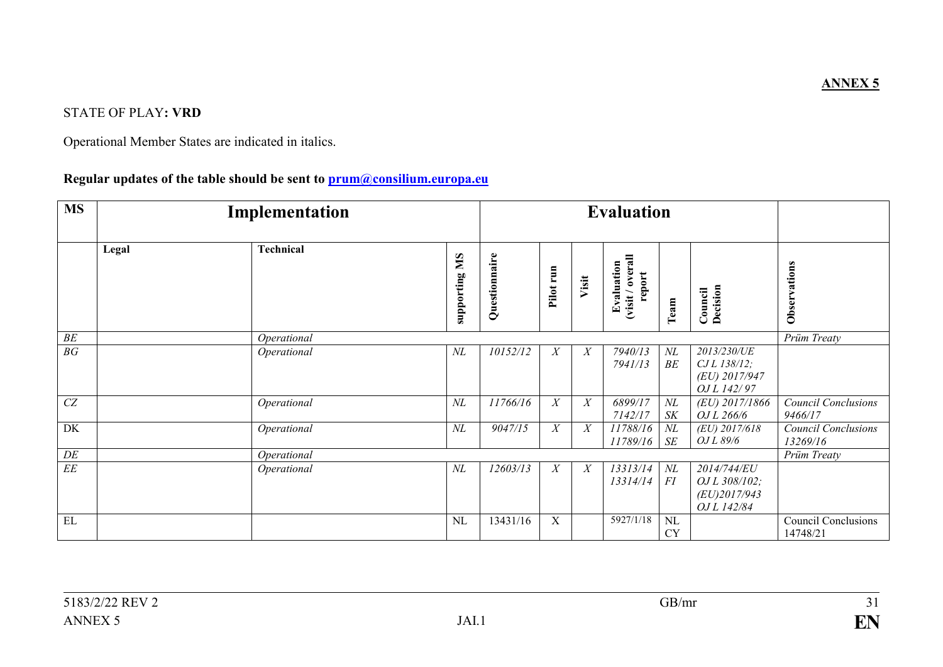## STATE OF PLAY**: VRD**

Operational Member States are indicated in italics.

## **Regular updates of the table should be sent to prum@consilium.europa.eu**

| <b>MS</b>       |       | Implementation   |                      |               |           |                  | <b>Evaluation</b>                       |                     |                                                                |                                        |
|-----------------|-------|------------------|----------------------|---------------|-----------|------------------|-----------------------------------------|---------------------|----------------------------------------------------------------|----------------------------------------|
|                 | Legal | <b>Technical</b> | <b>Supporting MS</b> | Questionnaire | Pilot run | Visit            | visit / overall<br>Evaluation<br>report | Team                | Decision<br>Council                                            | Observations                           |
| BE              |       | Operational      |                      |               |           |                  |                                         |                     |                                                                | Prüm Treaty                            |
| $\overline{BG}$ |       | Operational      | $N\!L$               | 10152/12      | X         | $\boldsymbol{X}$ | 7940/13<br>7941/13                      | $N\!L$<br>BE        | 2013/230/UE<br>CJ L 138/12;<br>(EU) 2017/947<br>OJ L 142/97    |                                        |
| CZ              |       | Operational      | $N\!L$               | 11766/16      | X         | $\boldsymbol{X}$ | 6899/17<br>7142/17                      | $N\!L$<br><b>SK</b> | (EU) 2017/1866<br>OJ L 266/6                                   | <b>Council Conclusions</b><br>9466/17  |
| DK              |       | Operational      | $N\!L$               | 9047/15       | X         | $\boldsymbol{X}$ | 11788/16<br>11789/16                    | $N\!L$<br>SE        | $(EU)$ 2017/618<br>OJ L 89/6                                   | <b>Council Conclusions</b><br>13269/16 |
| DE              |       | Operational      |                      |               |           |                  |                                         |                     |                                                                | Prüm Treaty                            |
| $\overline{EE}$ |       | Operational      | $N\!L$               | 12603/13      | X         | $\boldsymbol{X}$ | 13313/14<br>13314/14                    | $N\!L$<br>FI        | 2014/744/EU<br>OJ L 308/102;<br>$(EU)$ 2017/943<br>OJ L 142/84 |                                        |
| EL              |       |                  | NL                   | 13431/16      | X         |                  | 5927/1/18                               | NL<br><b>CY</b>     |                                                                | <b>Council Conclusions</b><br>14748/21 |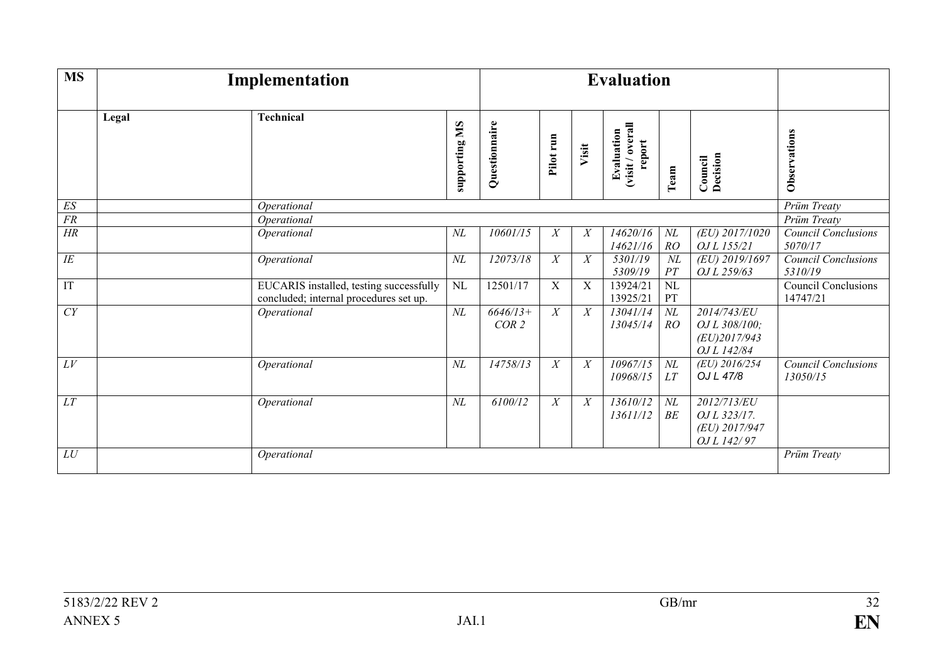| <b>MS</b>            |       | Implementation                                                                    |                      |                     |                  |             | <b>Evaluation</b>                        |              |                                                                |                                                      |
|----------------------|-------|-----------------------------------------------------------------------------------|----------------------|---------------------|------------------|-------------|------------------------------------------|--------------|----------------------------------------------------------------|------------------------------------------------------|
|                      | Legal | <b>Technical</b>                                                                  | <b>Supporting MS</b> | Questionnaire       | Pilot run        | Visit       | Evaluation<br>(visit / overall<br>report | Team         | <b>Council</b><br>Decision                                     | Observations                                         |
| $E\mathcal{S}$<br>FR |       | Operational                                                                       |                      |                     |                  |             |                                          |              |                                                                | Prüm Treaty                                          |
| $\overline{HR}$      |       | Operational<br>Operational                                                        | $N\!L$               | 10601/15            | X                | X           | 14620/16<br>14621/16                     | $N\!L$<br>RO | (EU) 2017/1020<br>OJ L 155/21                                  | Prüm Treaty<br><b>Council Conclusions</b><br>5070/17 |
| $\overline{IE}$      |       | Operational                                                                       | $N\!L$               | 12073/18            | X                | X           | 5301/19<br>5309/19                       | $N\!L$<br>PT | (EU) 2019/1697<br>OJ L 259/63                                  | Council Conclusions<br>5310/19                       |
| IT                   |       | EUCARIS installed, testing successfully<br>concluded; internal procedures set up. | <b>NL</b>            | 12501/17            | $\mathbf X$      | $\mathbf X$ | 13924/21<br>13925/21                     | NL<br>PT     |                                                                | <b>Council Conclusions</b><br>14747/21               |
| CY                   |       | Operational                                                                       | $N\!L$               | $6646/13+$<br>COR 2 | $\boldsymbol{X}$ | X           | 13041/14<br>13045/14                     | $N\!L$<br>RO | 2014/743/EU<br>OJ L 308/100;<br>$(EU)$ 2017/943<br>OJ L 142/84 |                                                      |
| LV                   |       | Operational                                                                       | $N\!L$               | 14758/13            | $\boldsymbol{X}$ | X           | $\frac{1096}{7}{15}$<br>10968/15         | $N\!L$<br>LT | (EU) 2016/254<br>OJ L 47/8                                     | <b>Council Conclusions</b><br>13050/15               |
| LT                   |       | Operational                                                                       | $N\!L$               | 6100/12             | $\boldsymbol{X}$ | X           | 13610/12<br>13611/12                     | $N\!L$<br>BE | 2012/713/EU<br>OJ L 323/17.<br>(EU) 2017/947<br>OJ L 142/97    |                                                      |
| LU                   |       | Operational                                                                       |                      |                     |                  |             |                                          |              |                                                                | Prüm Treaty                                          |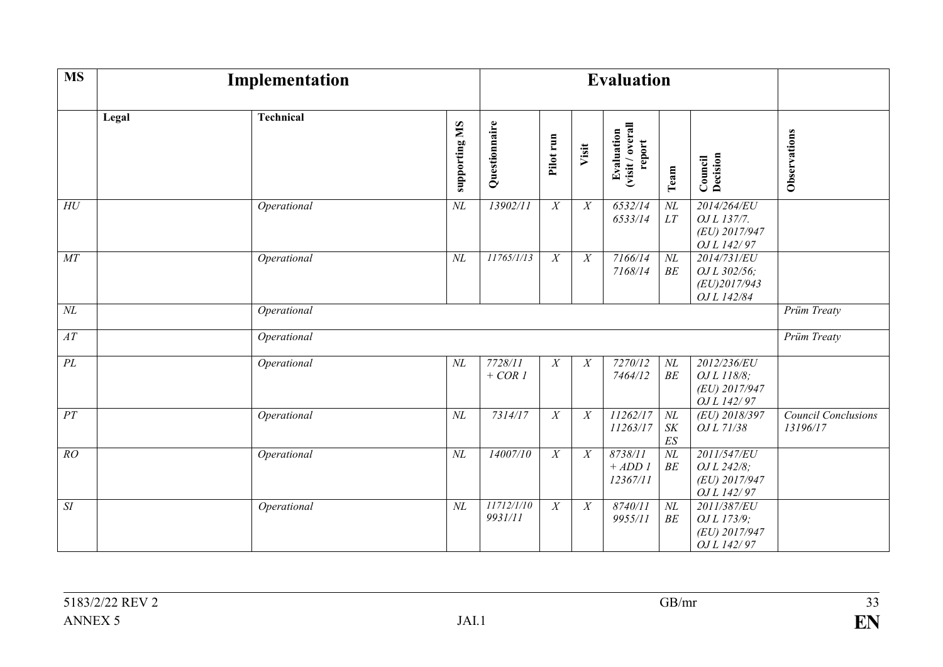| <b>MS</b>          |       | Implementation   |               |                       |                  |                  | <b>Evaluation</b>                        |                                 |                                                            |                                        |
|--------------------|-------|------------------|---------------|-----------------------|------------------|------------------|------------------------------------------|---------------------------------|------------------------------------------------------------|----------------------------------------|
|                    | Legal | <b>Technical</b> | supporting MS | Questionnaire         | Pilot run        | Visit            | Evaluation<br>(visit / overall<br>report | Team                            | Decision<br>Council                                        | Observations                           |
| ${\cal H}{\cal U}$ |       | Operational      | $N\!L$        | 13902/11              | $\boldsymbol{X}$ | X                | 6532/14<br>6533/14                       | $N\!L$<br>LT                    | 2014/264/EU<br>OJ L 137/7.<br>(EU) 2017/947<br>OJ L 142/97 |                                        |
| $\cal{M}T$         |       | Operational      | $N\!L$        | 11765/1/13            | $\overline{X}$   | X                | 7166/14<br>7168/14                       | $\cal NL$<br>BE                 | 2014/731/EU<br>OJ L 302/56;<br>(EU)2017/943<br>OJ L 142/84 |                                        |
| $N\!L$             |       | Operational      |               |                       |                  |                  |                                          |                                 |                                                            | Prüm Treaty                            |
| $\overline{AT}$    |       | Operational      |               |                       |                  |                  |                                          |                                 |                                                            | <b>Prüm Treaty</b>                     |
| $\overline{PL}$    |       | Operational      | $N\!L$        | 7728/11<br>$+ COR1$   | X                | $\boldsymbol{X}$ | 7270/12<br>7464/12                       | $N\!L$<br>BE                    | 2012/236/EU<br>OJ L 118/8;<br>(EU) 2017/947<br>OJ L 142/97 |                                        |
| PT                 |       | Operational      | $N\!L$        | 7314/17               | $\overline{X}$   | X                | 11262/17<br>11263/17                     | $N\!L$<br>S K<br>$E\mathcal{S}$ | (EU) 2018/397<br>OJ L 71/38                                | <b>Council Conclusions</b><br>13196/17 |
| RO                 |       | Operational      | $N\!L$        | 14007/10              | $\overline{X}$   | X                | 8738/11<br>$+ ADD I$<br>12367/11         | $N\!L$<br>BE                    | 2011/547/EU<br>OJ L 242/8;<br>(EU) 2017/947<br>OJ L 142/97 |                                        |
| $\cal SI$          |       | Operational      | $N\!L$        | 11712/1/10<br>9931/11 | X                | $\boldsymbol{X}$ | 8740/11<br>9955/11                       | $N\!L$<br>BE                    | 2011/387/EU<br>OJ L 173/9;<br>(EU) 2017/947<br>OJ L 142/97 |                                        |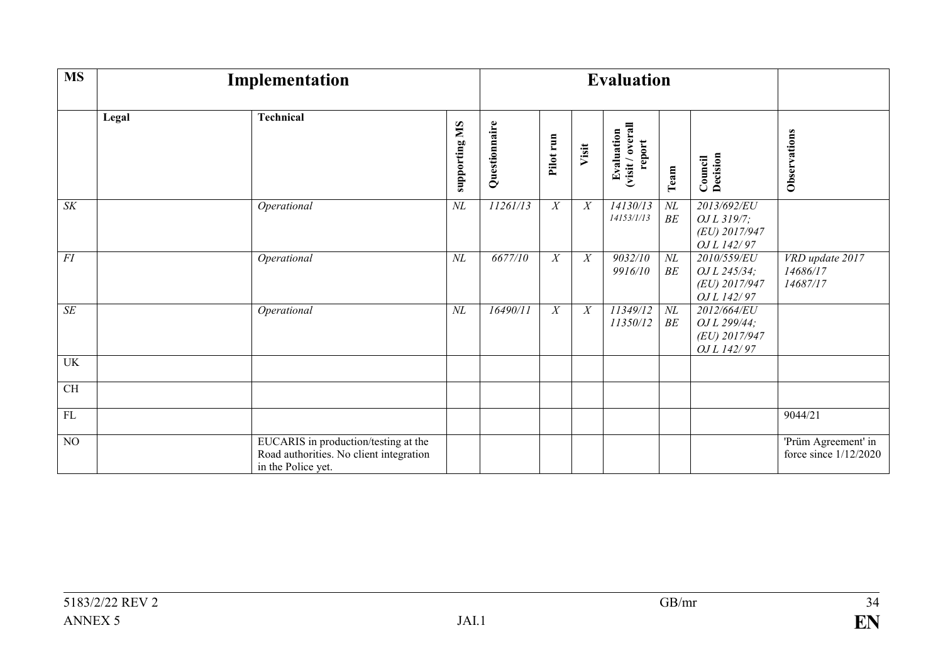| <b>MS</b>       |       | Implementation                                                                                        |                      |               |                  |                  | <b>Evaluation</b>                        |                 |                                                             |                                              |
|-----------------|-------|-------------------------------------------------------------------------------------------------------|----------------------|---------------|------------------|------------------|------------------------------------------|-----------------|-------------------------------------------------------------|----------------------------------------------|
|                 | Legal | Technical                                                                                             | <b>Supporting MS</b> | Questionnaire | Pilot run        | Visit            | Evaluation<br>(visit / overall<br>report | Team            | <b>Council</b><br><b>Decision</b>                           | Observations                                 |
| $\overline{SK}$ |       | Operational                                                                                           | $N\!L$               | 11261/13      | $\boldsymbol{X}$ | $\boldsymbol{X}$ | 14130/13<br>14153/1/13                   | $\cal NL$<br>BE | 2013/692/EU<br>OJ L 319/7;<br>(EU) 2017/947<br>OJ L 142/97  |                                              |
| FI              |       | Operational                                                                                           | $N\!L$               | 6677/10       | X                | X                | 9032/10<br>9916/10                       | $\cal NL$<br>BE | 2010/559/EU<br>OJ L 245/34;<br>(EU) 2017/947<br>OJ L 142/97 | VRD update 2017<br>14686/17<br>14687/17      |
| $\overline{SE}$ |       | Operational                                                                                           | $N\!L$               | 16490/11      | $\overline{X}$   | X                | 11349/12<br>11350/12                     | $N\!L$<br>BE    | 2012/664/EU<br>OJ L 299/44;<br>(EU) 2017/947<br>OJ L 142/97 |                                              |
| UK              |       |                                                                                                       |                      |               |                  |                  |                                          |                 |                                                             |                                              |
| CH              |       |                                                                                                       |                      |               |                  |                  |                                          |                 |                                                             |                                              |
| FL              |       |                                                                                                       |                      |               |                  |                  |                                          |                 |                                                             | 9044/21                                      |
| $\overline{NO}$ |       | EUCARIS in production/testing at the<br>Road authorities. No client integration<br>in the Police yet. |                      |               |                  |                  |                                          |                 |                                                             | 'Prüm Agreement' in<br>force since 1/12/2020 |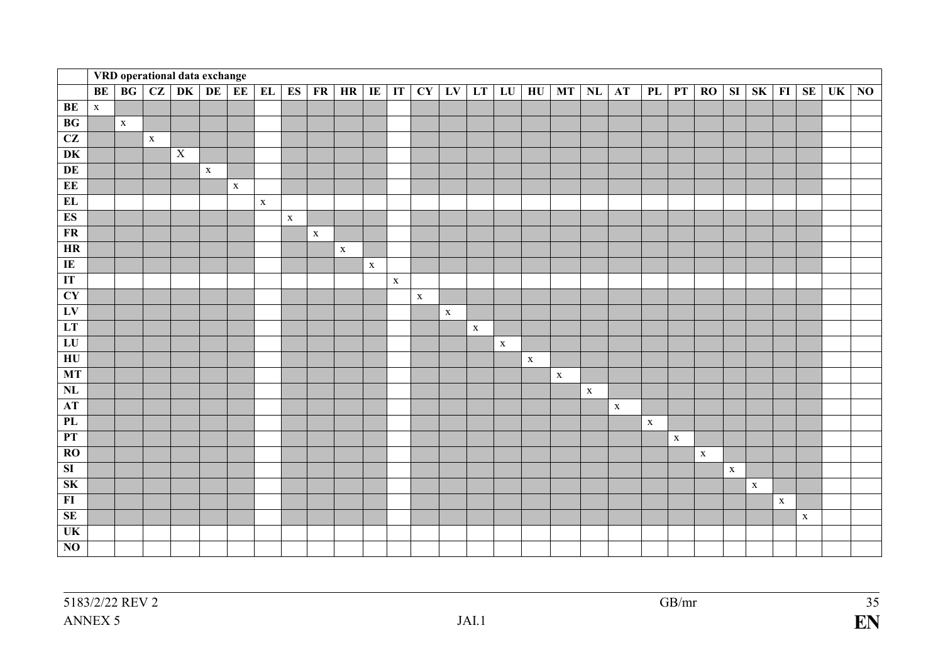|                                   |             |             |             | VRD operational data exchange |              |                 |             |             |             |             |                |              |             |             |             |             |             |             |             |             |             |             |             |             |             |             |             |           |                |
|-----------------------------------|-------------|-------------|-------------|-------------------------------|--------------|-----------------|-------------|-------------|-------------|-------------|----------------|--------------|-------------|-------------|-------------|-------------|-------------|-------------|-------------|-------------|-------------|-------------|-------------|-------------|-------------|-------------|-------------|-----------|----------------|
|                                   | <b>BE</b>   | BG          | CZ          | DK                            | DE           | EE <sup>1</sup> | EL          | <b>ES</b>   | FR          | HR          | $\overline{E}$ | $\mathbf{I}$ | CY          | LV          | LT          | LU          | HU          | <b>MT</b>   | NL          | <b>AT</b>   | PL          | PT          | RO          | SI          | SK          | $\bf{FI}$   | <b>SE</b>   | <b>UK</b> | N <sub>0</sub> |
| BE                                | $\mathbf X$ |             |             |                               |              |                 |             |             |             |             |                |              |             |             |             |             |             |             |             |             |             |             |             |             |             |             |             |           |                |
| BG                                |             | $\mathbf X$ |             |                               |              |                 |             |             |             |             |                |              |             |             |             |             |             |             |             |             |             |             |             |             |             |             |             |           |                |
| CZ                                |             |             | $\mathbf X$ |                               |              |                 |             |             |             |             |                |              |             |             |             |             |             |             |             |             |             |             |             |             |             |             |             |           |                |
| $\overline{\mathbf{D}\mathbf{K}}$ |             |             |             | $\overline{X}$                |              |                 |             |             |             |             |                |              |             |             |             |             |             |             |             |             |             |             |             |             |             |             |             |           |                |
| DE                                |             |             |             |                               | $\mathbf{X}$ |                 |             |             |             |             |                |              |             |             |             |             |             |             |             |             |             |             |             |             |             |             |             |           |                |
| EE                                |             |             |             |                               |              | $\mathbf X$     |             |             |             |             |                |              |             |             |             |             |             |             |             |             |             |             |             |             |             |             |             |           |                |
| EL                                |             |             |             |                               |              |                 | $\mathbf X$ |             |             |             |                |              |             |             |             |             |             |             |             |             |             |             |             |             |             |             |             |           |                |
| <b>ES</b>                         |             |             |             |                               |              |                 |             | $\mathbf X$ |             |             |                |              |             |             |             |             |             |             |             |             |             |             |             |             |             |             |             |           |                |
| ${\bf FR}$                        |             |             |             |                               |              |                 |             |             | $\mathbf X$ |             |                |              |             |             |             |             |             |             |             |             |             |             |             |             |             |             |             |           |                |
| HR                                |             |             |             |                               |              |                 |             |             |             | $\mathbf X$ |                |              |             |             |             |             |             |             |             |             |             |             |             |             |             |             |             |           |                |
| $\overline{\rm IE}$               |             |             |             |                               |              |                 |             |             |             |             | $\mathbf X$    |              |             |             |             |             |             |             |             |             |             |             |             |             |             |             |             |           |                |
| IT                                |             |             |             |                               |              |                 |             |             |             |             |                | $\mathbf X$  |             |             |             |             |             |             |             |             |             |             |             |             |             |             |             |           |                |
| CY                                |             |             |             |                               |              |                 |             |             |             |             |                |              | $\mathbf X$ |             |             |             |             |             |             |             |             |             |             |             |             |             |             |           |                |
| LV                                |             |             |             |                               |              |                 |             |             |             |             |                |              |             | $\mathbf X$ |             |             |             |             |             |             |             |             |             |             |             |             |             |           |                |
| LT                                |             |             |             |                               |              |                 |             |             |             |             |                |              |             |             | $\mathbf X$ |             |             |             |             |             |             |             |             |             |             |             |             |           |                |
| LU                                |             |             |             |                               |              |                 |             |             |             |             |                |              |             |             |             | $\mathbf X$ |             |             |             |             |             |             |             |             |             |             |             |           |                |
| $H$ U                             |             |             |             |                               |              |                 |             |             |             |             |                |              |             |             |             |             | $\mathbf X$ |             |             |             |             |             |             |             |             |             |             |           |                |
| MT                                |             |             |             |                               |              |                 |             |             |             |             |                |              |             |             |             |             |             | $\mathbf X$ |             |             |             |             |             |             |             |             |             |           |                |
| $\mathbf{NL}$                     |             |             |             |                               |              |                 |             |             |             |             |                |              |             |             |             |             |             |             | $\mathbf X$ |             |             |             |             |             |             |             |             |           |                |
| AT                                |             |             |             |                               |              |                 |             |             |             |             |                |              |             |             |             |             |             |             |             | $\mathbf X$ |             |             |             |             |             |             |             |           |                |
| PL                                |             |             |             |                               |              |                 |             |             |             |             |                |              |             |             |             |             |             |             |             |             | $\mathbf X$ |             |             |             |             |             |             |           |                |
| PT                                |             |             |             |                               |              |                 |             |             |             |             |                |              |             |             |             |             |             |             |             |             |             | $\mathbf X$ |             |             |             |             |             |           |                |
| RO                                |             |             |             |                               |              |                 |             |             |             |             |                |              |             |             |             |             |             |             |             |             |             |             | $\mathbf X$ |             |             |             |             |           |                |
| $\overline{\mathbf{S}}$           |             |             |             |                               |              |                 |             |             |             |             |                |              |             |             |             |             |             |             |             |             |             |             |             | $\mathbf X$ |             |             |             |           |                |
| SK                                |             |             |             |                               |              |                 |             |             |             |             |                |              |             |             |             |             |             |             |             |             |             |             |             |             | $\mathbf X$ |             |             |           |                |
| $\overline{\bf H}$                |             |             |             |                               |              |                 |             |             |             |             |                |              |             |             |             |             |             |             |             |             |             |             |             |             |             | $\mathbf X$ |             |           |                |
| SE                                |             |             |             |                               |              |                 |             |             |             |             |                |              |             |             |             |             |             |             |             |             |             |             |             |             |             |             | $\mathbf X$ |           |                |
| $\overline{\text{UK}}$            |             |             |             |                               |              |                 |             |             |             |             |                |              |             |             |             |             |             |             |             |             |             |             |             |             |             |             |             |           |                |
| $\overline{NO}$                   |             |             |             |                               |              |                 |             |             |             |             |                |              |             |             |             |             |             |             |             |             |             |             |             |             |             |             |             |           |                |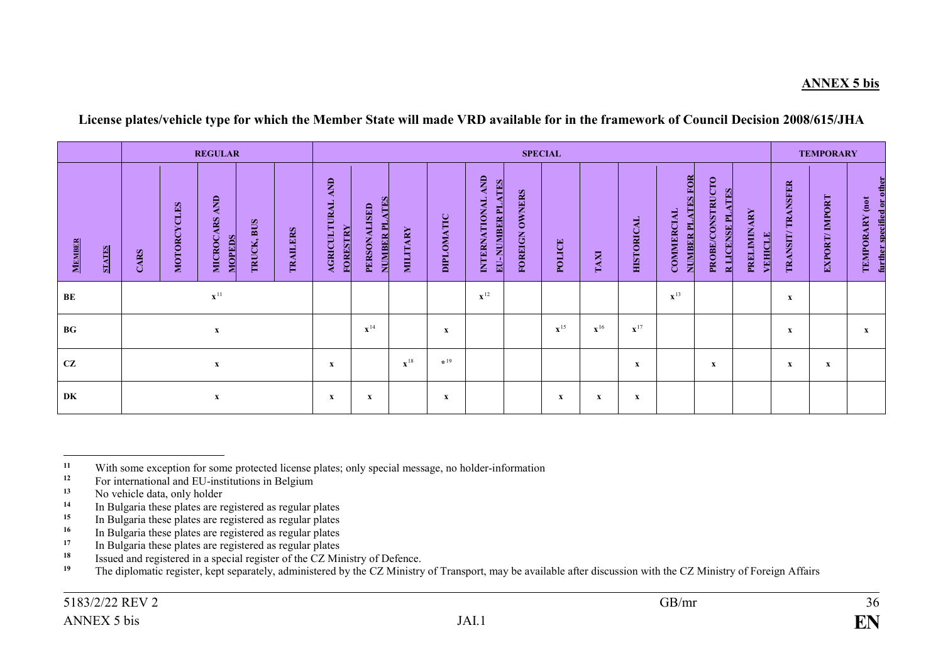#### **ANNEX 5 bis**

#### **License plates/vehicle type for which the Member State will made VRD available for in the framework of Council Decision 2008/615/JHA**

|                                |                     | <b>REGULAR</b>                                  |            |                   |                                               |                               |                   |            |                                                             |                          | <b>SPECIAL</b>    |                   |                   |                                                  |                                             |                        |                                    | <b>TEMPORARY</b> |                                              |
|--------------------------------|---------------------|-------------------------------------------------|------------|-------------------|-----------------------------------------------|-------------------------------|-------------------|------------|-------------------------------------------------------------|--------------------------|-------------------|-------------------|-------------------|--------------------------------------------------|---------------------------------------------|------------------------|------------------------------------|------------------|----------------------------------------------|
| <b>MEMBER</b><br><b>STATES</b> | MOTORCYCLES<br>CARS | <b>AND</b><br><b>MICROCARS</b><br><b>MOPEDS</b> | TRUCK, BUS | <b>TRAILERS</b>   | AND<br><b>AGRICULTURAL</b><br><b>FORESTRY</b> | NUMBER PLATES<br>PERSONALISED | <b>MILITARY</b>   | DIPLOMATIC | INTERNATIONAL AND<br><b>ATES</b><br>圖<br><b>NUMBER</b><br>B | <b>OWNERS</b><br>FOREIGN | POLICE            | TAXI              | <b>HISTORICAL</b> | FOR<br><b>NUMBER PLATES</b><br><b>COMMERCIAL</b> | PROBE/CONSTRUCTO<br><b>R LICENSE PLATES</b> | PRELIMINARY<br>VEHICLE | <b>TRANSFER</b><br><b>TRANSIT/</b> | EXPORT/IMPORT    | further specified or other<br>TEMPORARY (not |
| BE                             |                     |                                                 |            |                   |                                               |                               | $\mathbf{x}^{12}$ |            |                                                             |                          |                   | $\mathbf{x}^{13}$ |                   |                                                  | $\mathbf x$                                 |                        |                                    |                  |                                              |
| <b>BG</b>                      |                     |                                                 |            | $\mathbf{x}^{14}$ |                                               | X                             |                   |            | $\mathbf{x}^{15}$                                           | $\mathbf{x}^{16}$        | $\mathbf{x}^{17}$ |                   |                   |                                                  | $\mathbf x$                                 |                        | X                                  |                  |                                              |
| CZ                             |                     |                                                 | X          |                   | $\mathbf{x}^{18}$                             | $*19$                         |                   |            |                                                             |                          | $\mathbf x$       |                   | $\mathbf{x}$      |                                                  | $\mathbf{x}$                                | $\mathbf{x}$           |                                    |                  |                                              |
| DK                             |                     | $\boldsymbol{\mathrm{X}}$                       |            |                   | x                                             | $\boldsymbol{\mathrm{X}}$     |                   | x          |                                                             |                          | x                 | $\mathbf x$       | x                 |                                                  |                                             |                        |                                    |                  |                                              |

 $11$ <sup>11</sup> With some exception for some protected license plates; only special message, no holder-information<br><sup>12</sup> Equipmentional and EU institutions in Belgium

<sup>&</sup>lt;sup>12</sup> For international and EU-institutions in Belgium<sup>13</sup> No vehicle data only holder

<sup>&</sup>lt;sup>13</sup> No vehicle data, only holder<br><sup>14</sup> In Pulsaria these plates are r

**<sup>14</sup>** In Bulgaria these plates are registered as regular plates

<sup>&</sup>lt;sup>15</sup> In Bulgaria these plates are registered as regular plates<br><sup>16</sup> In Bulgaria these plates are registered as regular plates

<sup>&</sup>lt;sup>16</sup> In Bulgaria these plates are registered as regular plates<br><sup>17</sup> In Bulgaria these plates are registered as regular plates

<sup>&</sup>lt;sup>17</sup> In Bulgaria these plates are registered as regular plates<br><sup>18</sup> Issued and registered in a special register of the CZ Mi

<sup>&</sup>lt;sup>18</sup> Issued and registered in a special register of the CZ Ministry of Defence.<br><sup>19</sup> The diplomatic register kent concretely edministered by the CZ Ministry

**<sup>19</sup>** The diplomatic register, kept separately, administered by the CZ Ministry of Transport, may be available after discussion with the CZ Ministry of Foreign Affairs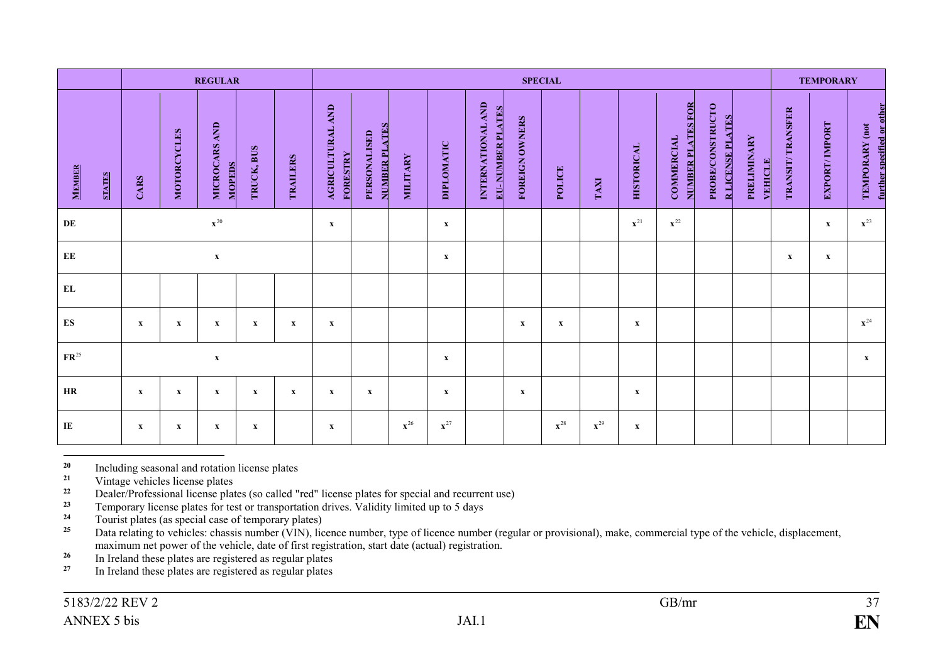|                        |               |              |              | <b>REGULAR</b>                 |              |              |                                     |                               |                   |                           |                                              |                | <b>SPECIAL</b>    |                   |                   |                                        |                                             |                               |                  | <b>TEMPORARY</b>          |                                              |
|------------------------|---------------|--------------|--------------|--------------------------------|--------------|--------------|-------------------------------------|-------------------------------|-------------------|---------------------------|----------------------------------------------|----------------|-------------------|-------------------|-------------------|----------------------------------------|---------------------------------------------|-------------------------------|------------------|---------------------------|----------------------------------------------|
| <b>MEMBER</b>          | <b>STATES</b> | CARS         | MOTORCYCLES  | MICROCARS AND<br><b>MOPEDS</b> | TRUCK, BUS   | TRAILERS     | AGRICULTURAL AND<br><b>FORESTRY</b> | NUMBER PLATES<br>PERSONALISED | <b>MILITARY</b>   | DIPLOMATIC                | INTERNATIONAL AND<br><b>EU-NUMBER PLATES</b> | FOREIGN OWNERS | POLICE            | TAXI              | <b>HISTORICAL</b> | NUMBER PLATES FOR<br><b>COMMERCIAL</b> | PROBE/CONSTRUCTO<br><b>R LICENSE PLATES</b> | PRELIMINARY<br><b>VEHICLE</b> | TRANSIT/TRANSFER | <b>EXPORT/IMPORT</b>      | further specified or other<br>TEMPORARY (not |
| DE                     |               |              |              | ${\bf x}^{20}$                 |              |              | $\mathbf X$                         |                               |                   | $\boldsymbol{\mathrm{X}}$ |                                              |                |                   |                   | $\mathbf{x}^{21}$ | $\mathbf{x}^{22}$                      |                                             |                               |                  | $\mathbf X$               | $\mathbf{x}^{23}$                            |
| $\mathbf{E}\mathbf{E}$ |               |              |              | $\mathbf X$                    |              |              |                                     |                               |                   | $\boldsymbol{\mathrm{X}}$ |                                              |                |                   |                   |                   |                                        |                                             |                               | $\mathbf x$      | $\boldsymbol{\mathrm{X}}$ |                                              |
| ${\bf EL}$             |               |              |              |                                |              |              |                                     |                               |                   |                           |                                              |                |                   |                   |                   |                                        |                                             |                               |                  |                           |                                              |
| ES                     |               | $\mathbf{x}$ | $\mathbf{x}$ | $\mathbf x$                    | $\mathbf{x}$ | $\mathbf{x}$ | $\mathbf x$                         |                               |                   |                           |                                              | $\mathbf{x}$   | $\mathbf{x}$      |                   | $\mathbf{x}$      |                                        |                                             |                               |                  |                           | $\mathbf{x}^{24}$                            |
| $\mathbf{FR}^{25}$     |               |              |              | $\boldsymbol{\mathrm{X}}$      |              |              |                                     |                               |                   | $\boldsymbol{\mathrm{X}}$ |                                              |                |                   |                   |                   |                                        |                                             |                               |                  |                           | $\mathbf X$                                  |
| HR                     |               | $\mathbf{x}$ | $\mathbf{x}$ | $\mathbf{x}$                   | $\mathbf{x}$ | $\mathbf{x}$ | $\mathbf{x}$                        | $\mathbf{x}$                  |                   | $\mathbf{x}$              |                                              | $\mathbf{x}$   |                   |                   | $\mathbf{x}$      |                                        |                                             |                               |                  |                           |                                              |
| $\bf{I}$ <b>E</b>      |               | $\mathbf{x}$ | $\mathbf{x}$ | $\boldsymbol{\mathrm{X}}$      | $\mathbf{x}$ |              | $\mathbf X$                         |                               | $\mathbf{x}^{26}$ | $\mathbf{x}^{27}$         |                                              |                | $\mathbf{x}^{28}$ | $\mathbf{x}^{29}$ | $\mathbf{x}$      |                                        |                                             |                               |                  |                           |                                              |

 $20\,$ <sup>20</sup> Including seasonal and rotation license plates<br><sup>21</sup> Vintoge vehicles license plates

<sup>21</sup> Vintage vehicles license plates<br><sup>22</sup> Dealer/Professional license plat

<sup>22</sup> Dealer/Professional license plates (so called "red" license plates for special and recurrent use)<br><sup>23</sup> Temperary license plates for test or transportation drives. Validity limited up to 5 days

<sup>23</sup> Temporary license plates for test or transportation drives. Validity limited up to 5 days<br><sup>24</sup> Towist plates (as special case of temporary plates)

<sup>24</sup> Tourist plates (as special case of temporary plates)<br><sup>25</sup> Data relating to vehicles: chassis number (VIN) lie

Data relating to vehicles: chassis number (VIN), licence number, type of licence number (regular or provisional), make, commercial type of the vehicle, displacement, maximum net power of the vehicle, date of first registration, start date (actual) registration.

<sup>26</sup> In Ireland these plates are registered as regular plates<br><sup>27</sup> In Ireland these plates are registered as regular plates

**<sup>27</sup>** In Ireland these plates are registered as regular plates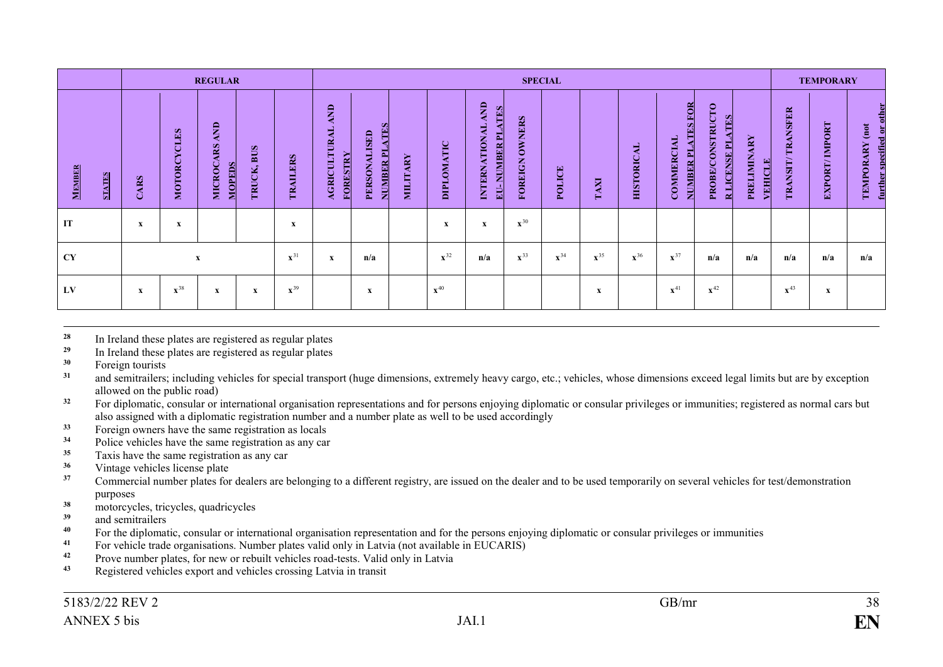|                                |             |                   | <b>REGULAR</b>                           |                      |                    |                                        |                                                     |          |                       |                                                               | <b>SPECIAL</b>                  |                   |                   |                   |                                                          |                                                              |                                    |                     | <b>TEMPORARY</b>         |                                                 |
|--------------------------------|-------------|-------------------|------------------------------------------|----------------------|--------------------|----------------------------------------|-----------------------------------------------------|----------|-----------------------|---------------------------------------------------------------|---------------------------------|-------------------|-------------------|-------------------|----------------------------------------------------------|--------------------------------------------------------------|------------------------------------|---------------------|--------------------------|-------------------------------------------------|
| <b>MEMBER</b><br><b>STATES</b> | CARS        | MOTORCYCLES       | AND<br><b>MICROCARS</b><br><b>MOPEDS</b> | <b>BUS</b><br>TRUCK, | <b>ERS</b><br>TRAI | AND<br><b>AGRICULTURAL</b><br>FORESTRY | <b>ATES</b><br>PERSONALISED<br>NUMBER <sub>PI</sub> | MILITARY | OMATIC<br><b>Taid</b> | AND<br><b>TES</b><br>INTERNATIONAL<br>革<br><b>JUMBER</b><br>ᆲ | <b>OWNERS</b><br><b>FOREIGN</b> | POLICE            | TAXI              | <b>HISTORICAL</b> | <b>ATES FOR</b><br><b>COMMERCIAL</b><br><b>NUMBER PL</b> | <b>PROBE/CONSTRUCTO</b><br><b>ATES</b><br><b>RLICENSE PL</b> | <b>PRELIMINARY</b><br><b>EHICL</b> | TRANSFER<br>TRANSIT | <b>IMPORT</b><br>EXPORT/ | further specified or other<br>(not<br>TEMPORARY |
| IT                             | $\mathbf x$ | x                 |                                          |                      | X                  |                                        |                                                     |          | X                     | $\mathbf X$                                                   | $\mathbf{x}^{30}$               |                   |                   |                   |                                                          |                                                              |                                    |                     |                          |                                                 |
| <b>CY</b>                      |             |                   | $\mathbf{x}$                             |                      | $\mathbf{x}^{31}$  | x                                      | n/a                                                 |          | $\mathbf{x}^{32}$     | n/a                                                           | $\mathbf{x}^{33}$               | $\mathbf{x}^{34}$ | $\mathbf{x}^{35}$ | $\mathbf{x}^{36}$ | $\mathbf{x}^{37}$                                        | n/a                                                          | n/a                                | n/a                 | n/a                      | n/a                                             |
| LV                             | $\mathbf x$ | $\mathbf{x}^{38}$ | x                                        | x                    | $\mathbf{x}^{39}$  |                                        | X                                                   |          | $\mathbf{x}^{40}$     |                                                               |                                 |                   | X                 |                   | $\mathbf{x}^{41}$                                        | $\mathbf{x}^{42}$                                            |                                    | $\mathbf{x}^{43}$   | X                        |                                                 |

28 <sup>28</sup> In Ireland these plates are registered as regular plates<br><sup>29</sup> In Ireland these plates are registered as regular plates

<sup>29</sup> In Ireland these plates are registered as regular plates<br><sup>30</sup> Eorgian towrists

<sup>30</sup> Foreign tourists<br><sup>31</sup> and semitralers:

and semitrailers; including vehicles for special transport (huge dimensions, extremely heavy cargo, etc.; vehicles, whose dimensions exceed legal limits but are by exception allowed on the public road)

<sup>32</sup> For diplomatic, consular or international organisation representations and for persons enjoying diplomatic or consular privileges or immunities; registered as normal cars but also assigned with a diplomatic registration number and a number plate as well to be used accordingly

<sup>33</sup> Foreign owners have the same registration as locals<br><sup>34</sup> Police vehicles have the same registration as any can

<sup>34</sup> Police vehicles have the same registration as any car<br><sup>35</sup> Toxis have the same registration as any car

<sup>35</sup> Taxis have the same registration as any car<br><sup>36</sup> Vintage vehicles license plate

<sup>36</sup> Vintage vehicles license plate<br><sup>37</sup> Commercial number plates for

**<sup>37</sup>** Commercial number plates for dealers are belonging to a different registry, are issued on the dealer and to be used temporarily on several vehicles for test/demonstration purposes

**<sup>38</sup>** motorcycles, tricycles, quadricycles

<sup>39</sup> and semitrailers

For the diplomatic, consular or international organisation representation and for the persons enjoying diplomatic or consular privileges or immunities<br><sup>41</sup> For vakials trade aggregations. Number alotse valid only in Lettis

<sup>41</sup> For vehicle trade organisations. Number plates valid only in Latvia (not available in EUCARIS)<br><sup>42</sup> Prove number plates, for new or rebuilt vehicles road tests. Valid only in Latvia

**42** Prove number plates, for new or rebuilt vehicles road-tests. Valid only in Latvia

**<sup>43</sup>** Registered vehicles export and vehicles crossing Latvia in transit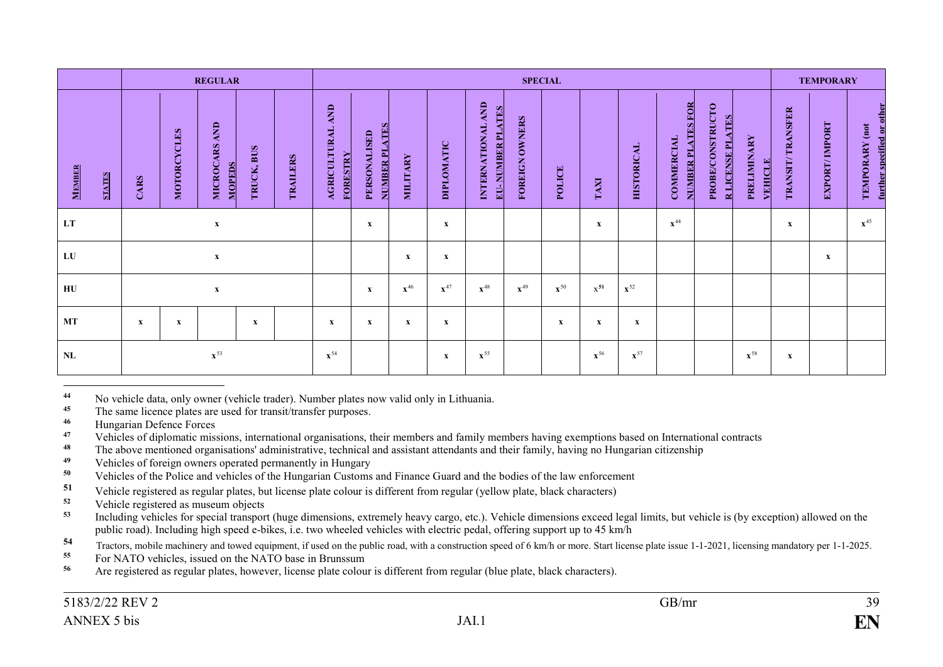|               |               |             |                           | <b>REGULAR</b>                           |              |                 |                                               |                               |                   |                   |                                                      |                                 | <b>SPECIAL</b>    |                   |                   |                                               |                                                    |                               |                  | <b>TEMPORARY</b> |                                              |
|---------------|---------------|-------------|---------------------------|------------------------------------------|--------------|-----------------|-----------------------------------------------|-------------------------------|-------------------|-------------------|------------------------------------------------------|---------------------------------|-------------------|-------------------|-------------------|-----------------------------------------------|----------------------------------------------------|-------------------------------|------------------|------------------|----------------------------------------------|
| <b>MEMBER</b> | <b>STATES</b> | CARS        | MOTORCYCLES               | AND<br><b>MICROCARS</b><br><b>MOPEDS</b> | TRUCK, BUS   | <b>TRAILERS</b> | AND<br><b>AGRICULTURAL</b><br><b>FORESTRY</b> | NUMBER PLATES<br>PERSONALISED | <b>MILITARY</b>   | DIPLOMATIC        | INTERNATIONAL AND<br><b>ATES</b><br>NUMBER PI<br>EU- | <b>OWNERS</b><br><b>FOREIGN</b> | POLICE            | <b>LVVL</b>       | <b>HISTORICAL</b> | <b>NUMBER PLATES FOR</b><br><b>COMMERCIAL</b> | <b>PROBE/CONSTRUCTO</b><br><b>R LICENSE PLATES</b> | <b>PRELIMINARY</b><br>VEHICLE | TRANSIT/TRANSFER | EXPORT/IMPORT    | further specified or other<br>TEMPORARY (not |
| LT            |               |             | $\boldsymbol{\mathrm{X}}$ |                                          |              |                 |                                               | X                             |                   | $\mathbf x$       |                                                      |                                 |                   | $\mathbf{x}$      |                   | $\mathbf{x}^{44}$                             |                                                    |                               | x                |                  | $\mathbf{x}^{45}$                            |
| LU            |               |             |                           | $\boldsymbol{\mathrm{X}}$                |              |                 |                                               |                               | x                 | $\mathbf x$       |                                                      |                                 |                   |                   |                   |                                               |                                                    |                               |                  | $\mathbf{x}$     |                                              |
| HU            |               |             |                           | $\boldsymbol{\mathrm{X}}$                |              |                 |                                               | $\mathbf{x}$                  | $\mathbf{x}^{46}$ | $\mathbf{x}^{47}$ | $\mathbf{x}^{48}$                                    | $\mathbf{x}^{49}$               | $\mathbf{x}^{50}$ | $x^{51}$          | $\mathbf{x}^{52}$ |                                               |                                                    |                               |                  |                  |                                              |
| MT            |               | $\mathbf x$ | x                         |                                          | $\mathbf{x}$ |                 | $\mathbf x$                                   | $\mathbf{x}$                  | x                 | X                 |                                                      |                                 | x                 | $\mathbf x$       | x                 |                                               |                                                    |                               |                  |                  |                                              |
| <b>NL</b>     |               |             |                           | $\mathbf{x}^{53}$                        |              |                 | $\mathbf{x}^{54}$                             |                               |                   | $\mathbf x$       | $\mathbf{x}^{55}$                                    |                                 |                   | $\mathbf{x}^{56}$ | $\mathbf{x}^{57}$ |                                               |                                                    | $\mathbf{x}^{58}$             | $\mathbf X$      |                  |                                              |

 $\overline{a}$ <sup>44</sup> No vehicle data, only owner (vehicle trader). Number plates now valid only in Lithuania.<br><sup>45</sup> The same licence plates are used for transit/transfer purposes.

<sup>45</sup> The same licence plates are used for transit/transfer purposes.<br><sup>46</sup> Hungarian Defence Forces

<sup>46</sup> Hungarian Defence Forces

<sup>47</sup> Vehicles of diplomatic missions, international organisations, their members and family members having exemptions based on International contracts<br><sup>48</sup> The above mentioned organisations' administrative, technical and a

- <sup>48</sup> The above mentioned organisations' administrative, technical and assistant attendants and their family, having no Hungarian citizenship
- <sup>49</sup> Vehicles of foreign owners operated permanently in Hungary<br><sup>50</sup> Vehicles of the Police and vehicles of the Hungarian Customs
- <sup>50</sup> Vehicles of the Police and vehicles of the Hungarian Customs and Finance Guard and the bodies of the law enforcement<br>51 Vehicle registered as regular plates, but ligance plate aclour is different from regular (velleus
- 51 Vehicle registered as regular plates, but license plate colour is different from regular (yellow plate, black characters)
- **<sup>52</sup>** Vehicle registered as museum objects
- Including vehicles for special transport (huge dimensions, extremely heavy cargo, etc.). Vehicle dimensions exceed legal limits, but vehicle is (by exception) allowed on the public road). Including high speed e-bikes, i.e. two wheeled vehicles with electric pedal, offering support up to 45 km/h

Tractors, mobile machinery and towed equipment, if used on the public road, with a construction speed of 6 km/h or more. Start license plate issue 1-1-2021, licensing mandatory per 1-1-2025.<br>
For NATO vehicles, issued on t

- **<sup>55</sup>** For NATO vehicles, issued on the NATO base in Brunssum
- **<sup>56</sup>** Are registered as regular plates, however, license plate colour is different from regular (blue plate, black characters).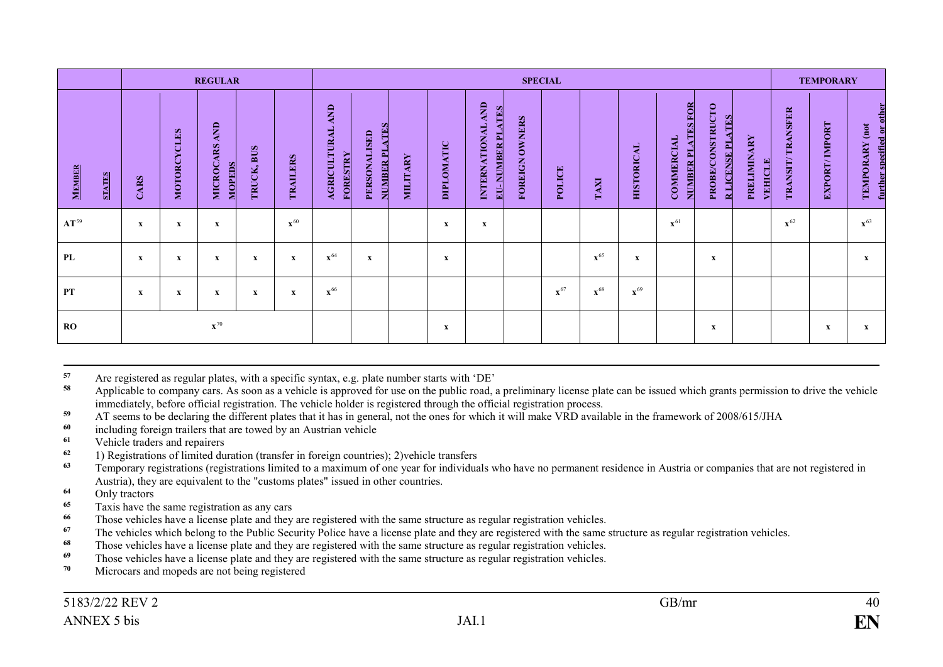|                         |             |                           | <b>REGULAR</b>                           |                      |                   |                                               |                               |                 |                           |                                                                             |                                 | <b>SPECIAL</b>    |                   |                   |                                               |                                                    |                        |                      | <b>TEMPORARY</b> |                                              |
|-------------------------|-------------|---------------------------|------------------------------------------|----------------------|-------------------|-----------------------------------------------|-------------------------------|-----------------|---------------------------|-----------------------------------------------------------------------------|---------------------------------|-------------------|-------------------|-------------------|-----------------------------------------------|----------------------------------------------------|------------------------|----------------------|------------------|----------------------------------------------|
| MEMBER<br><b>STATES</b> | CARS        | MOTORCYCLES               | AND<br><b>MICROCARS</b><br><b>MOPEDS</b> | <b>BUS</b><br>TRUCK, | TRAILERS          | AND<br><b>AGRICULTURAL</b><br><b>FORESTRY</b> | NUMBER PLATES<br>PERSONALISED | <b>MILITARY</b> | DIPLOMATIC                | INTERNATIONAL AND<br><b>ATES</b><br>$\mathbf{r}$<br>NUMBER<br>$\frac{1}{2}$ | <b>OWNERS</b><br><b>FOREIGN</b> | POLICE            | TAXI              | <b>HISTORICAL</b> | <b>NUMBER PLATES FOR</b><br><b>COMMERCIAL</b> | <b>PROBE/CONSTRUCTO</b><br><b>R LICENSE PLATES</b> | PRELIMINARY<br>VEHICLE | TRANSFER<br>TRANSIT/ | EXPORT/IMPORT    | further specified or other<br>TEMPORARY (not |
| $AT^{59}$               | $\mathbf x$ | $\boldsymbol{\mathrm{X}}$ | $\mathbf{x}$                             |                      | $\mathbf{x}^{60}$ |                                               |                               |                 | $\boldsymbol{\mathrm{X}}$ | $\mathbf x$                                                                 |                                 |                   |                   |                   | $\mathbf{x}^{61}$                             |                                                    |                        | $\mathbf{x}^{62}$    |                  | $\mathbf{x}^{63}$                            |
| PL                      | $\mathbf x$ | x                         | X                                        | X                    | X                 | $\mathbf{x}^{64}$                             | X                             |                 | X                         |                                                                             |                                 |                   | $\mathbf{x}^{65}$ | X                 |                                               | X                                                  |                        |                      |                  | $\mathbf{x}$                                 |
| <b>PT</b>               | $\mathbf x$ | $\boldsymbol{\mathrm{X}}$ | $\mathbf{x}$                             | $\mathbf x$          | X                 | $\mathbf{x}^{66}$                             |                               |                 |                           |                                                                             |                                 | $\mathbf{x}^{67}$ | $\mathbf{x}^{68}$ | $\mathbf{x}^{69}$ |                                               |                                                    |                        |                      |                  |                                              |
| <b>RO</b>               |             |                           | $\mathbf{x}^{70}$                        |                      |                   |                                               |                               |                 | $\mathbf x$               |                                                                             |                                 |                   |                   |                   |                                               | $\mathbf x$                                        |                        |                      | $\mathbf X$      | $\mathbf{x}$                                 |

57 57 Are registered as regular plates, with a specific syntax, e.g. plate number starts with 'DE'<br>58 Applicable to company care. As soon as a vabiole is approved for use on the public road

Applicable to company cars. As soon as a vehicle is approved for use on the public road, a preliminary license plate can be issued which grants permission to drive the vehicle immediately, before official registration. The vehicle holder is registered through the official registration process.

59 AT seems to be declaring the different plates that it has in general, not the ones for which it will make VRD available in the framework of 2008/615/JHA

- <sup>60</sup> including foreign trailers that are towed by an Austrian vehicle<br> **61** Vehicle traders and repairers
- <sup>61</sup> Vehicle traders and repairers<br><sup>62</sup> 1) Pegistrations of limited du
- **<sup>62</sup>** 1) Registrations of limited duration (transfer in foreign countries); 2)vehicle transfers

**<sup>63</sup>** Temporary registrations (registrations limited to a maximum of one year for individuals who have no permanent residence in Austria or companies that are not registered in Austria), they are equivalent to the "customs plates" issued in other countries.

- **<sup>64</sup>** Only tractors
- **<sup>65</sup>** Taxis have the same registration as any cars
- <sup>66</sup> Those vehicles have a license plate and they are registered with the same structure as regular registration vehicles.<br><sup>67</sup> The vehicles which belong to the Public Sequrity Police have a license plate and they are regi
- <sup>67</sup> The vehicles which belong to the Public Security Police have a license plate and they are registered with the same structure as regular registration vehicles.<br><sup>68</sup> Those vehicles have a license plate and they are regi
- <sup>68</sup> Those vehicles have a license plate and they are registered with the same structure as regular registration vehicles.<br><sup>69</sup> Those vehicles have a license plate and they are registered with the same structure as regular
- <sup>69</sup> Those vehicles have a license plate and they are registered with the same structure as regular registration vehicles.
- **<sup>70</sup>** Microcars and mopeds are not being registered